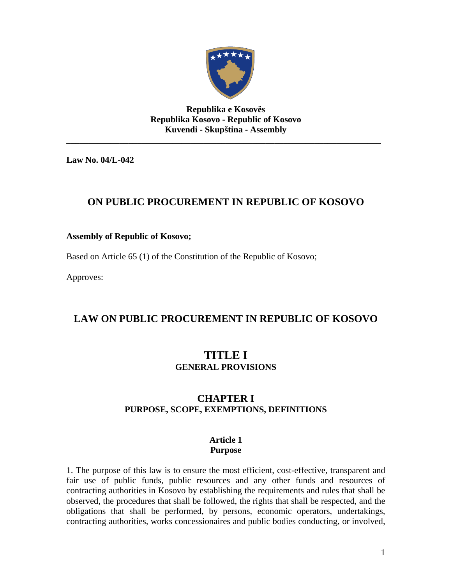

**Republika e Kosovës Republika Kosovo - Republic of Kosovo Kuvendi - Skupština - Assembly**  \_\_\_\_\_\_\_\_\_\_\_\_\_\_\_\_\_\_\_\_\_\_\_\_\_\_\_\_\_\_\_\_\_\_\_\_\_\_\_\_\_\_\_\_\_\_\_\_\_\_\_\_\_\_\_\_\_\_\_\_\_\_\_\_\_\_\_\_\_\_\_

**Law No. 04/L-042** 

# **ON PUBLIC PROCUREMENT IN REPUBLIC OF KOSOVO**

# **Assembly of Republic of Kosovo;**

Based on Article 65 (1) of the Constitution of the Republic of Kosovo;

Approves:

# **LAW ON PUBLIC PROCUREMENT IN REPUBLIC OF KOSOVO**

# **TITLE I GENERAL PROVISIONS**

# **CHAPTER I PURPOSE, SCOPE, EXEMPTIONS, DEFINITIONS**

#### **Article 1 Purpose**

1. The purpose of this law is to ensure the most efficient, cost-effective, transparent and fair use of public funds, public resources and any other funds and resources of contracting authorities in Kosovo by establishing the requirements and rules that shall be observed, the procedures that shall be followed, the rights that shall be respected, and the obligations that shall be performed, by persons, economic operators, undertakings, contracting authorities, works concessionaires and public bodies conducting, or involved,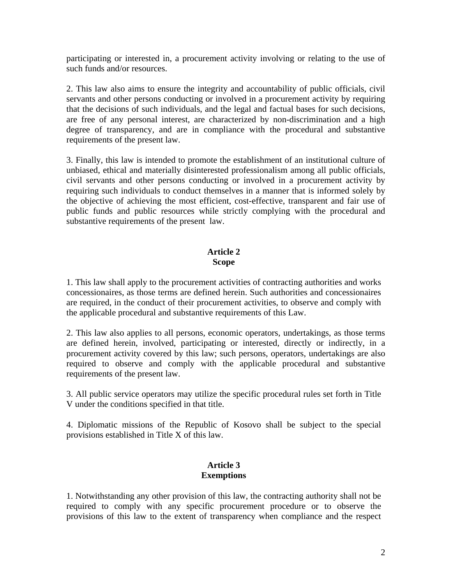participating or interested in, a procurement activity involving or relating to the use of such funds and/or resources.

2. This law also aims to ensure the integrity and accountability of public officials, civil servants and other persons conducting or involved in a procurement activity by requiring that the decisions of such individuals, and the legal and factual bases for such decisions, are free of any personal interest, are characterized by non-discrimination and a high degree of transparency, and are in compliance with the procedural and substantive requirements of the present law.

3. Finally, this law is intended to promote the establishment of an institutional culture of unbiased, ethical and materially disinterested professionalism among all public officials, civil servants and other persons conducting or involved in a procurement activity by requiring such individuals to conduct themselves in a manner that is informed solely by the objective of achieving the most efficient, cost-effective, transparent and fair use of public funds and public resources while strictly complying with the procedural and substantive requirements of the present law.

# **Article 2 Scope**

1. This law shall apply to the procurement activities of contracting authorities and works concessionaires, as those terms are defined herein. Such authorities and concessionaires are required, in the conduct of their procurement activities, to observe and comply with the applicable procedural and substantive requirements of this Law.

2. This law also applies to all persons, economic operators, undertakings, as those terms are defined herein, involved, participating or interested, directly or indirectly, in a procurement activity covered by this law; such persons, operators, undertakings are also required to observe and comply with the applicable procedural and substantive requirements of the present law.

3. All public service operators may utilize the specific procedural rules set forth in Title V under the conditions specified in that title.

4. Diplomatic missions of the Republic of Kosovo shall be subject to the special provisions established in Title X of this law.

## **Article 3 Exemptions**

1. Notwithstanding any other provision of this law, the contracting authority shall not be required to comply with any specific procurement procedure or to observe the provisions of this law to the extent of transparency when compliance and the respect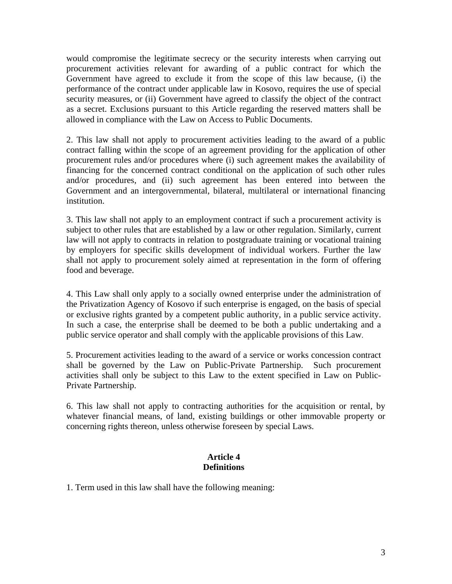would compromise the legitimate secrecy or the security interests when carrying out procurement activities relevant for awarding of a public contract for which the Government have agreed to exclude it from the scope of this law because, (i) the performance of the contract under applicable law in Kosovo, requires the use of special security measures, or (ii) Government have agreed to classify the object of the contract as a secret. Exclusions pursuant to this Article regarding the reserved matters shall be allowed in compliance with the Law on Access to Public Documents.

2. This law shall not apply to procurement activities leading to the award of a public contract falling within the scope of an agreement providing for the application of other procurement rules and/or procedures where (i) such agreement makes the availability of financing for the concerned contract conditional on the application of such other rules and/or procedures, and (ii) such agreement has been entered into between the Government and an intergovernmental, bilateral, multilateral or international financing institution.

3. This law shall not apply to an employment contract if such a procurement activity is subject to other rules that are established by a law or other regulation. Similarly, current law will not apply to contracts in relation to postgraduate training or vocational training by employers for specific skills development of individual workers. Further the law shall not apply to procurement solely aimed at representation in the form of offering food and beverage.

4. This Law shall only apply to a socially owned enterprise under the administration of the Privatization Agency of Kosovo if such enterprise is engaged, on the basis of special or exclusive rights granted by a competent public authority, in a public service activity. In such a case, the enterprise shall be deemed to be both a public undertaking and a public service operator and shall comply with the applicable provisions of this Law.

5. Procurement activities leading to the award of a service or works concession contract shall be governed by the Law on Public-Private Partnership. Such procurement activities shall only be subject to this Law to the extent specified in Law on Public-Private Partnership.

6. This law shall not apply to contracting authorities for the acquisition or rental, by whatever financial means, of land, existing buildings or other immovable property or concerning rights thereon, unless otherwise foreseen by special Laws.

## **Article 4 Definitions**

1. Term used in this law shall have the following meaning: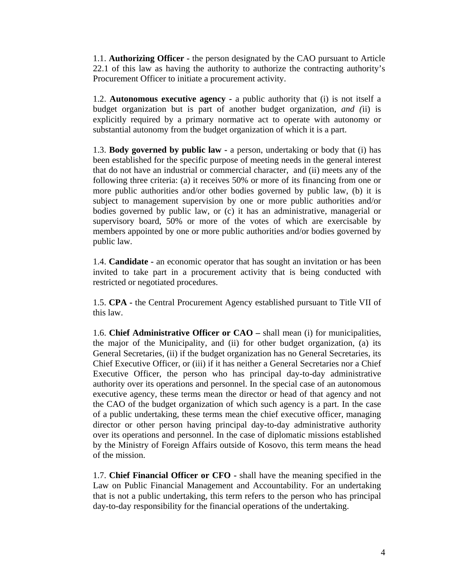1.1. **Authorizing Officer -** the person designated by the CAO pursuant to Article 22.1 of this law as having the authority to authorize the contracting authority's Procurement Officer to initiate a procurement activity.

1.2. **Autonomous executive agency -** a public authority that (i) is not itself a budget organization but is part of another budget organization, *and (*ii) is explicitly required by a primary normative act to operate with autonomy or substantial autonomy from the budget organization of which it is a part.

1.3. **Body governed by public law -** a person, undertaking or body that (i) has been established for the specific purpose of meeting needs in the general interest that do not have an industrial or commercial character, and (ii) meets any of the following three criteria: (a) it receives 50% or more of its financing from one or more public authorities and/or other bodies governed by public law, (b) it is subject to management supervision by one or more public authorities and/or bodies governed by public law, or (c) it has an administrative, managerial or supervisory board, 50% or more of the votes of which are exercisable by members appointed by one or more public authorities and/or bodies governed by public law.

1.4. **Candidate -** an economic operator that has sought an invitation or has been invited to take part in a procurement activity that is being conducted with restricted or negotiated procedures.

1.5. **CPA -** the Central Procurement Agency established pursuant to Title VII of this law.

1.6. **Chief Administrative Officer or CAO –** shall mean (i) for municipalities, the major of the Municipality, and (ii) for other budget organization, (a) its General Secretaries, (ii) if the budget organization has no General Secretaries, its Chief Executive Officer, or (iii) if it has neither a General Secretaries nor a Chief Executive Officer, the person who has principal day-to-day administrative authority over its operations and personnel. In the special case of an autonomous executive agency, these terms mean the director or head of that agency and not the CAO of the budget organization of which such agency is a part. In the case of a public undertaking, these terms mean the chief executive officer, managing director or other person having principal day-to-day administrative authority over its operations and personnel. In the case of diplomatic missions established by the Ministry of Foreign Affairs outside of Kosovo, this term means the head of the mission.

1.7. **Chief Financial Officer or CFO -** shall have the meaning specified in the Law on Public Financial Management and Accountability. For an undertaking that is not a public undertaking, this term refers to the person who has principal day-to-day responsibility for the financial operations of the undertaking.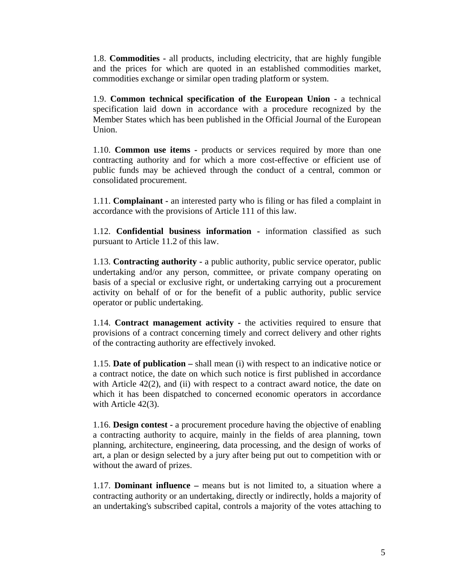1.8. **Commodities -** all products, including electricity, that are highly fungible and the prices for which are quoted in an established commodities market, commodities exchange or similar open trading platform or system.

1.9. **Common technical specification of the European Union -** a technical specification laid down in accordance with a procedure recognized by the Member States which has been published in the Official Journal of the European Union.

1.10. **Common use items -** products or services required by more than one contracting authority and for which a more cost-effective or efficient use of public funds may be achieved through the conduct of a central, common or consolidated procurement.

1.11. **Complainant -** an interested party who is filing or has filed a complaint in accordance with the provisions of Article 111 of this law.

1.12. **Confidential business information -** information classified as such pursuant to Article 11.2 of this law.

1.13. **Contracting authority -** a public authority, public service operator, public undertaking and/or any person, committee, or private company operating on basis of a special or exclusive right, or undertaking carrying out a procurement activity on behalf of or for the benefit of a public authority, public service operator or public undertaking.

1.14. **Contract management activity -** the activities required to ensure that provisions of a contract concerning timely and correct delivery and other rights of the contracting authority are effectively invoked.

1.15. **Date of publication –** shall mean (i) with respect to an indicative notice or a contract notice, the date on which such notice is first published in accordance with Article  $42(2)$ , and (ii) with respect to a contract award notice, the date on which it has been dispatched to concerned economic operators in accordance with Article 42(3).

1.16. **Design contest -** a procurement procedure having the objective of enabling a contracting authority to acquire, mainly in the fields of area planning, town planning, architecture, engineering, data processing, and the design of works of art, a plan or design selected by a jury after being put out to competition with or without the award of prizes.

1.17. **Dominant influence –** means but is not limited to, a situation where a contracting authority or an undertaking, directly or indirectly, holds a majority of an undertaking's subscribed capital, controls a majority of the votes attaching to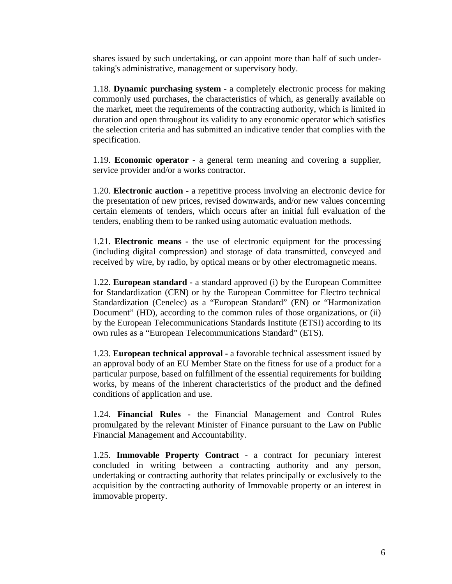shares issued by such undertaking, or can appoint more than half of such undertaking's administrative, management or supervisory body.

1.18. **Dynamic purchasing system** - a completely electronic process for making commonly used purchases, the characteristics of which, as generally available on the market, meet the requirements of the contracting authority, which is limited in duration and open throughout its validity to any economic operator which satisfies the selection criteria and has submitted an indicative tender that complies with the specification.

1.19. **Economic operator -** a general term meaning and covering a supplier, service provider and/or a works contractor.

1.20. **Electronic auction -** a repetitive process involving an electronic device for the presentation of new prices, revised downwards, and/or new values concerning certain elements of tenders, which occurs after an initial full evaluation of the tenders, enabling them to be ranked using automatic evaluation methods.

1.21. **Electronic means -** the use of electronic equipment for the processing (including digital compression) and storage of data transmitted, conveyed and received by wire, by radio, by optical means or by other electromagnetic means.

1.22. **European standard -** a standard approved (i) by the European Committee for Standardization (CEN) or by the European Committee for Electro technical Standardization (Cenelec) as a "European Standard" (EN) or "Harmonization Document" (HD), according to the common rules of those organizations, or (ii) by the European Telecommunications Standards Institute (ETSI) according to its own rules as a "European Telecommunications Standard" (ETS).

1.23. **European technical approval -** a favorable technical assessment issued by an approval body of an EU Member State on the fitness for use of a product for a particular purpose, based on fulfillment of the essential requirements for building works, by means of the inherent characteristics of the product and the defined conditions of application and use.

1.24. **Financial Rules -** the Financial Management and Control Rules promulgated by the relevant Minister of Finance pursuant to the Law on Public Financial Management and Accountability.

1.25. **Immovable Property Contract -** a contract for pecuniary interest concluded in writing between a contracting authority and any person, undertaking or contracting authority that relates principally or exclusively to the acquisition by the contracting authority of Immovable property or an interest in immovable property.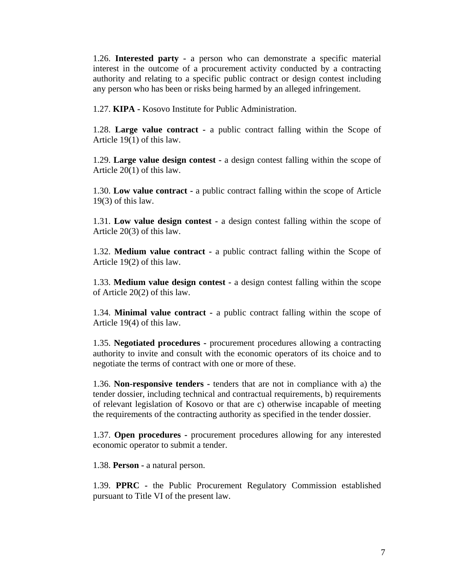1.26. **Interested party -** a person who can demonstrate a specific material interest in the outcome of a procurement activity conducted by a contracting authority and relating to a specific public contract or design contest including any person who has been or risks being harmed by an alleged infringement.

1.27. **KIPA -** Kosovo Institute for Public Administration.

1.28. **Large value contract -** a public contract falling within the Scope of Article 19(1) of this law.

1.29. **Large value design contest -** a design contest falling within the scope of Article 20(1) of this law.

1.30. **Low value contract -** a public contract falling within the scope of Article 19(3) of this law.

1.31. **Low value design contest -** a design contest falling within the scope of Article 20(3) of this law.

1.32. **Medium value contract -** a public contract falling within the Scope of Article 19(2) of this law.

1.33. **Medium value design contest -** a design contest falling within the scope of Article 20(2) of this law.

1.34. **Minimal value contract -** a public contract falling within the scope of Article 19(4) of this law.

1.35. **Negotiated procedures -** procurement procedures allowing a contracting authority to invite and consult with the economic operators of its choice and to negotiate the terms of contract with one or more of these.

1.36. **Non-responsive tenders -** tenders that are not in compliance with a) the tender dossier, including technical and contractual requirements, b) requirements of relevant legislation of Kosovo or that are c) otherwise incapable of meeting the requirements of the contracting authority as specified in the tender dossier.

1.37. **Open procedures -** procurement procedures allowing for any interested economic operator to submit a tender.

1.38. **Person -** a natural person.

1.39. **PPRC -** the Public Procurement Regulatory Commission established pursuant to Title VI of the present law.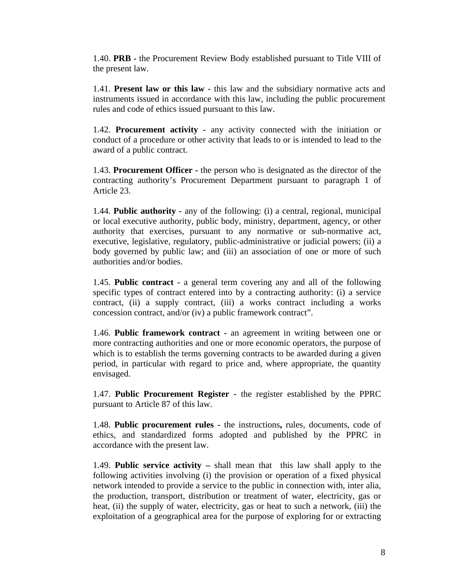1.40. **PRB -** the Procurement Review Body established pursuant to Title VIII of the present law.

1.41. **Present law or this law -** this law and the subsidiary normative acts and instruments issued in accordance with this law, including the public procurement rules and code of ethics issued pursuant to this law.

1.42. **Procurement activity -** any activity connected with the initiation or conduct of a procedure or other activity that leads to or is intended to lead to the award of a public contract.

1.43. **Procurement Officer -** the person who is designated as the director of the contracting authority's Procurement Department pursuant to paragraph 1 of Article 23.

1.44. **Public authority -** any of the following: (i) a central, regional, municipal or local executive authority, public body, ministry, department, agency, or other authority that exercises, pursuant to any normative or sub-normative act, executive, legislative, regulatory, public-administrative or judicial powers; (ii) a body governed by public law; and (iii) an association of one or more of such authorities and/or bodies.

1.45. **Public contract -** a general term covering any and all of the following specific types of contract entered into by a contracting authority: (i) a service contract, (ii) a supply contract, (iii) a works contract including a works concession contract, and/or (iv) a public framework contract".

1.46. **Public framework contract -** an agreement in writing between one or more contracting authorities and one or more economic operators, the purpose of which is to establish the terms governing contracts to be awarded during a given period, in particular with regard to price and, where appropriate, the quantity envisaged.

1.47. **Public Procurement Register -** the register established by the PPRC pursuant to Article 87 of this law.

1.48. **Public procurement rules -** the instructions**,** rules, documents, code of ethics, and standardized forms adopted and published by the PPRC in accordance with the present law.

1.49. **Public service activity –** shall mean that this law shall apply to the following activities involving (i) the provision or operation of a fixed physical network intended to provide a service to the public in connection with, inter alia, the production, transport, distribution or treatment of water, electricity, gas or heat, (ii) the supply of water, electricity, gas or heat to such a network, (iii) the exploitation of a geographical area for the purpose of exploring for or extracting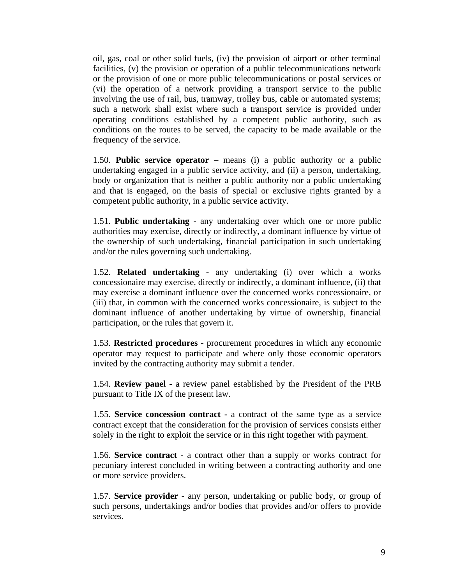oil, gas, coal or other solid fuels, (iv) the provision of airport or other terminal facilities, (v) the provision or operation of a public telecommunications network or the provision of one or more public telecommunications or postal services or (vi) the operation of a network providing a transport service to the public involving the use of rail, bus, tramway, trolley bus, cable or automated systems; such a network shall exist where such a transport service is provided under operating conditions established by a competent public authority, such as conditions on the routes to be served, the capacity to be made available or the frequency of the service.

1.50. **Public service operator –** means (i) a public authority or a public undertaking engaged in a public service activity, and (ii) a person, undertaking, body or organization that is neither a public authority nor a public undertaking and that is engaged, on the basis of special or exclusive rights granted by a competent public authority, in a public service activity.

1.51. **Public undertaking -** any undertaking over which one or more public authorities may exercise, directly or indirectly, a dominant influence by virtue of the ownership of such undertaking, financial participation in such undertaking and/or the rules governing such undertaking.

1.52. **Related undertaking -** any undertaking (i) over which a works concessionaire may exercise, directly or indirectly, a dominant influence, (ii) that may exercise a dominant influence over the concerned works concessionaire, or (iii) that, in common with the concerned works concessionaire, is subject to the dominant influence of another undertaking by virtue of ownership, financial participation, or the rules that govern it.

1.53. **Restricted procedures -** procurement procedures in which any economic operator may request to participate and where only those economic operators invited by the contracting authority may submit a tender.

1.54. **Review panel -** a review panel established by the President of the PRB pursuant to Title IX of the present law.

1.55. **Service concession contract -** a contract of the same type as a service contract except that the consideration for the provision of services consists either solely in the right to exploit the service or in this right together with payment.

1.56. **Service contract -** a contract other than a supply or works contract for pecuniary interest concluded in writing between a contracting authority and one or more service providers.

1.57. **Service provider -** any person, undertaking or public body, or group of such persons, undertakings and/or bodies that provides and/or offers to provide services.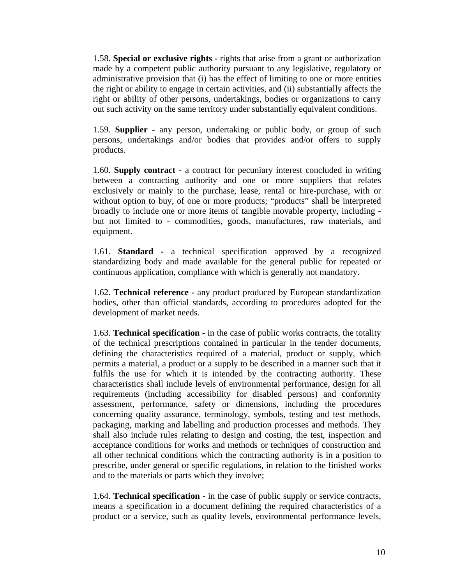1.58. **Special or exclusive rights -** rights that arise from a grant or authorization made by a competent public authority pursuant to any legislative, regulatory or administrative provision that (i) has the effect of limiting to one or more entities the right or ability to engage in certain activities, and (ii) substantially affects the right or ability of other persons, undertakings, bodies or organizations to carry out such activity on the same territory under substantially equivalent conditions.

1.59. **Supplier -** any person, undertaking or public body, or group of such persons, undertakings and/or bodies that provides and/or offers to supply products.

1.60. **Supply contract -** a contract for pecuniary interest concluded in writing between a contracting authority and one or more suppliers that relates exclusively or mainly to the purchase, lease, rental or hire-purchase, with or without option to buy, of one or more products; "products" shall be interpreted broadly to include one or more items of tangible movable property, including but not limited to - commodities, goods, manufactures, raw materials, and equipment.

1.61. **Standard -** a technical specification approved by a recognized standardizing body and made available for the general public for repeated or continuous application, compliance with which is generally not mandatory.

1.62. **Technical reference -** any product produced by European standardization bodies, other than official standards, according to procedures adopted for the development of market needs.

1.63. **Technical specification -** in the case of public works contracts, the totality of the technical prescriptions contained in particular in the tender documents, defining the characteristics required of a material, product or supply, which permits a material, a product or a supply to be described in a manner such that it fulfils the use for which it is intended by the contracting authority. These characteristics shall include levels of environmental performance, design for all requirements (including accessibility for disabled persons) and conformity assessment, performance, safety or dimensions, including the procedures concerning quality assurance, terminology, symbols, testing and test methods, packaging, marking and labelling and production processes and methods. They shall also include rules relating to design and costing, the test, inspection and acceptance conditions for works and methods or techniques of construction and all other technical conditions which the contracting authority is in a position to prescribe, under general or specific regulations, in relation to the finished works and to the materials or parts which they involve;

1.64. **Technical specification -** in the case of public supply or service contracts, means a specification in a document defining the required characteristics of a product or a service, such as quality levels, environmental performance levels,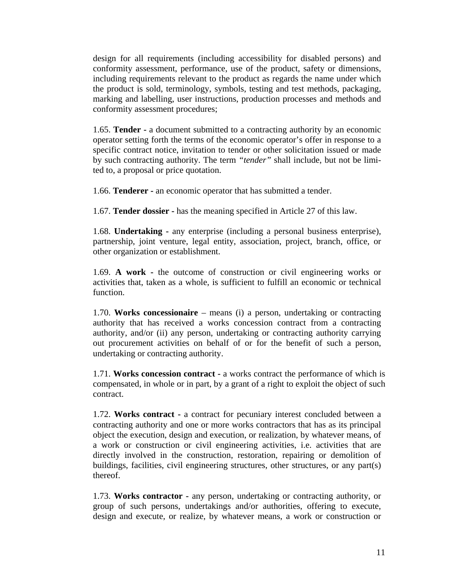design for all requirements (including accessibility for disabled persons) and conformity assessment, performance, use of the product, safety or dimensions, including requirements relevant to the product as regards the name under which the product is sold, terminology, symbols, testing and test methods, packaging, marking and labelling, user instructions, production processes and methods and conformity assessment procedures;

1.65. **Tender -** a document submitted to a contracting authority by an economic operator setting forth the terms of the economic operator's offer in response to a specific contract notice, invitation to tender or other solicitation issued or made by such contracting authority. The term *"tender"* shall include, but not be limited to, a proposal or price quotation.

1.66. **Tenderer -** an economic operator that has submitted a tender.

1.67. **Tender dossier -** has the meaning specified in Article 27 of this law.

1.68. **Undertaking -** any enterprise (including a personal business enterprise), partnership, joint venture, legal entity, association, project, branch, office, or other organization or establishment.

1.69. **A work -** the outcome of construction or civil engineering works or activities that, taken as a whole, is sufficient to fulfill an economic or technical function.

1.70. **Works concessionaire** – means (i) a person, undertaking or contracting authority that has received a works concession contract from a contracting authority, and/or (ii) any person, undertaking or contracting authority carrying out procurement activities on behalf of or for the benefit of such a person, undertaking or contracting authority.

1.71. **Works concession contract -** a works contract the performance of which is compensated, in whole or in part, by a grant of a right to exploit the object of such contract.

1.72. **Works contract -** a contract for pecuniary interest concluded between a contracting authority and one or more works contractors that has as its principal object the execution, design and execution, or realization, by whatever means, of a work or construction or civil engineering activities, i.e. activities that are directly involved in the construction, restoration, repairing or demolition of buildings, facilities, civil engineering structures, other structures, or any part(s) thereof.

1.73. **Works contractor -** any person, undertaking or contracting authority, or group of such persons, undertakings and/or authorities, offering to execute, design and execute, or realize, by whatever means, a work or construction or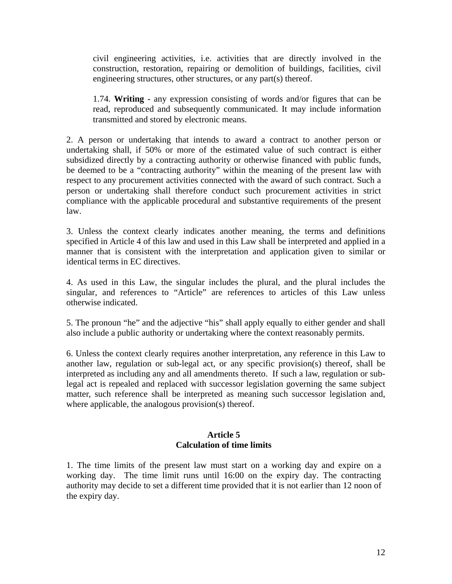civil engineering activities, i.e. activities that are directly involved in the construction, restoration, repairing or demolition of buildings, facilities, civil engineering structures, other structures, or any part(s) thereof.

1.74. **Writing -** any expression consisting of words and/or figures that can be read, reproduced and subsequently communicated. It may include information transmitted and stored by electronic means.

2. A person or undertaking that intends to award a contract to another person or undertaking shall, if 50% or more of the estimated value of such contract is either subsidized directly by a contracting authority or otherwise financed with public funds, be deemed to be a "contracting authority" within the meaning of the present law with respect to any procurement activities connected with the award of such contract. Such a person or undertaking shall therefore conduct such procurement activities in strict compliance with the applicable procedural and substantive requirements of the present law.

3. Unless the context clearly indicates another meaning, the terms and definitions specified in Article 4 of this law and used in this Law shall be interpreted and applied in a manner that is consistent with the interpretation and application given to similar or identical terms in EC directives.

4. As used in this Law, the singular includes the plural, and the plural includes the singular, and references to "Article" are references to articles of this Law unless otherwise indicated.

5. The pronoun "he" and the adjective "his" shall apply equally to either gender and shall also include a public authority or undertaking where the context reasonably permits.

6. Unless the context clearly requires another interpretation, any reference in this Law to another law, regulation or sub-legal act, or any specific provision(s) thereof, shall be interpreted as including any and all amendments thereto. If such a law, regulation or sublegal act is repealed and replaced with successor legislation governing the same subject matter, such reference shall be interpreted as meaning such successor legislation and, where applicable, the analogous provision(s) thereof.

## **Article 5 Calculation of time limits**

1. The time limits of the present law must start on a working day and expire on a working day. The time limit runs until 16:00 on the expiry day. The contracting authority may decide to set a different time provided that it is not earlier than 12 noon of the expiry day.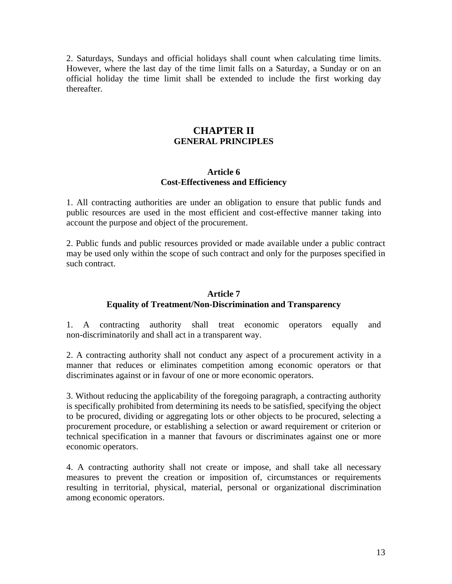2. Saturdays, Sundays and official holidays shall count when calculating time limits. However, where the last day of the time limit falls on a Saturday, a Sunday or on an official holiday the time limit shall be extended to include the first working day thereafter.

# **CHAPTER II GENERAL PRINCIPLES**

#### **Article 6 Cost-Effectiveness and Efficiency**

1. All contracting authorities are under an obligation to ensure that public funds and public resources are used in the most efficient and cost-effective manner taking into account the purpose and object of the procurement.

2. Public funds and public resources provided or made available under a public contract may be used only within the scope of such contract and only for the purposes specified in such contract.

# **Article 7 Equality of Treatment/Non-Discrimination and Transparency**

1. A contracting authority shall treat economic operators equally and non-discriminatorily and shall act in a transparent way.

2. A contracting authority shall not conduct any aspect of a procurement activity in a manner that reduces or eliminates competition among economic operators or that discriminates against or in favour of one or more economic operators.

3. Without reducing the applicability of the foregoing paragraph, a contracting authority is specifically prohibited from determining its needs to be satisfied, specifying the object to be procured, dividing or aggregating lots or other objects to be procured, selecting a procurement procedure, or establishing a selection or award requirement or criterion or technical specification in a manner that favours or discriminates against one or more economic operators.

4. A contracting authority shall not create or impose, and shall take all necessary measures to prevent the creation or imposition of, circumstances or requirements resulting in territorial, physical, material, personal or organizational discrimination among economic operators.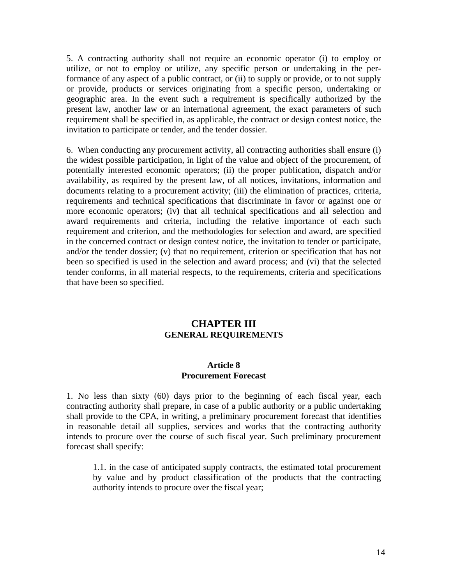5. A contracting authority shall not require an economic operator (i) to employ or utilize, or not to employ or utilize, any specific person or undertaking in the performance of any aspect of a public contract, or (ii) to supply or provide, or to not supply or provide, products or services originating from a specific person, undertaking or geographic area. In the event such a requirement is specifically authorized by the present law, another law or an international agreement, the exact parameters of such requirement shall be specified in, as applicable, the contract or design contest notice, the invitation to participate or tender, and the tender dossier.

6.When conducting any procurement activity, all contracting authorities shall ensure (i) the widest possible participation, in light of the value and object of the procurement, of potentially interested economic operators; (ii) the proper publication, dispatch and/or availability, as required by the present law, of all notices, invitations, information and documents relating to a procurement activity; (iii) the elimination of practices, criteria, requirements and technical specifications that discriminate in favor or against one or more economic operators; (iv**)** that all technical specifications and all selection and award requirements and criteria, including the relative importance of each such requirement and criterion, and the methodologies for selection and award, are specified in the concerned contract or design contest notice, the invitation to tender or participate, and/or the tender dossier; (v) that no requirement, criterion or specification that has not been so specified is used in the selection and award process; and (vi) that the selected tender conforms, in all material respects, to the requirements, criteria and specifications that have been so specified.

# **CHAPTER III GENERAL REQUIREMENTS**

## **Article 8 Procurement Forecast**

1. No less than sixty (60) days prior to the beginning of each fiscal year, each contracting authority shall prepare, in case of a public authority or a public undertaking shall provide to the CPA, in writing, a preliminary procurement forecast that identifies in reasonable detail all supplies, services and works that the contracting authority intends to procure over the course of such fiscal year. Such preliminary procurement forecast shall specify:

1.1. in the case of anticipated supply contracts, the estimated total procurement by value and by product classification of the products that the contracting authority intends to procure over the fiscal year;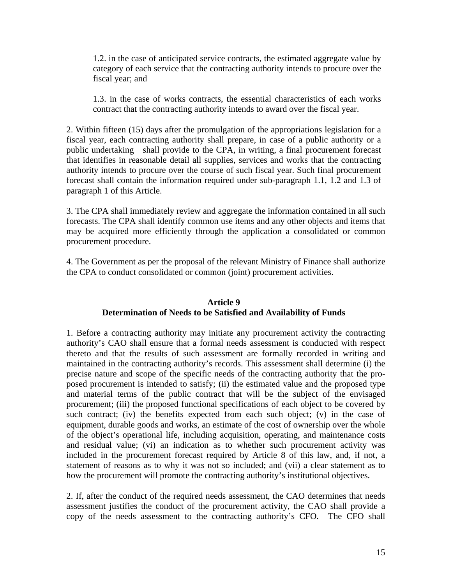1.2. in the case of anticipated service contracts, the estimated aggregate value by category of each service that the contracting authority intends to procure over the fiscal year; and

1.3. in the case of works contracts, the essential characteristics of each works contract that the contracting authority intends to award over the fiscal year.

2. Within fifteen (15) days after the promulgation of the appropriations legislation for a fiscal year, each contracting authority shall prepare, in case of a public authority or a public undertaking shall provide to the CPA, in writing, a final procurement forecast that identifies in reasonable detail all supplies, services and works that the contracting authority intends to procure over the course of such fiscal year. Such final procurement forecast shall contain the information required under sub-paragraph 1.1, 1.2 and 1.3 of paragraph 1 of this Article.

3. The CPA shall immediately review and aggregate the information contained in all such forecasts. The CPA shall identify common use items and any other objects and items that may be acquired more efficiently through the application a consolidated or common procurement procedure.

4. The Government as per the proposal of the relevant Ministry of Finance shall authorize the CPA to conduct consolidated or common (joint) procurement activities.

## **Article 9 Determination of Needs to be Satisfied and Availability of Funds**

1. Before a contracting authority may initiate any procurement activity the contracting authority's CAO shall ensure that a formal needs assessment is conducted with respect thereto and that the results of such assessment are formally recorded in writing and maintained in the contracting authority's records. This assessment shall determine (i) the precise nature and scope of the specific needs of the contracting authority that the proposed procurement is intended to satisfy; (ii) the estimated value and the proposed type and material terms of the public contract that will be the subject of the envisaged procurement; (iii) the proposed functional specifications of each object to be covered by such contract; (iv) the benefits expected from each such object; (v) in the case of equipment, durable goods and works, an estimate of the cost of ownership over the whole of the object's operational life, including acquisition, operating, and maintenance costs and residual value; (vi) an indication as to whether such procurement activity was included in the procurement forecast required by Article 8 of this law, and, if not, a statement of reasons as to why it was not so included; and (vii) a clear statement as to how the procurement will promote the contracting authority's institutional objectives.

2. If, after the conduct of the required needs assessment, the CAO determines that needs assessment justifies the conduct of the procurement activity, the CAO shall provide a copy of the needs assessment to the contracting authority's CFO. The CFO shall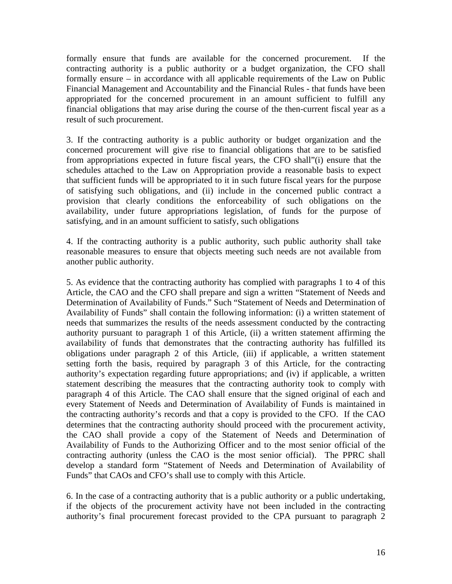formally ensure that funds are available for the concerned procurement. If the contracting authority is a public authority or a budget organization, the CFO shall formally ensure – in accordance with all applicable requirements of the Law on Public Financial Management and Accountability and the Financial Rules - that funds have been appropriated for the concerned procurement in an amount sufficient to fulfill any financial obligations that may arise during the course of the then-current fiscal year as a result of such procurement.

3. If the contracting authority is a public authority or budget organization and the concerned procurement will give rise to financial obligations that are to be satisfied from appropriations expected in future fiscal years, the CFO shall"(i) ensure that the schedules attached to the Law on Appropriation provide a reasonable basis to expect that sufficient funds will be appropriated to it in such future fiscal years for the purpose of satisfying such obligations, and (ii) include in the concerned public contract a provision that clearly conditions the enforceability of such obligations on the availability, under future appropriations legislation, of funds for the purpose of satisfying, and in an amount sufficient to satisfy, such obligations

4. If the contracting authority is a public authority, such public authority shall take reasonable measures to ensure that objects meeting such needs are not available from another public authority.

5. As evidence that the contracting authority has complied with paragraphs 1 to 4 of this Article, the CAO and the CFO shall prepare and sign a written "Statement of Needs and Determination of Availability of Funds." Such "Statement of Needs and Determination of Availability of Funds" shall contain the following information: (i) a written statement of needs that summarizes the results of the needs assessment conducted by the contracting authority pursuant to paragraph 1 of this Article, (ii) a written statement affirming the availability of funds that demonstrates that the contracting authority has fulfilled its obligations under paragraph 2 of this Article, (iii) if applicable, a written statement setting forth the basis, required by paragraph 3 of this Article, for the contracting authority's expectation regarding future appropriations; and (iv) if applicable, a written statement describing the measures that the contracting authority took to comply with paragraph 4 of this Article. The CAO shall ensure that the signed original of each and every Statement of Needs and Determination of Availability of Funds is maintained in the contracting authority's records and that a copy is provided to the CFO. If the CAO determines that the contracting authority should proceed with the procurement activity, the CAO shall provide a copy of the Statement of Needs and Determination of Availability of Funds to the Authorizing Officer and to the most senior official of the contracting authority (unless the CAO is the most senior official). The PPRC shall develop a standard form "Statement of Needs and Determination of Availability of Funds" that CAOs and CFO's shall use to comply with this Article.

6. In the case of a contracting authority that is a public authority or a public undertaking, if the objects of the procurement activity have not been included in the contracting authority's final procurement forecast provided to the CPA pursuant to paragraph 2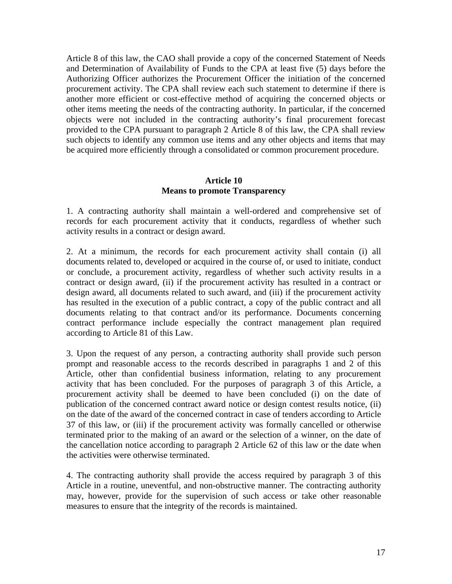Article 8 of this law, the CAO shall provide a copy of the concerned Statement of Needs and Determination of Availability of Funds to the CPA at least five (5) days before the Authorizing Officer authorizes the Procurement Officer the initiation of the concerned procurement activity. The CPA shall review each such statement to determine if there is another more efficient or cost-effective method of acquiring the concerned objects or other items meeting the needs of the contracting authority. In particular, if the concerned objects were not included in the contracting authority's final procurement forecast provided to the CPA pursuant to paragraph 2 Article 8 of this law, the CPA shall review such objects to identify any common use items and any other objects and items that may be acquired more efficiently through a consolidated or common procurement procedure.

## **Article 10 Means to promote Transparency**

1. A contracting authority shall maintain a well-ordered and comprehensive set of records for each procurement activity that it conducts, regardless of whether such activity results in a contract or design award.

2. At a minimum, the records for each procurement activity shall contain (i) all documents related to, developed or acquired in the course of, or used to initiate, conduct or conclude, a procurement activity, regardless of whether such activity results in a contract or design award, (ii) if the procurement activity has resulted in a contract or design award, all documents related to such award, and (iii) if the procurement activity has resulted in the execution of a public contract, a copy of the public contract and all documents relating to that contract and/or its performance. Documents concerning contract performance include especially the contract management plan required according to Article 81 of this Law.

3. Upon the request of any person, a contracting authority shall provide such person prompt and reasonable access to the records described in paragraphs 1 and 2 of this Article, other than confidential business information, relating to any procurement activity that has been concluded. For the purposes of paragraph 3 of this Article, a procurement activity shall be deemed to have been concluded (i) on the date of publication of the concerned contract award notice or design contest results notice, (ii) on the date of the award of the concerned contract in case of tenders according to Article 37 of this law, or (iii) if the procurement activity was formally cancelled or otherwise terminated prior to the making of an award or the selection of a winner, on the date of the cancellation notice according to paragraph 2 Article 62 of this law or the date when the activities were otherwise terminated.

4. The contracting authority shall provide the access required by paragraph 3 of this Article in a routine, uneventful, and non-obstructive manner. The contracting authority may, however, provide for the supervision of such access or take other reasonable measures to ensure that the integrity of the records is maintained.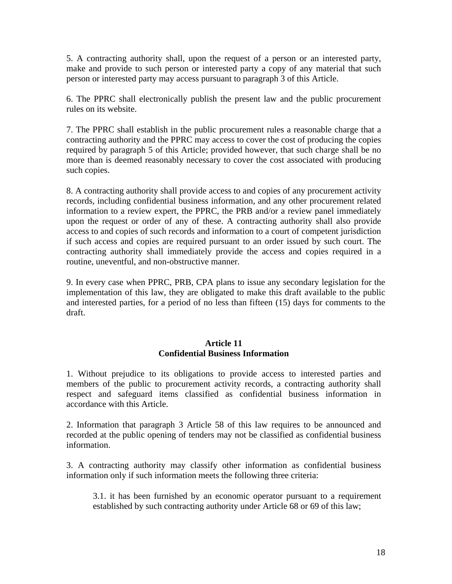5. A contracting authority shall, upon the request of a person or an interested party, make and provide to such person or interested party a copy of any material that such person or interested party may access pursuant to paragraph 3 of this Article.

6. The PPRC shall electronically publish the present law and the public procurement rules on its website.

7. The PPRC shall establish in the public procurement rules a reasonable charge that a contracting authority and the PPRC may access to cover the cost of producing the copies required by paragraph 5 of this Article; provided however, that such charge shall be no more than is deemed reasonably necessary to cover the cost associated with producing such copies.

8. A contracting authority shall provide access to and copies of any procurement activity records, including confidential business information, and any other procurement related information to a review expert, the PPRC, the PRB and/or a review panel immediately upon the request or order of any of these. A contracting authority shall also provide access to and copies of such records and information to a court of competent jurisdiction if such access and copies are required pursuant to an order issued by such court. The contracting authority shall immediately provide the access and copies required in a routine, uneventful, and non-obstructive manner.

9. In every case when PPRC, PRB, CPA plans to issue any secondary legislation for the implementation of this law, they are obligated to make this draft available to the public and interested parties, for a period of no less than fifteen (15) days for comments to the draft.

## **Article 11 Confidential Business Information**

1. Without prejudice to its obligations to provide access to interested parties and members of the public to procurement activity records, a contracting authority shall respect and safeguard items classified as confidential business information in accordance with this Article.

2. Information that paragraph 3 Article 58 of this law requires to be announced and recorded at the public opening of tenders may not be classified as confidential business information.

3. A contracting authority may classify other information as confidential business information only if such information meets the following three criteria:

3.1. it has been furnished by an economic operator pursuant to a requirement established by such contracting authority under Article 68 or 69 of this law;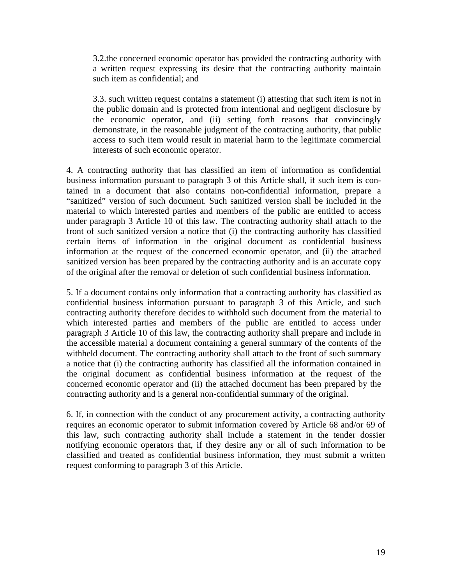3.2.the concerned economic operator has provided the contracting authority with a written request expressing its desire that the contracting authority maintain such item as confidential; and

3.3. such written request contains a statement (i) attesting that such item is not in the public domain and is protected from intentional and negligent disclosure by the economic operator, and (ii) setting forth reasons that convincingly demonstrate, in the reasonable judgment of the contracting authority, that public access to such item would result in material harm to the legitimate commercial interests of such economic operator.

4. A contracting authority that has classified an item of information as confidential business information pursuant to paragraph 3 of this Article shall, if such item is contained in a document that also contains non-confidential information, prepare a "sanitized" version of such document. Such sanitized version shall be included in the material to which interested parties and members of the public are entitled to access under paragraph 3 Article 10 of this law. The contracting authority shall attach to the front of such sanitized version a notice that (i) the contracting authority has classified certain items of information in the original document as confidential business information at the request of the concerned economic operator, and (ii) the attached sanitized version has been prepared by the contracting authority and is an accurate copy of the original after the removal or deletion of such confidential business information.

5. If a document contains only information that a contracting authority has classified as confidential business information pursuant to paragraph 3 of this Article, and such contracting authority therefore decides to withhold such document from the material to which interested parties and members of the public are entitled to access under paragraph 3 Article 10 of this law, the contracting authority shall prepare and include in the accessible material a document containing a general summary of the contents of the withheld document. The contracting authority shall attach to the front of such summary a notice that (i) the contracting authority has classified all the information contained in the original document as confidential business information at the request of the concerned economic operator and (ii) the attached document has been prepared by the contracting authority and is a general non-confidential summary of the original.

6. If, in connection with the conduct of any procurement activity, a contracting authority requires an economic operator to submit information covered by Article 68 and/or 69 of this law, such contracting authority shall include a statement in the tender dossier notifying economic operators that, if they desire any or all of such information to be classified and treated as confidential business information, they must submit a written request conforming to paragraph 3 of this Article.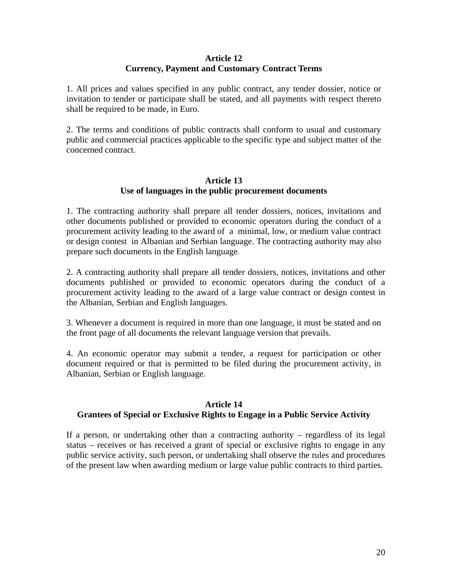## **Article 12 Currency, Payment and Customary Contract Terms**

1. All prices and values specified in any public contract, any tender dossier, notice or invitation to tender or participate shall be stated, and all payments with respect thereto shall be required to be made, in Euro.

2. The terms and conditions of public contracts shall conform to usual and customary public and commercial practices applicable to the specific type and subject matter of the concerned contract.

# **Article 13 Use of languages in the public procurement documents**

1. The contracting authority shall prepare all tender dossiers, notices, invitations and other documents published or provided to economic operators during the conduct of a procurement activity leading to the award of a minimal, low, or medium value contract or design contest in Albanian and Serbian language. The contracting authority may also prepare such documents in the English language.

2. A contracting authority shall prepare all tender dossiers, notices, invitations and other documents published or provided to economic operators during the conduct of a procurement activity leading to the award of a large value contract or design contest in the Albanian, Serbian and English languages.

3. Whenever a document is required in more than one language, it must be stated and on the front page of all documents the relevant language version that prevails.

4. An economic operator may submit a tender, a request for participation or other document required or that is permitted to be filed during the procurement activity, in Albanian, Serbian or English language.

## **Article 14**

## **Grantees of Special or Exclusive Rights to Engage in a Public Service Activity**

If a person, or undertaking other than a contracting authority – regardless of its legal status – receives or has received a grant of special or exclusive rights to engage in any public service activity, such person, or undertaking shall observe the rules and procedures of the present law when awarding medium or large value public contracts to third parties.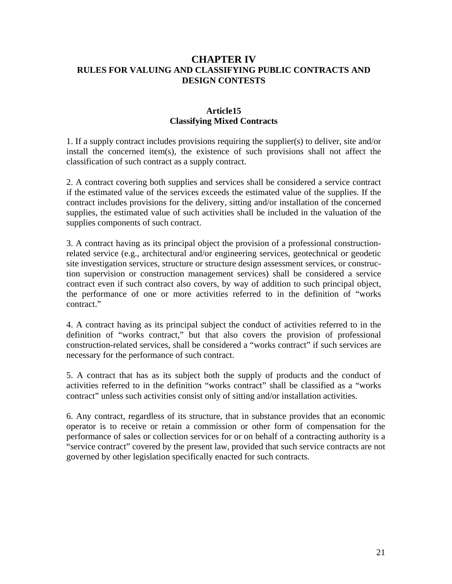# **CHAPTER IV RULES FOR VALUING AND CLASSIFYING PUBLIC CONTRACTS AND DESIGN CONTESTS**

# **Article15 Classifying Mixed Contracts**

1. If a supply contract includes provisions requiring the supplier(s) to deliver, site and/or install the concerned item(s), the existence of such provisions shall not affect the classification of such contract as a supply contract.

2. A contract covering both supplies and services shall be considered a service contract if the estimated value of the services exceeds the estimated value of the supplies. If the contract includes provisions for the delivery, sitting and/or installation of the concerned supplies, the estimated value of such activities shall be included in the valuation of the supplies components of such contract.

3. A contract having as its principal object the provision of a professional constructionrelated service (e.g., architectural and/or engineering services, geotechnical or geodetic site investigation services, structure or structure design assessment services, or construction supervision or construction management services) shall be considered a service contract even if such contract also covers, by way of addition to such principal object, the performance of one or more activities referred to in the definition of "works contract."

4. A contract having as its principal subject the conduct of activities referred to in the definition of "works contract," but that also covers the provision of professional construction-related services, shall be considered a "works contract" if such services are necessary for the performance of such contract.

5. A contract that has as its subject both the supply of products and the conduct of activities referred to in the definition "works contract" shall be classified as a "works contract" unless such activities consist only of sitting and/or installation activities.

6. Any contract, regardless of its structure, that in substance provides that an economic operator is to receive or retain a commission or other form of compensation for the performance of sales or collection services for or on behalf of a contracting authority is a "service contract" covered by the present law, provided that such service contracts are not governed by other legislation specifically enacted for such contracts.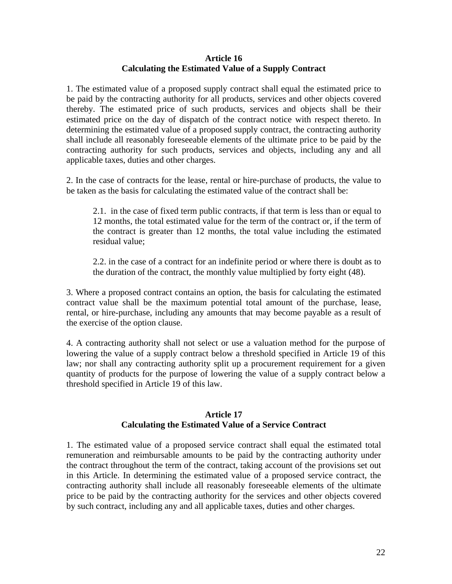## **Article 16 Calculating the Estimated Value of a Supply Contract**

1. The estimated value of a proposed supply contract shall equal the estimated price to be paid by the contracting authority for all products, services and other objects covered thereby. The estimated price of such products, services and objects shall be their estimated price on the day of dispatch of the contract notice with respect thereto. In determining the estimated value of a proposed supply contract, the contracting authority shall include all reasonably foreseeable elements of the ultimate price to be paid by the contracting authority for such products, services and objects, including any and all applicable taxes, duties and other charges.

2. In the case of contracts for the lease, rental or hire-purchase of products, the value to be taken as the basis for calculating the estimated value of the contract shall be:

2.1. in the case of fixed term public contracts, if that term is less than or equal to 12 months, the total estimated value for the term of the contract or, if the term of the contract is greater than 12 months, the total value including the estimated residual value;

2.2. in the case of a contract for an indefinite period or where there is doubt as to the duration of the contract, the monthly value multiplied by forty eight (48).

3. Where a proposed contract contains an option, the basis for calculating the estimated contract value shall be the maximum potential total amount of the purchase, lease, rental, or hire-purchase, including any amounts that may become payable as a result of the exercise of the option clause.

4. A contracting authority shall not select or use a valuation method for the purpose of lowering the value of a supply contract below a threshold specified in Article 19 of this law; nor shall any contracting authority split up a procurement requirement for a given quantity of products for the purpose of lowering the value of a supply contract below a threshold specified in Article 19 of this law.

#### **Article 17 Calculating the Estimated Value of a Service Contract**

1. The estimated value of a proposed service contract shall equal the estimated total remuneration and reimbursable amounts to be paid by the contracting authority under the contract throughout the term of the contract, taking account of the provisions set out in this Article. In determining the estimated value of a proposed service contract, the contracting authority shall include all reasonably foreseeable elements of the ultimate price to be paid by the contracting authority for the services and other objects covered by such contract, including any and all applicable taxes, duties and other charges.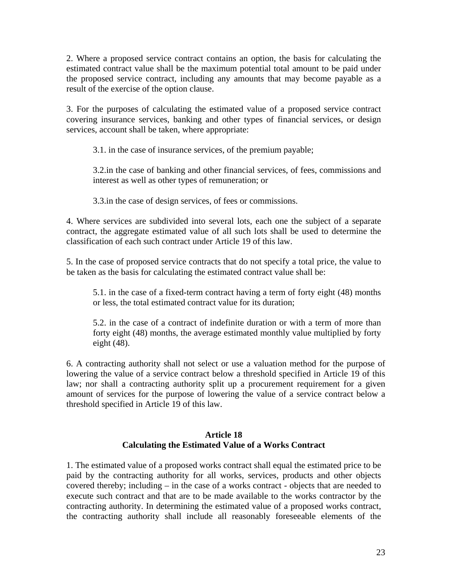2. Where a proposed service contract contains an option, the basis for calculating the estimated contract value shall be the maximum potential total amount to be paid under the proposed service contract, including any amounts that may become payable as a result of the exercise of the option clause.

3. For the purposes of calculating the estimated value of a proposed service contract covering insurance services, banking and other types of financial services, or design services, account shall be taken, where appropriate:

3.1. in the case of insurance services, of the premium payable;

3.2.in the case of banking and other financial services, of fees, commissions and interest as well as other types of remuneration; or

3.3.in the case of design services, of fees or commissions.

4. Where services are subdivided into several lots, each one the subject of a separate contract, the aggregate estimated value of all such lots shall be used to determine the classification of each such contract under Article 19 of this law.

5. In the case of proposed service contracts that do not specify a total price, the value to be taken as the basis for calculating the estimated contract value shall be:

5.1. in the case of a fixed-term contract having a term of forty eight (48) months or less, the total estimated contract value for its duration;

5.2. in the case of a contract of indefinite duration or with a term of more than forty eight (48) months, the average estimated monthly value multiplied by forty eight (48).

6. A contracting authority shall not select or use a valuation method for the purpose of lowering the value of a service contract below a threshold specified in Article 19 of this law; nor shall a contracting authority split up a procurement requirement for a given amount of services for the purpose of lowering the value of a service contract below a threshold specified in Article 19 of this law.

# **Article 18 Calculating the Estimated Value of a Works Contract**

1. The estimated value of a proposed works contract shall equal the estimated price to be paid by the contracting authority for all works, services, products and other objects covered thereby; including – in the case of a works contract - objects that are needed to execute such contract and that are to be made available to the works contractor by the contracting authority. In determining the estimated value of a proposed works contract, the contracting authority shall include all reasonably foreseeable elements of the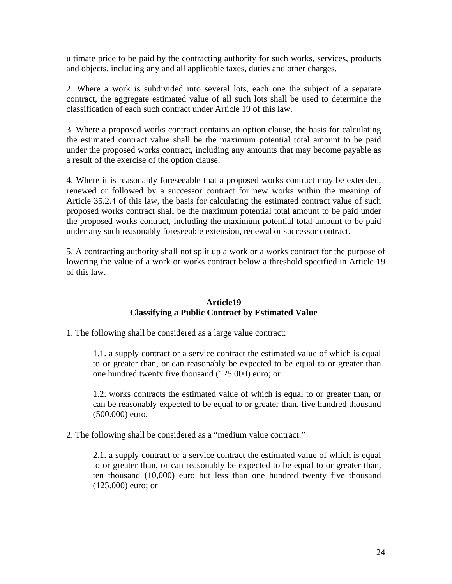ultimate price to be paid by the contracting authority for such works, services, products and objects, including any and all applicable taxes, duties and other charges.

2. Where a work is subdivided into several lots, each one the subject of a separate contract, the aggregate estimated value of all such lots shall be used to determine the classification of each such contract under Article 19 of this law.

3. Where a proposed works contract contains an option clause, the basis for calculating the estimated contract value shall be the maximum potential total amount to be paid under the proposed works contract, including any amounts that may become payable as a result of the exercise of the option clause.

4. Where it is reasonably foreseeable that a proposed works contract may be extended, renewed or followed by a successor contract for new works within the meaning of Article 35.2.4 of this law, the basis for calculating the estimated contract value of such proposed works contract shall be the maximum potential total amount to be paid under the proposed works contract, including the maximum potential total amount to be paid under any such reasonably foreseeable extension, renewal or successor contract.

5. A contracting authority shall not split up a work or a works contract for the purpose of lowering the value of a work or works contract below a threshold specified in Article 19 of this law.

# **Article19 Classifying a Public Contract by Estimated Value**

1. The following shall be considered as a large value contract:

1.1. a supply contract or a service contract the estimated value of which is equal to or greater than, or can reasonably be expected to be equal to or greater than one hundred twenty five thousand (125.000) euro; or

1.2. works contracts the estimated value of which is equal to or greater than, or can be reasonably expected to be equal to or greater than, five hundred thousand (500.000) euro.

2. The following shall be considered as a "medium value contract:"

2.1. a supply contract or a service contract the estimated value of which is equal to or greater than, or can reasonably be expected to be equal to or greater than, ten thousand (10,000) euro but less than one hundred twenty five thousand (125.000) euro; or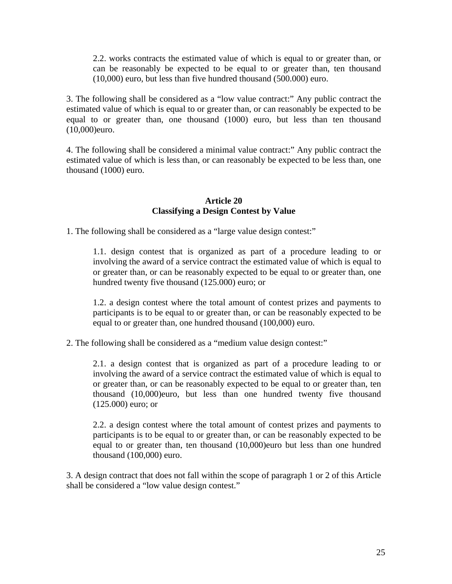2.2. works contracts the estimated value of which is equal to or greater than, or can be reasonably be expected to be equal to or greater than, ten thousand (10,000) euro, but less than five hundred thousand (500.000) euro.

3. The following shall be considered as a "low value contract:" Any public contract the estimated value of which is equal to or greater than, or can reasonably be expected to be equal to or greater than, one thousand (1000) euro, but less than ten thousand (10,000)euro.

4. The following shall be considered a minimal value contract:" Any public contract the estimated value of which is less than, or can reasonably be expected to be less than, one thousand (1000) euro.

# **Article 20 Classifying a Design Contest by Value**

1. The following shall be considered as a "large value design contest:"

1.1. design contest that is organized as part of a procedure leading to or involving the award of a service contract the estimated value of which is equal to or greater than, or can be reasonably expected to be equal to or greater than, one hundred twenty five thousand (125.000) euro; or

1.2. a design contest where the total amount of contest prizes and payments to participants is to be equal to or greater than, or can be reasonably expected to be equal to or greater than, one hundred thousand (100,000) euro.

2. The following shall be considered as a "medium value design contest:"

2.1. a design contest that is organized as part of a procedure leading to or involving the award of a service contract the estimated value of which is equal to or greater than, or can be reasonably expected to be equal to or greater than, ten thousand (10,000)euro, but less than one hundred twenty five thousand (125.000) euro; or

2.2. a design contest where the total amount of contest prizes and payments to participants is to be equal to or greater than, or can be reasonably expected to be equal to or greater than, ten thousand (10,000)euro but less than one hundred thousand (100,000) euro.

3. A design contract that does not fall within the scope of paragraph 1 or 2 of this Article shall be considered a "low value design contest."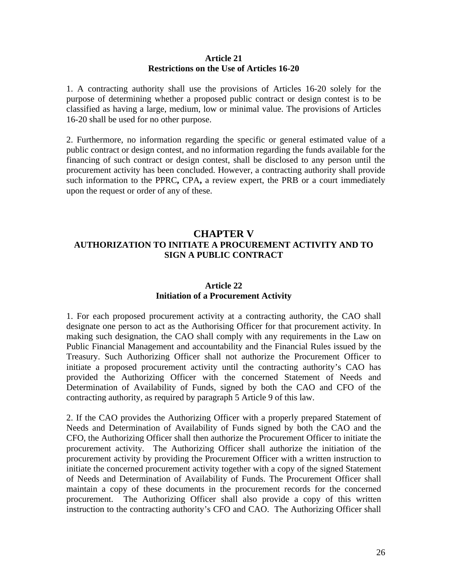#### **Article 21 Restrictions on the Use of Articles 16-20**

1. A contracting authority shall use the provisions of Articles 16-20 solely for the purpose of determining whether a proposed public contract or design contest is to be classified as having a large, medium, low or minimal value. The provisions of Articles 16-20 shall be used for no other purpose.

2. Furthermore, no information regarding the specific or general estimated value of a public contract or design contest, and no information regarding the funds available for the financing of such contract or design contest, shall be disclosed to any person until the procurement activity has been concluded. However, a contracting authority shall provide such information to the PPRC**,** CPA**,** a review expert, the PRB or a court immediately upon the request or order of any of these.

# **CHAPTER V AUTHORIZATION TO INITIATE A PROCUREMENT ACTIVITY AND TO SIGN A PUBLIC CONTRACT**

# **Article 22 Initiation of a Procurement Activity**

1. For each proposed procurement activity at a contracting authority, the CAO shall designate one person to act as the Authorising Officer for that procurement activity. In making such designation, the CAO shall comply with any requirements in the Law on Public Financial Management and accountability and the Financial Rules issued by the Treasury. Such Authorizing Officer shall not authorize the Procurement Officer to initiate a proposed procurement activity until the contracting authority's CAO has provided the Authorizing Officer with the concerned Statement of Needs and Determination of Availability of Funds, signed by both the CAO and CFO of the contracting authority, as required by paragraph 5 Article 9 of this law.

2. If the CAO provides the Authorizing Officer with a properly prepared Statement of Needs and Determination of Availability of Funds signed by both the CAO and the CFO, the Authorizing Officer shall then authorize the Procurement Officer to initiate the procurement activity. The Authorizing Officer shall authorize the initiation of the procurement activity by providing the Procurement Officer with a written instruction to initiate the concerned procurement activity together with a copy of the signed Statement of Needs and Determination of Availability of Funds. The Procurement Officer shall maintain a copy of these documents in the procurement records for the concerned procurement. The Authorizing Officer shall also provide a copy of this written instruction to the contracting authority's CFO and CAO. The Authorizing Officer shall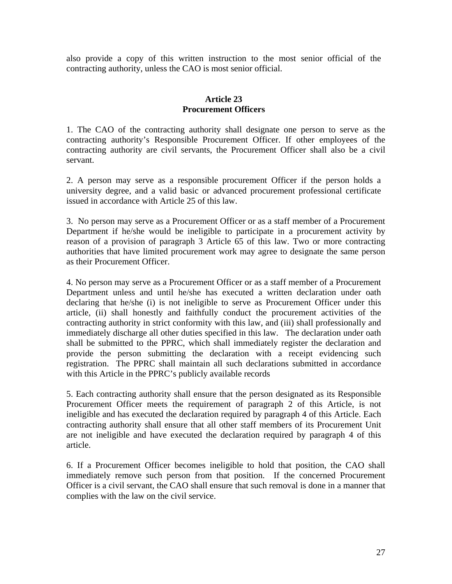also provide a copy of this written instruction to the most senior official of the contracting authority, unless the CAO is most senior official.

# **Article 23 Procurement Officers**

1. The CAO of the contracting authority shall designate one person to serve as the contracting authority's Responsible Procurement Officer. If other employees of the contracting authority are civil servants, the Procurement Officer shall also be a civil servant.

2. A person may serve as a responsible procurement Officer if the person holds a university degree, and a valid basic or advanced procurement professional certificate issued in accordance with Article 25 of this law.

3. No person may serve as a Procurement Officer or as a staff member of a Procurement Department if he/she would be ineligible to participate in a procurement activity by reason of a provision of paragraph 3 Article 65 of this law. Two or more contracting authorities that have limited procurement work may agree to designate the same person as their Procurement Officer.

4. No person may serve as a Procurement Officer or as a staff member of a Procurement Department unless and until he/she has executed a written declaration under oath declaring that he/she (i) is not ineligible to serve as Procurement Officer under this article, (ii) shall honestly and faithfully conduct the procurement activities of the contracting authority in strict conformity with this law, and (iii) shall professionally and immediately discharge all other duties specified in this law. The declaration under oath shall be submitted to the PPRC, which shall immediately register the declaration and provide the person submitting the declaration with a receipt evidencing such registration. The PPRC shall maintain all such declarations submitted in accordance with this Article in the PPRC's publicly available records

5. Each contracting authority shall ensure that the person designated as its Responsible Procurement Officer meets the requirement of paragraph 2 of this Article, is not ineligible and has executed the declaration required by paragraph 4 of this Article. Each contracting authority shall ensure that all other staff members of its Procurement Unit are not ineligible and have executed the declaration required by paragraph 4 of this article.

6. If a Procurement Officer becomes ineligible to hold that position, the CAO shall immediately remove such person from that position. If the concerned Procurement Officer is a civil servant, the CAO shall ensure that such removal is done in a manner that complies with the law on the civil service.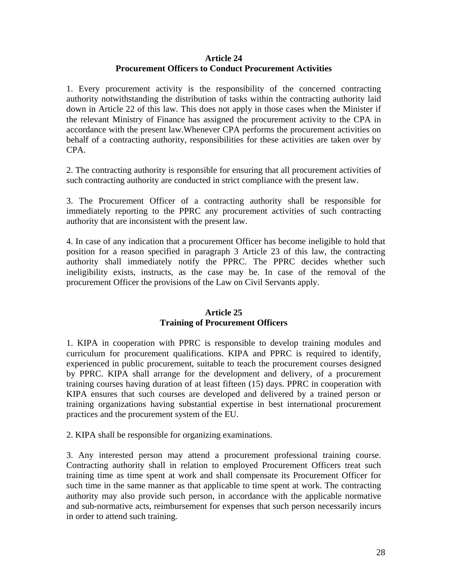# **Article 24 Procurement Officers to Conduct Procurement Activities**

1. Every procurement activity is the responsibility of the concerned contracting authority notwithstanding the distribution of tasks within the contracting authority laid down in Article 22 of this law. This does not apply in those cases when the Minister if the relevant Ministry of Finance has assigned the procurement activity to the CPA in accordance with the present law.Whenever CPA performs the procurement activities on behalf of a contracting authority, responsibilities for these activities are taken over by CPA.

2. The contracting authority is responsible for ensuring that all procurement activities of such contracting authority are conducted in strict compliance with the present law.

3. The Procurement Officer of a contracting authority shall be responsible for immediately reporting to the PPRC any procurement activities of such contracting authority that are inconsistent with the present law.

4. In case of any indication that a procurement Officer has become ineligible to hold that position for a reason specified in paragraph 3 Article 23 of this law, the contracting authority shall immediately notify the PPRC. The PPRC decides whether such ineligibility exists, instructs, as the case may be. In case of the removal of the procurement Officer the provisions of the Law on Civil Servants apply.

## **Article 25 Training of Procurement Officers**

1. KIPA in cooperation with PPRC is responsible to develop training modules and curriculum for procurement qualifications. KIPA and PPRC is required to identify, experienced in public procurement, suitable to teach the procurement courses designed by PPRC. KIPA shall arrange for the development and delivery, of a procurement training courses having duration of at least fifteen (15) days. PPRC in cooperation with KIPA ensures that such courses are developed and delivered by a trained person or training organizations having substantial expertise in best international procurement practices and the procurement system of the EU.

2. KIPA shall be responsible for organizing examinations.

3. Any interested person may attend a procurement professional training course. Contracting authority shall in relation to employed Procurement Officers treat such training time as time spent at work and shall compensate its Procurement Officer for such time in the same manner as that applicable to time spent at work. The contracting authority may also provide such person, in accordance with the applicable normative and sub-normative acts, reimbursement for expenses that such person necessarily incurs in order to attend such training.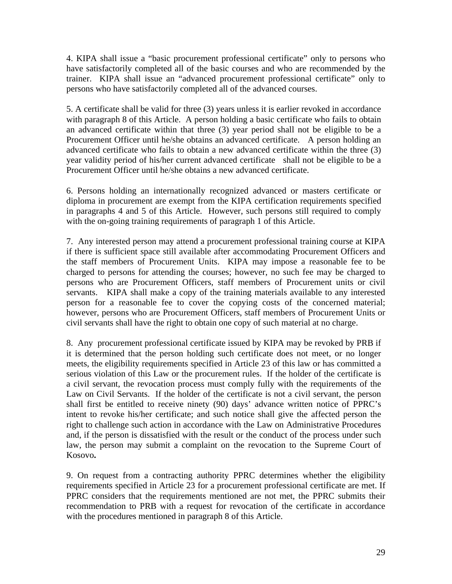4. KIPA shall issue a "basic procurement professional certificate" only to persons who have satisfactorily completed all of the basic courses and who are recommended by the trainer. KIPA shall issue an "advanced procurement professional certificate" only to persons who have satisfactorily completed all of the advanced courses.

5. A certificate shall be valid for three (3) years unless it is earlier revoked in accordance with paragraph 8 of this Article. A person holding a basic certificate who fails to obtain an advanced certificate within that three (3) year period shall not be eligible to be a Procurement Officer until he/she obtains an advanced certificate. A person holding an advanced certificate who fails to obtain a new advanced certificate within the three (3) year validity period of his/her current advanced certificate shall not be eligible to be a Procurement Officer until he/she obtains a new advanced certificate.

6. Persons holding an internationally recognized advanced or masters certificate or diploma in procurement are exempt from the KIPA certification requirements specified in paragraphs 4 and 5 of this Article. However, such persons still required to comply with the on-going training requirements of paragraph 1 of this Article.

7. Any interested person may attend a procurement professional training course at KIPA if there is sufficient space still available after accommodating Procurement Officers and the staff members of Procurement Units. KIPA may impose a reasonable fee to be charged to persons for attending the courses; however, no such fee may be charged to persons who are Procurement Officers, staff members of Procurement units or civil servants. KIPA shall make a copy of the training materials available to any interested person for a reasonable fee to cover the copying costs of the concerned material; however, persons who are Procurement Officers, staff members of Procurement Units or civil servants shall have the right to obtain one copy of such material at no charge.

8. Any procurement professional certificate issued by KIPA may be revoked by PRB if it is determined that the person holding such certificate does not meet, or no longer meets, the eligibility requirements specified in Article 23 of this law or has committed a serious violation of this Law or the procurement rules. If the holder of the certificate is a civil servant, the revocation process must comply fully with the requirements of the Law on Civil Servants. If the holder of the certificate is not a civil servant, the person shall first be entitled to receive ninety (90) days' advance written notice of PPRC's intent to revoke his/her certificate; and such notice shall give the affected person the right to challenge such action in accordance with the Law on Administrative Procedures and, if the person is dissatisfied with the result or the conduct of the process under such law, the person may submit a complaint on the revocation to the Supreme Court of Kosovo**.** 

9. On request from a contracting authority PPRC determines whether the eligibility requirements specified in Article 23 for a procurement professional certificate are met. If PPRC considers that the requirements mentioned are not met, the PPRC submits their recommendation to PRB with a request for revocation of the certificate in accordance with the procedures mentioned in paragraph 8 of this Article.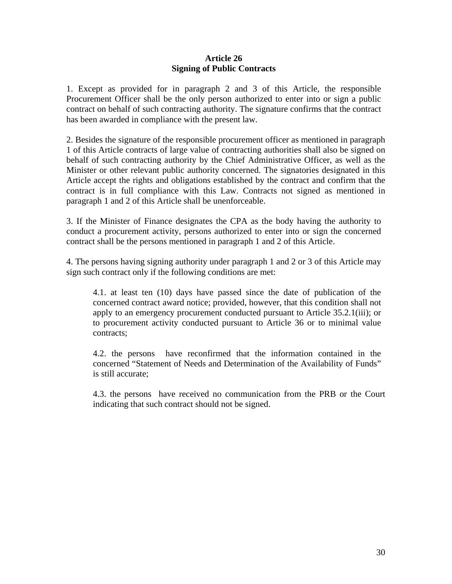## **Article 26 Signing of Public Contracts**

1. Except as provided for in paragraph 2 and 3 of this Article, the responsible Procurement Officer shall be the only person authorized to enter into or sign a public contract on behalf of such contracting authority. The signature confirms that the contract has been awarded in compliance with the present law.

2. Besides the signature of the responsible procurement officer as mentioned in paragraph 1 of this Article contracts of large value of contracting authorities shall also be signed on behalf of such contracting authority by the Chief Administrative Officer, as well as the Minister or other relevant public authority concerned. The signatories designated in this Article accept the rights and obligations established by the contract and confirm that the contract is in full compliance with this Law. Contracts not signed as mentioned in paragraph 1 and 2 of this Article shall be unenforceable.

3. If the Minister of Finance designates the CPA as the body having the authority to conduct a procurement activity, persons authorized to enter into or sign the concerned contract shall be the persons mentioned in paragraph 1 and 2 of this Article.

4. The persons having signing authority under paragraph 1 and 2 or 3 of this Article may sign such contract only if the following conditions are met:

4.1. at least ten (10) days have passed since the date of publication of the concerned contract award notice; provided, however, that this condition shall not apply to an emergency procurement conducted pursuant to Article 35.2.1(iii); or to procurement activity conducted pursuant to Article 36 or to minimal value contracts;

4.2. the persons have reconfirmed that the information contained in the concerned "Statement of Needs and Determination of the Availability of Funds" is still accurate;

4.3. the personshave received no communication from the PRB or the Court indicating that such contract should not be signed.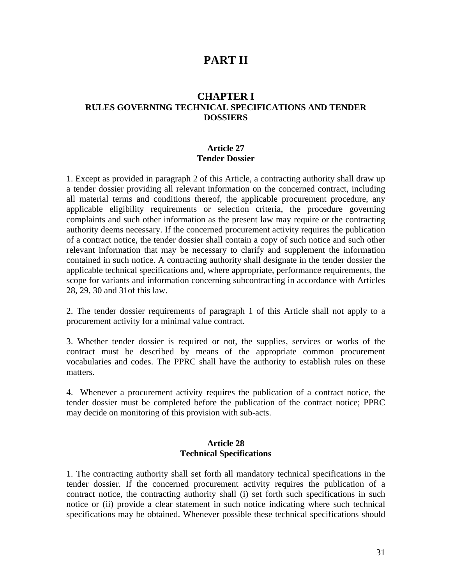# **PART II**

# **CHAPTER I RULES GOVERNING TECHNICAL SPECIFICATIONS AND TENDER DOSSIERS**

# **Article 27 Tender Dossier**

1. Except as provided in paragraph 2 of this Article, a contracting authority shall draw up a tender dossier providing all relevant information on the concerned contract, including all material terms and conditions thereof, the applicable procurement procedure, any applicable eligibility requirements or selection criteria, the procedure governing complaints and such other information as the present law may require or the contracting authority deems necessary. If the concerned procurement activity requires the publication of a contract notice, the tender dossier shall contain a copy of such notice and such other relevant information that may be necessary to clarify and supplement the information contained in such notice. A contracting authority shall designate in the tender dossier the applicable technical specifications and, where appropriate, performance requirements, the scope for variants and information concerning subcontracting in accordance with Articles 28, 29, 30 and 31of this law.

2. The tender dossier requirements of paragraph 1 of this Article shall not apply to a procurement activity for a minimal value contract.

3. Whether tender dossier is required or not, the supplies, services or works of the contract must be described by means of the appropriate common procurement vocabularies and codes. The PPRC shall have the authority to establish rules on these matters.

4. Whenever a procurement activity requires the publication of a contract notice, the tender dossier must be completed before the publication of the contract notice; PPRC may decide on monitoring of this provision with sub-acts.

#### **Article 28 Technical Specifications**

1. The contracting authority shall set forth all mandatory technical specifications in the tender dossier. If the concerned procurement activity requires the publication of a contract notice, the contracting authority shall (i) set forth such specifications in such notice or (ii) provide a clear statement in such notice indicating where such technical specifications may be obtained. Whenever possible these technical specifications should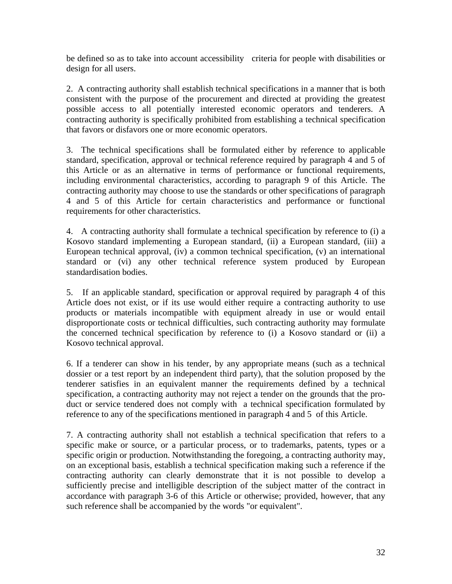be defined so as to take into account accessibility criteria for people with disabilities or design for all users.

2. A contracting authority shall establish technical specifications in a manner that is both consistent with the purpose of the procurement and directed at providing the greatest possible access to all potentially interested economic operators and tenderers. A contracting authority is specifically prohibited from establishing a technical specification that favors or disfavors one or more economic operators.

3. The technical specifications shall be formulated either by reference to applicable standard, specification, approval or technical reference required by paragraph 4 and 5 of this Article or as an alternative in terms of performance or functional requirements, including environmental characteristics, according to paragraph 9 of this Article. The contracting authority may choose to use the standards or other specifications of paragraph 4 and 5 of this Article for certain characteristics and performance or functional requirements for other characteristics.

4. A contracting authority shall formulate a technical specification by reference to (i) a Kosovo standard implementing a European standard, (ii) a European standard, (iii) a European technical approval, (iv) a common technical specification, (v) an international standard or (vi) any other technical reference system produced by European standardisation bodies.

5. If an applicable standard, specification or approval required by paragraph 4 of this Article does not exist, or if its use would either require a contracting authority to use products or materials incompatible with equipment already in use or would entail disproportionate costs or technical difficulties, such contracting authority may formulate the concerned technical specification by reference to (i) a Kosovo standard or (ii) a Kosovo technical approval.

6. If a tenderer can show in his tender, by any appropriate means (such as a technical dossier or a test report by an independent third party), that the solution proposed by the tenderer satisfies in an equivalent manner the requirements defined by a technical specification, a contracting authority may not reject a tender on the grounds that the product or service tendered does not comply with a technical specification formulated by reference to any of the specifications mentioned in paragraph 4 and 5 of this Article.

7. A contracting authority shall not establish a technical specification that refers to a specific make or source, or a particular process, or to trademarks, patents, types or a specific origin or production. Notwithstanding the foregoing, a contracting authority may, on an exceptional basis, establish a technical specification making such a reference if the contracting authority can clearly demonstrate that it is not possible to develop a sufficiently precise and intelligible description of the subject matter of the contract in accordance with paragraph 3-6 of this Article or otherwise; provided, however, that any such reference shall be accompanied by the words "or equivalent".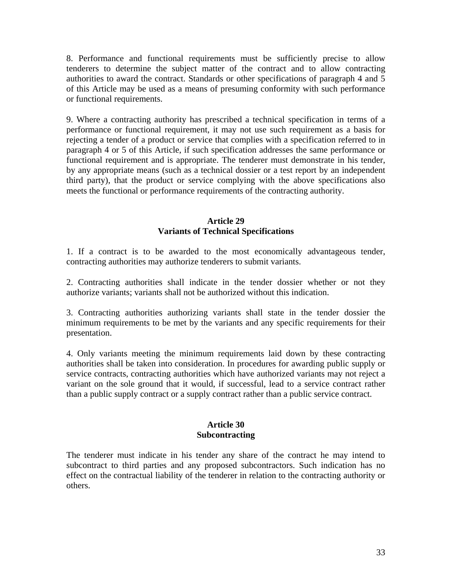8. Performance and functional requirements must be sufficiently precise to allow tenderers to determine the subject matter of the contract and to allow contracting authorities to award the contract. Standards or other specifications of paragraph 4 and 5 of this Article may be used as a means of presuming conformity with such performance or functional requirements.

9. Where a contracting authority has prescribed a technical specification in terms of a performance or functional requirement, it may not use such requirement as a basis for rejecting a tender of a product or service that complies with a specification referred to in paragraph 4 or 5 of this Article, if such specification addresses the same performance or functional requirement and is appropriate. The tenderer must demonstrate in his tender, by any appropriate means (such as a technical dossier or a test report by an independent third party), that the product or service complying with the above specifications also meets the functional or performance requirements of the contracting authority.

## **Article 29 Variants of Technical Specifications**

1. If a contract is to be awarded to the most economically advantageous tender, contracting authorities may authorize tenderers to submit variants.

2. Contracting authorities shall indicate in the tender dossier whether or not they authorize variants; variants shall not be authorized without this indication.

3. Contracting authorities authorizing variants shall state in the tender dossier the minimum requirements to be met by the variants and any specific requirements for their presentation.

4. Only variants meeting the minimum requirements laid down by these contracting authorities shall be taken into consideration. In procedures for awarding public supply or service contracts, contracting authorities which have authorized variants may not reject a variant on the sole ground that it would, if successful, lead to a service contract rather than a public supply contract or a supply contract rather than a public service contract.

# **Article 30 Subcontracting**

The tenderer must indicate in his tender any share of the contract he may intend to subcontract to third parties and any proposed subcontractors. Such indication has no effect on the contractual liability of the tenderer in relation to the contracting authority or others.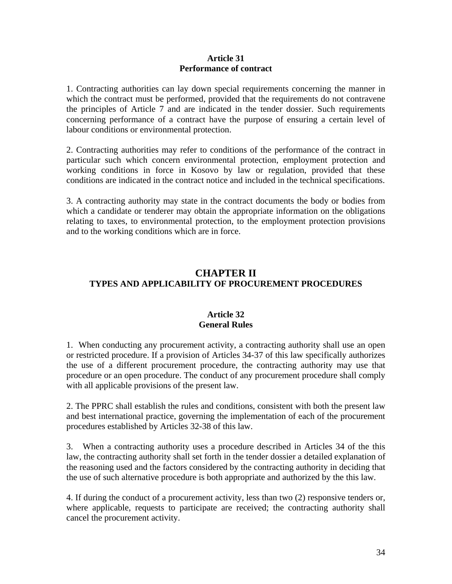## **Article 31 Performance of contract**

1. Contracting authorities can lay down special requirements concerning the manner in which the contract must be performed, provided that the requirements do not contravene the principles of Article 7 and are indicated in the tender dossier. Such requirements concerning performance of a contract have the purpose of ensuring a certain level of labour conditions or environmental protection.

2. Contracting authorities may refer to conditions of the performance of the contract in particular such which concern environmental protection, employment protection and working conditions in force in Kosovo by law or regulation, provided that these conditions are indicated in the contract notice and included in the technical specifications.

3. A contracting authority may state in the contract documents the body or bodies from which a candidate or tenderer may obtain the appropriate information on the obligations relating to taxes, to environmental protection, to the employment protection provisions and to the working conditions which are in force.

# **CHAPTER II TYPES AND APPLICABILITY OF PROCUREMENT PROCEDURES**

# **Article 32 General Rules**

1. When conducting any procurement activity, a contracting authority shall use an open or restricted procedure. If a provision of Articles 34-37 of this law specifically authorizes the use of a different procurement procedure, the contracting authority may use that procedure or an open procedure. The conduct of any procurement procedure shall comply with all applicable provisions of the present law.

2. The PPRC shall establish the rules and conditions, consistent with both the present law and best international practice, governing the implementation of each of the procurement procedures established by Articles 32-38 of this law.

3. When a contracting authority uses a procedure described in Articles 34 of the this law, the contracting authority shall set forth in the tender dossier a detailed explanation of the reasoning used and the factors considered by the contracting authority in deciding that the use of such alternative procedure is both appropriate and authorized by the this law.

4. If during the conduct of a procurement activity, less than two (2) responsive tenders or, where applicable, requests to participate are received; the contracting authority shall cancel the procurement activity.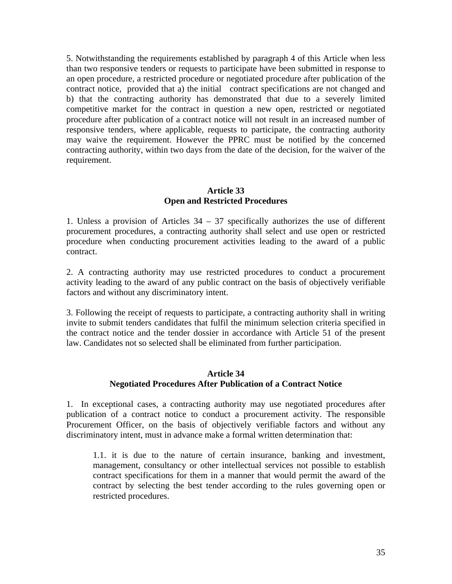5. Notwithstanding the requirements established by paragraph 4 of this Article when less than two responsive tenders or requests to participate have been submitted in response to an open procedure, a restricted procedure or negotiated procedure after publication of the contract notice, provided that a) the initial contract specifications are not changed and b) that the contracting authority has demonstrated that due to a severely limited competitive market for the contract in question a new open, restricted or negotiated procedure after publication of a contract notice will not result in an increased number of responsive tenders, where applicable, requests to participate, the contracting authority may waive the requirement. However the PPRC must be notified by the concerned contracting authority, within two days from the date of the decision, for the waiver of the requirement.

# **Article 33 Open and Restricted Procedures**

1. Unless a provision of Articles 34 – 37 specifically authorizes the use of different procurement procedures, a contracting authority shall select and use open or restricted procedure when conducting procurement activities leading to the award of a public contract.

2. A contracting authority may use restricted procedures to conduct a procurement activity leading to the award of any public contract on the basis of objectively verifiable factors and without any discriminatory intent.

3. Following the receipt of requests to participate, a contracting authority shall in writing invite to submit tenders candidates that fulfil the minimum selection criteria specified in the contract notice and the tender dossier in accordance with Article 51 of the present law. Candidates not so selected shall be eliminated from further participation.

# **Article 34 Negotiated Procedures After Publication of a Contract Notice**

1. In exceptional cases, a contracting authority may use negotiated procedures after publication of a contract notice to conduct a procurement activity. The responsible Procurement Officer, on the basis of objectively verifiable factors and without any discriminatory intent, must in advance make a formal written determination that:

1.1. it is due to the nature of certain insurance, banking and investment, management, consultancy or other intellectual services not possible to establish contract specifications for them in a manner that would permit the award of the contract by selecting the best tender according to the rules governing open or restricted procedures.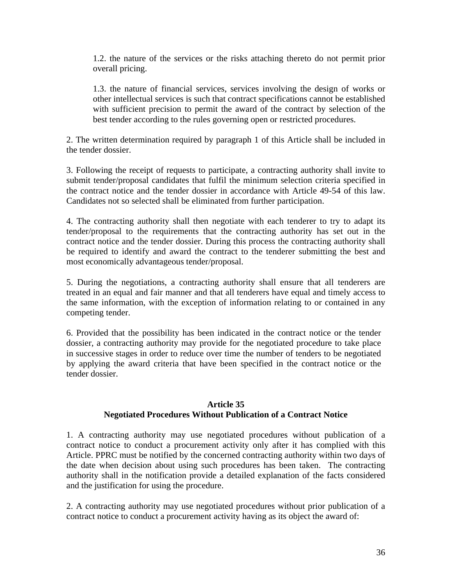1.2. the nature of the services or the risks attaching thereto do not permit prior overall pricing.

1.3. the nature of financial services, services involving the design of works or other intellectual services is such that contract specifications cannot be established with sufficient precision to permit the award of the contract by selection of the best tender according to the rules governing open or restricted procedures.

2. The written determination required by paragraph 1 of this Article shall be included in the tender dossier.

3. Following the receipt of requests to participate, a contracting authority shall invite to submit tender/proposal candidates that fulfil the minimum selection criteria specified in the contract notice and the tender dossier in accordance with Article 49-54 of this law. Candidates not so selected shall be eliminated from further participation.

4. The contracting authority shall then negotiate with each tenderer to try to adapt its tender/proposal to the requirements that the contracting authority has set out in the contract notice and the tender dossier. During this process the contracting authority shall be required to identify and award the contract to the tenderer submitting the best and most economically advantageous tender/proposal.

5. During the negotiations, a contracting authority shall ensure that all tenderers are treated in an equal and fair manner and that all tenderers have equal and timely access to the same information, with the exception of information relating to or contained in any competing tender.

6. Provided that the possibility has been indicated in the contract notice or the tender dossier, a contracting authority may provide for the negotiated procedure to take place in successive stages in order to reduce over time the number of tenders to be negotiated by applying the award criteria that have been specified in the contract notice or the tender dossier.

# **Article 35 Negotiated Procedures Without Publication of a Contract Notice**

1. A contracting authority may use negotiated procedures without publication of a contract notice to conduct a procurement activity only after it has complied with this Article. PPRC must be notified by the concerned contracting authority within two days of the date when decision about using such procedures has been taken. The contracting authority shall in the notification provide a detailed explanation of the facts considered and the justification for using the procedure.

2. A contracting authority may use negotiated procedures without prior publication of a contract notice to conduct a procurement activity having as its object the award of: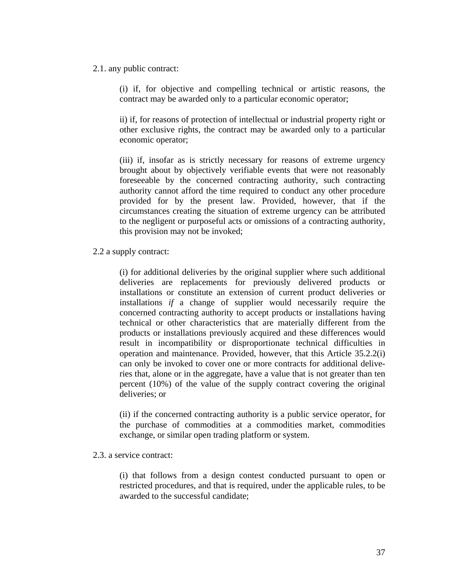#### 2.1. any public contract:

(i) if, for objective and compelling technical or artistic reasons, the contract may be awarded only to a particular economic operator;

ii) if, for reasons of protection of intellectual or industrial property right or other exclusive rights, the contract may be awarded only to a particular economic operator;

(iii) if, insofar as is strictly necessary for reasons of extreme urgency brought about by objectively verifiable events that were not reasonably foreseeable by the concerned contracting authority, such contracting authority cannot afford the time required to conduct any other procedure provided for by the present law. Provided, however, that if the circumstances creating the situation of extreme urgency can be attributed to the negligent or purposeful acts or omissions of a contracting authority, this provision may not be invoked;

2.2 a supply contract:

(i) for additional deliveries by the original supplier where such additional deliveries are replacements for previously delivered products or installations or constitute an extension of current product deliveries or installations *if* a change of supplier would necessarily require the concerned contracting authority to accept products or installations having technical or other characteristics that are materially different from the products or installations previously acquired and these differences would result in incompatibility or disproportionate technical difficulties in operation and maintenance. Provided, however, that this Article 35.2.2(i) can only be invoked to cover one or more contracts for additional deliveries that, alone or in the aggregate, have a value that is not greater than ten percent (10%) of the value of the supply contract covering the original deliveries; or

(ii) if the concerned contracting authority is a public service operator, for the purchase of commodities at a commodities market, commodities exchange, or similar open trading platform or system.

#### 2.3. a service contract:

(i) that follows from a design contest conducted pursuant to open or restricted procedures, and that is required, under the applicable rules, to be awarded to the successful candidate;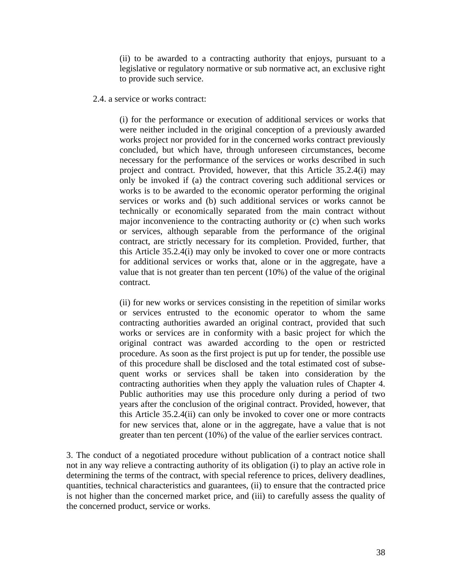(ii) to be awarded to a contracting authority that enjoys, pursuant to a legislative or regulatory normative or sub normative act, an exclusive right to provide such service.

#### 2.4. a service or works contract:

(i) for the performance or execution of additional services or works that were neither included in the original conception of a previously awarded works project nor provided for in the concerned works contract previously concluded, but which have, through unforeseen circumstances, become necessary for the performance of the services or works described in such project and contract. Provided, however, that this Article 35.2.4(i) may only be invoked if (a) the contract covering such additional services or works is to be awarded to the economic operator performing the original services or works and (b) such additional services or works cannot be technically or economically separated from the main contract without major inconvenience to the contracting authority or (c) when such works or services, although separable from the performance of the original contract, are strictly necessary for its completion. Provided, further, that this Article 35.2.4(i) may only be invoked to cover one or more contracts for additional services or works that, alone or in the aggregate, have a value that is not greater than ten percent (10%) of the value of the original contract.

(ii) for new works or services consisting in the repetition of similar works or services entrusted to the economic operator to whom the same contracting authorities awarded an original contract, provided that such works or services are in conformity with a basic project for which the original contract was awarded according to the open or restricted procedure. As soon as the first project is put up for tender, the possible use of this procedure shall be disclosed and the total estimated cost of subsequent works or services shall be taken into consideration by the contracting authorities when they apply the valuation rules of Chapter 4. Public authorities may use this procedure only during a period of two years after the conclusion of the original contract. Provided, however, that this Article 35.2.4(ii) can only be invoked to cover one or more contracts for new services that, alone or in the aggregate, have a value that is not greater than ten percent (10%) of the value of the earlier services contract.

3. The conduct of a negotiated procedure without publication of a contract notice shall not in any way relieve a contracting authority of its obligation (i) to play an active role in determining the terms of the contract, with special reference to prices, delivery deadlines, quantities, technical characteristics and guarantees, (ii) to ensure that the contracted price is not higher than the concerned market price, and (iii) to carefully assess the quality of the concerned product, service or works.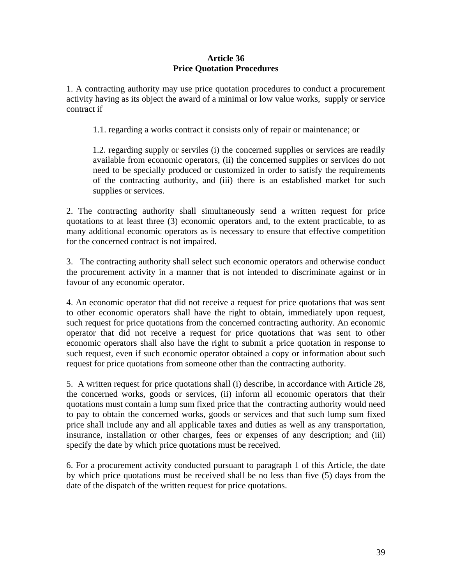## **Article 36 Price Quotation Procedures**

1. A contracting authority may use price quotation procedures to conduct a procurement activity having as its object the award of a minimal or low value works, supply or service contract if

1.1. regarding a works contract it consists only of repair or maintenance; or

1.2. regarding supply or serviles (i) the concerned supplies or services are readily available from economic operators, (ii) the concerned supplies or services do not need to be specially produced or customized in order to satisfy the requirements of the contracting authority, and (iii) there is an established market for such supplies or services.

2. The contracting authority shall simultaneously send a written request for price quotations to at least three (3) economic operators and, to the extent practicable, to as many additional economic operators as is necessary to ensure that effective competition for the concerned contract is not impaired.

3. The contracting authority shall select such economic operators and otherwise conduct the procurement activity in a manner that is not intended to discriminate against or in favour of any economic operator.

4. An economic operator that did not receive a request for price quotations that was sent to other economic operators shall have the right to obtain, immediately upon request, such request for price quotations from the concerned contracting authority. An economic operator that did not receive a request for price quotations that was sent to other economic operators shall also have the right to submit a price quotation in response to such request, even if such economic operator obtained a copy or information about such request for price quotations from someone other than the contracting authority.

5. A written request for price quotations shall (i) describe, in accordance with Article 28, the concerned works, goods or services, (ii) inform all economic operators that their quotations must contain a lump sum fixed price that the contracting authority would need to pay to obtain the concerned works, goods or services and that such lump sum fixed price shall include any and all applicable taxes and duties as well as any transportation, insurance, installation or other charges, fees or expenses of any description; and (iii) specify the date by which price quotations must be received.

6. For a procurement activity conducted pursuant to paragraph 1 of this Article, the date by which price quotations must be received shall be no less than five (5) days from the date of the dispatch of the written request for price quotations.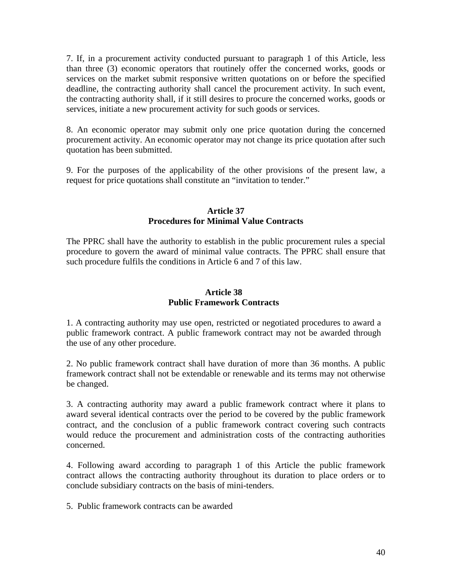7. If, in a procurement activity conducted pursuant to paragraph 1 of this Article, less than three (3) economic operators that routinely offer the concerned works, goods or services on the market submit responsive written quotations on or before the specified deadline, the contracting authority shall cancel the procurement activity. In such event, the contracting authority shall, if it still desires to procure the concerned works, goods or services, initiate a new procurement activity for such goods or services.

8. An economic operator may submit only one price quotation during the concerned procurement activity. An economic operator may not change its price quotation after such quotation has been submitted.

9. For the purposes of the applicability of the other provisions of the present law, a request for price quotations shall constitute an "invitation to tender."

#### **Article 37 Procedures for Minimal Value Contracts**

The PPRC shall have the authority to establish in the public procurement rules a special procedure to govern the award of minimal value contracts. The PPRC shall ensure that such procedure fulfils the conditions in Article 6 and 7 of this law.

#### **Article 38 Public Framework Contracts**

1. A contracting authority may use open, restricted or negotiated procedures to award a public framework contract. A public framework contract may not be awarded through the use of any other procedure.

2. No public framework contract shall have duration of more than 36 months. A public framework contract shall not be extendable or renewable and its terms may not otherwise be changed.

3. A contracting authority may award a public framework contract where it plans to award several identical contracts over the period to be covered by the public framework contract, and the conclusion of a public framework contract covering such contracts would reduce the procurement and administration costs of the contracting authorities concerned.

4. Following award according to paragraph 1 of this Article the public framework contract allows the contracting authority throughout its duration to place orders or to conclude subsidiary contracts on the basis of mini-tenders.

5. Public framework contracts can be awarded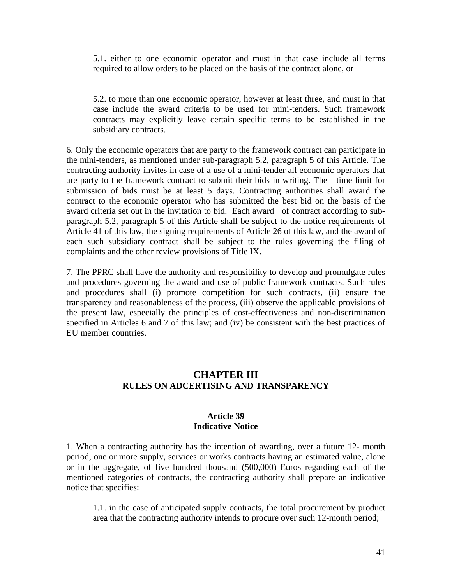5.1. either to one economic operator and must in that case include all terms required to allow orders to be placed on the basis of the contract alone, or

5.2. to more than one economic operator, however at least three, and must in that case include the award criteria to be used for mini-tenders. Such framework contracts may explicitly leave certain specific terms to be established in the subsidiary contracts.

6. Only the economic operators that are party to the framework contract can participate in the mini-tenders, as mentioned under sub-paragraph 5.2, paragraph 5 of this Article. The contracting authority invites in case of a use of a mini-tender all economic operators that are party to the framework contract to submit their bids in writing. The time limit for submission of bids must be at least 5 days. Contracting authorities shall award the contract to the economic operator who has submitted the best bid on the basis of the award criteria set out in the invitation to bid. Each award of contract according to subparagraph 5.2, paragraph 5 of this Article shall be subject to the notice requirements of Article 41 of this law, the signing requirements of Article 26 of this law, and the award of each such subsidiary contract shall be subject to the rules governing the filing of complaints and the other review provisions of Title IX.

7. The PPRC shall have the authority and responsibility to develop and promulgate rules and procedures governing the award and use of public framework contracts. Such rules and procedures shall (i) promote competition for such contracts, (ii) ensure the transparency and reasonableness of the process, (iii) observe the applicable provisions of the present law, especially the principles of cost-effectiveness and non-discrimination specified in Articles 6 and 7 of this law; and (iv) be consistent with the best practices of EU member countries.

## **CHAPTER III RULES ON ADCERTISING AND TRANSPARENCY**

#### **Article 39 Indicative Notice**

1. When a contracting authority has the intention of awarding, over a future 12- month period, one or more supply, services or works contracts having an estimated value, alone or in the aggregate, of five hundred thousand (500,000) Euros regarding each of the mentioned categories of contracts, the contracting authority shall prepare an indicative notice that specifies:

1.1. in the case of anticipated supply contracts, the total procurement by product area that the contracting authority intends to procure over such 12-month period;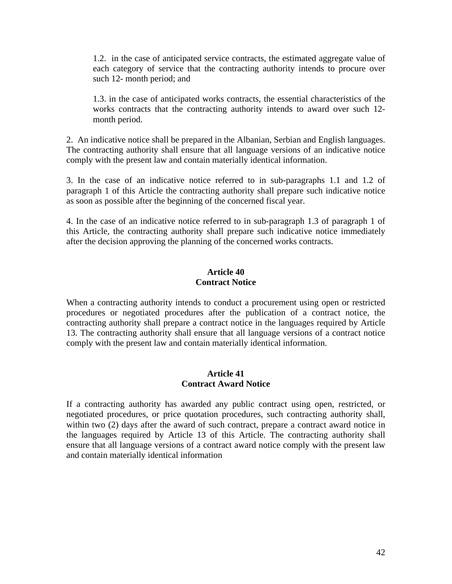1.2. in the case of anticipated service contracts, the estimated aggregate value of each category of service that the contracting authority intends to procure over such 12- month period; and

1.3. in the case of anticipated works contracts, the essential characteristics of the works contracts that the contracting authority intends to award over such 12 month period.

2. An indicative notice shall be prepared in the Albanian, Serbian and English languages. The contracting authority shall ensure that all language versions of an indicative notice comply with the present law and contain materially identical information.

3. In the case of an indicative notice referred to in sub-paragraphs 1.1 and 1.2 of paragraph 1 of this Article the contracting authority shall prepare such indicative notice as soon as possible after the beginning of the concerned fiscal year.

4. In the case of an indicative notice referred to in sub-paragraph 1.3 of paragraph 1 of this Article, the contracting authority shall prepare such indicative notice immediately after the decision approving the planning of the concerned works contracts.

## **Article 40 Contract Notice**

When a contracting authority intends to conduct a procurement using open or restricted procedures or negotiated procedures after the publication of a contract notice, the contracting authority shall prepare a contract notice in the languages required by Article 13. The contracting authority shall ensure that all language versions of a contract notice comply with the present law and contain materially identical information.

#### **Article 41 Contract Award Notice**

If a contracting authority has awarded any public contract using open, restricted, or negotiated procedures, or price quotation procedures, such contracting authority shall, within two (2) days after the award of such contract, prepare a contract award notice in the languages required by Article 13 of this Article. The contracting authority shall ensure that all language versions of a contract award notice comply with the present law and contain materially identical information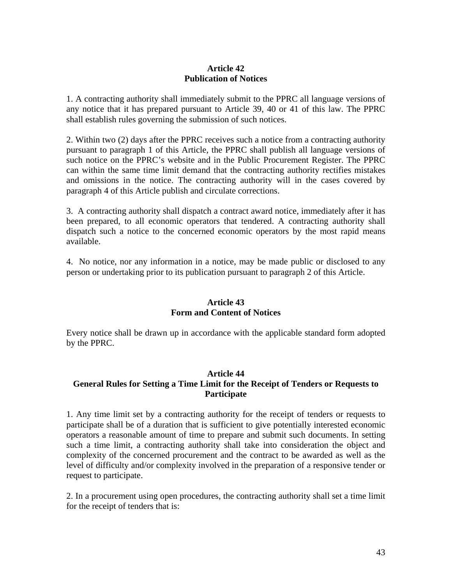## **Article 42 Publication of Notices**

1. A contracting authority shall immediately submit to the PPRC all language versions of any notice that it has prepared pursuant to Article 39, 40 or 41 of this law. The PPRC shall establish rules governing the submission of such notices.

2. Within two (2) days after the PPRC receives such a notice from a contracting authority pursuant to paragraph 1 of this Article, the PPRC shall publish all language versions of such notice on the PPRC's website and in the Public Procurement Register. The PPRC can within the same time limit demand that the contracting authority rectifies mistakes and omissions in the notice. The contracting authority will in the cases covered by paragraph 4 of this Article publish and circulate corrections.

3. A contracting authority shall dispatch a contract award notice, immediately after it has been prepared, to all economic operators that tendered. A contracting authority shall dispatch such a notice to the concerned economic operators by the most rapid means available.

4. No notice, nor any information in a notice, may be made public or disclosed to any person or undertaking prior to its publication pursuant to paragraph 2 of this Article.

## **Article 43 Form and Content of Notices**

Every notice shall be drawn up in accordance with the applicable standard form adopted by the PPRC.

#### **Article 44**

## **General Rules for Setting a Time Limit for the Receipt of Tenders or Requests to Participate**

1. Any time limit set by a contracting authority for the receipt of tenders or requests to participate shall be of a duration that is sufficient to give potentially interested economic operators a reasonable amount of time to prepare and submit such documents. In setting such a time limit, a contracting authority shall take into consideration the object and complexity of the concerned procurement and the contract to be awarded as well as the level of difficulty and/or complexity involved in the preparation of a responsive tender or request to participate.

2. In a procurement using open procedures, the contracting authority shall set a time limit for the receipt of tenders that is: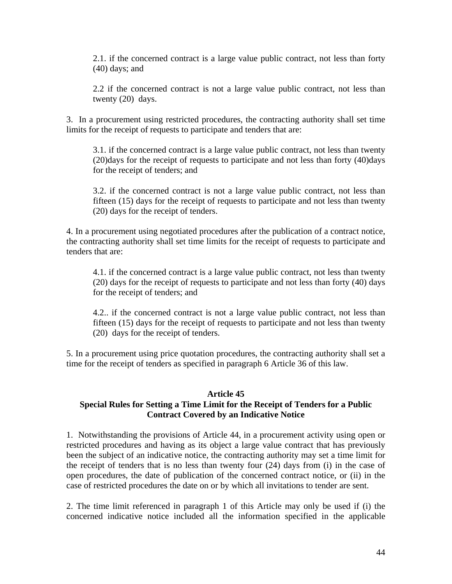2.1. if the concerned contract is a large value public contract, not less than forty (40) days; and

2.2 if the concerned contract is not a large value public contract, not less than twenty (20) days.

3. In a procurement using restricted procedures, the contracting authority shall set time limits for the receipt of requests to participate and tenders that are:

3.1. if the concerned contract is a large value public contract, not less than twenty (20)days for the receipt of requests to participate and not less than forty (40)days for the receipt of tenders; and

3.2. if the concerned contract is not a large value public contract, not less than fifteen (15) days for the receipt of requests to participate and not less than twenty (20) days for the receipt of tenders.

4. In a procurement using negotiated procedures after the publication of a contract notice, the contracting authority shall set time limits for the receipt of requests to participate and tenders that are:

4.1. if the concerned contract is a large value public contract, not less than twenty (20) days for the receipt of requests to participate and not less than forty (40) days for the receipt of tenders; and

4.2.. if the concerned contract is not a large value public contract, not less than fifteen (15) days for the receipt of requests to participate and not less than twenty (20) days for the receipt of tenders.

5. In a procurement using price quotation procedures, the contracting authority shall set a time for the receipt of tenders as specified in paragraph 6 Article 36 of this law.

## **Article 45**

# **Special Rules for Setting a Time Limit for the Receipt of Tenders for a Public Contract Covered by an Indicative Notice**

1. Notwithstanding the provisions of Article 44, in a procurement activity using open or restricted procedures and having as its object a large value contract that has previously been the subject of an indicative notice, the contracting authority may set a time limit for the receipt of tenders that is no less than twenty four (24) days from (i) in the case of open procedures, the date of publication of the concerned contract notice, or (ii) in the case of restricted procedures the date on or by which all invitations to tender are sent.

2. The time limit referenced in paragraph 1 of this Article may only be used if (i) the concerned indicative notice included all the information specified in the applicable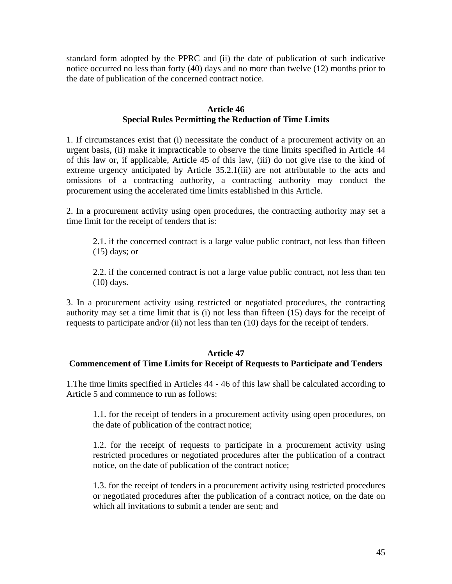standard form adopted by the PPRC and (ii) the date of publication of such indicative notice occurred no less than forty (40) days and no more than twelve (12) months prior to the date of publication of the concerned contract notice.

## **Article 46 Special Rules Permitting the Reduction of Time Limits**

1. If circumstances exist that (i) necessitate the conduct of a procurement activity on an urgent basis, (ii) make it impracticable to observe the time limits specified in Article 44 of this law or, if applicable, Article 45 of this law, (iii) do not give rise to the kind of extreme urgency anticipated by Article 35.2.1(iii) are not attributable to the acts and omissions of a contracting authority, a contracting authority may conduct the procurement using the accelerated time limits established in this Article.

2. In a procurement activity using open procedures, the contracting authority may set a time limit for the receipt of tenders that is:

2.1. if the concerned contract is a large value public contract, not less than fifteen  $(15)$  days; or

2.2. if the concerned contract is not a large value public contract, not less than ten (10) days.

3. In a procurement activity using restricted or negotiated procedures, the contracting authority may set a time limit that is (i) not less than fifteen (15) days for the receipt of requests to participate and/or (ii) not less than ten (10) days for the receipt of tenders.

#### **Article 47**

# **Commencement of Time Limits for Receipt of Requests to Participate and Tenders**

1.The time limits specified in Articles 44 - 46 of this law shall be calculated according to Article 5 and commence to run as follows:

1.1. for the receipt of tenders in a procurement activity using open procedures, on the date of publication of the contract notice;

1.2. for the receipt of requests to participate in a procurement activity using restricted procedures or negotiated procedures after the publication of a contract notice, on the date of publication of the contract notice;

1.3. for the receipt of tenders in a procurement activity using restricted procedures or negotiated procedures after the publication of a contract notice, on the date on which all invitations to submit a tender are sent; and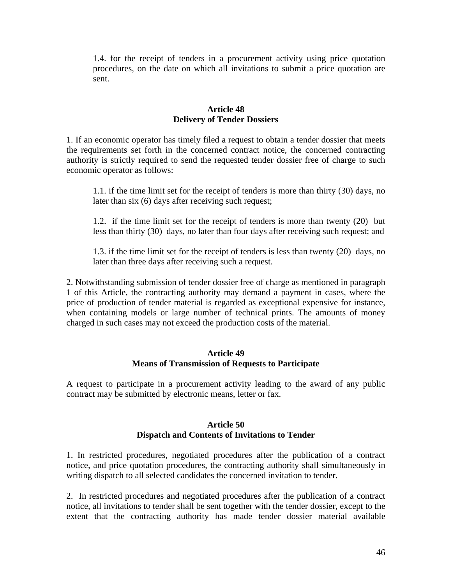1.4. for the receipt of tenders in a procurement activity using price quotation procedures, on the date on which all invitations to submit a price quotation are sent.

## **Article 48 Delivery of Tender Dossiers**

1. If an economic operator has timely filed a request to obtain a tender dossier that meets the requirements set forth in the concerned contract notice, the concerned contracting authority is strictly required to send the requested tender dossier free of charge to such economic operator as follows:

1.1. if the time limit set for the receipt of tenders is more than thirty (30) days, no later than six (6) days after receiving such request;

1.2. if the time limit set for the receipt of tenders is more than twenty (20) but less than thirty (30) days, no later than four days after receiving such request; and

1.3. if the time limit set for the receipt of tenders is less than twenty (20) days, no later than three days after receiving such a request.

2. Notwithstanding submission of tender dossier free of charge as mentioned in paragraph 1 of this Article, the contracting authority may demand a payment in cases, where the price of production of tender material is regarded as exceptional expensive for instance, when containing models or large number of technical prints. The amounts of money charged in such cases may not exceed the production costs of the material.

## **Article 49 Means of Transmission of Requests to Participate**

A request to participate in a procurement activity leading to the award of any public contract may be submitted by electronic means, letter or fax.

## **Article 50 Dispatch and Contents of Invitations to Tender**

1. In restricted procedures, negotiated procedures after the publication of a contract notice, and price quotation procedures, the contracting authority shall simultaneously in writing dispatch to all selected candidates the concerned invitation to tender.

2. In restricted procedures and negotiated procedures after the publication of a contract notice, all invitations to tender shall be sent together with the tender dossier, except to the extent that the contracting authority has made tender dossier material available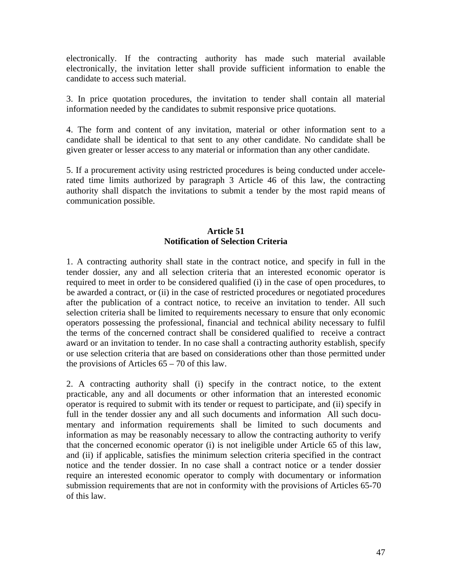electronically. If the contracting authority has made such material available electronically, the invitation letter shall provide sufficient information to enable the candidate to access such material.

3. In price quotation procedures, the invitation to tender shall contain all material information needed by the candidates to submit responsive price quotations.

4. The form and content of any invitation, material or other information sent to a candidate shall be identical to that sent to any other candidate. No candidate shall be given greater or lesser access to any material or information than any other candidate.

5. If a procurement activity using restricted procedures is being conducted under accelerated time limits authorized by paragraph 3 Article 46 of this law, the contracting authority shall dispatch the invitations to submit a tender by the most rapid means of communication possible.

## **Article 51 Notification of Selection Criteria**

1. A contracting authority shall state in the contract notice, and specify in full in the tender dossier, any and all selection criteria that an interested economic operator is required to meet in order to be considered qualified (i) in the case of open procedures, to be awarded a contract, or (ii) in the case of restricted procedures or negotiated procedures after the publication of a contract notice, to receive an invitation to tender. All such selection criteria shall be limited to requirements necessary to ensure that only economic operators possessing the professional, financial and technical ability necessary to fulfil the terms of the concerned contract shall be considered qualified to receive a contract award or an invitation to tender. In no case shall a contracting authority establish, specify or use selection criteria that are based on considerations other than those permitted under the provisions of Articles  $65 - 70$  of this law.

2. A contracting authority shall (i) specify in the contract notice, to the extent practicable, any and all documents or other information that an interested economic operator is required to submit with its tender or request to participate, and (ii) specify in full in the tender dossier any and all such documents and information All such documentary and information requirements shall be limited to such documents and information as may be reasonably necessary to allow the contracting authority to verify that the concerned economic operator (i) is not ineligible under Article 65 of this law, and (ii) if applicable, satisfies the minimum selection criteria specified in the contract notice and the tender dossier. In no case shall a contract notice or a tender dossier require an interested economic operator to comply with documentary or information submission requirements that are not in conformity with the provisions of Articles 65-70 of this law.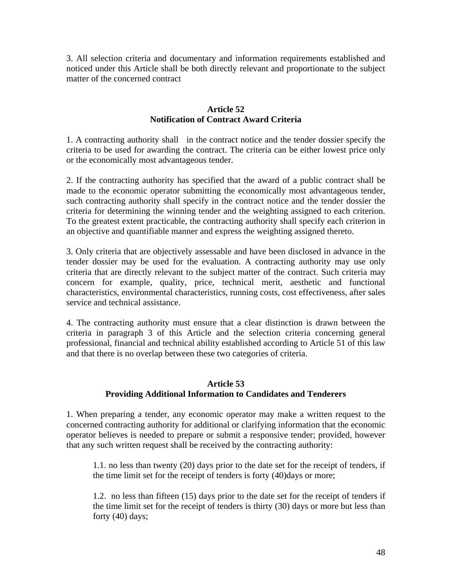3. All selection criteria and documentary and information requirements established and noticed under this Article shall be both directly relevant and proportionate to the subject matter of the concerned contract

## **Article 52 Notification of Contract Award Criteria**

1. A contracting authority shall in the contract notice and the tender dossier specify the criteria to be used for awarding the contract. The criteria can be either lowest price only or the economically most advantageous tender.

2. If the contracting authority has specified that the award of a public contract shall be made to the economic operator submitting the economically most advantageous tender, such contracting authority shall specify in the contract notice and the tender dossier the criteria for determining the winning tender and the weighting assigned to each criterion. To the greatest extent practicable, the contracting authority shall specify each criterion in an objective and quantifiable manner and express the weighting assigned thereto.

3. Only criteria that are objectively assessable and have been disclosed in advance in the tender dossier may be used for the evaluation. A contracting authority may use only criteria that are directly relevant to the subject matter of the contract. Such criteria may concern for example, quality, price, technical merit, aesthetic and functional characteristics, environmental characteristics, running costs, cost effectiveness, after sales service and technical assistance.

4. The contracting authority must ensure that a clear distinction is drawn between the criteria in paragraph 3 of this Article and the selection criteria concerning general professional, financial and technical ability established according to Article 51 of this law and that there is no overlap between these two categories of criteria.

## **Article 53 Providing Additional Information to Candidates and Tenderers**

1. When preparing a tender, any economic operator may make a written request to the concerned contracting authority for additional or clarifying information that the economic operator believes is needed to prepare or submit a responsive tender; provided, however that any such written request shall be received by the contracting authority:

1.1. no less than twenty (20) days prior to the date set for the receipt of tenders, if the time limit set for the receipt of tenders is forty (40)days or more;

1.2. no less than fifteen (15) days prior to the date set for the receipt of tenders if the time limit set for the receipt of tenders is thirty (30) days or more but less than forty (40) days;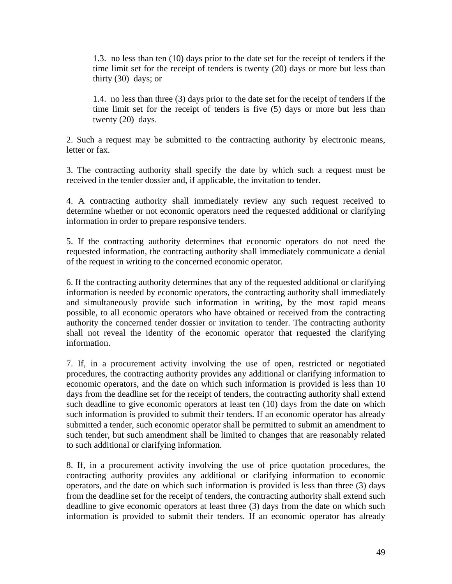1.3. no less than ten (10) days prior to the date set for the receipt of tenders if the time limit set for the receipt of tenders is twenty (20) days or more but less than thirty (30) days; or

1.4. no less than three (3) days prior to the date set for the receipt of tenders if the time limit set for the receipt of tenders is five (5) days or more but less than twenty (20) days.

2. Such a request may be submitted to the contracting authority by electronic means, letter or fax.

3. The contracting authority shall specify the date by which such a request must be received in the tender dossier and, if applicable, the invitation to tender.

4. A contracting authority shall immediately review any such request received to determine whether or not economic operators need the requested additional or clarifying information in order to prepare responsive tenders.

5. If the contracting authority determines that economic operators do not need the requested information, the contracting authority shall immediately communicate a denial of the request in writing to the concerned economic operator.

6. If the contracting authority determines that any of the requested additional or clarifying information is needed by economic operators, the contracting authority shall immediately and simultaneously provide such information in writing, by the most rapid means possible, to all economic operators who have obtained or received from the contracting authority the concerned tender dossier or invitation to tender. The contracting authority shall not reveal the identity of the economic operator that requested the clarifying information.

7. If, in a procurement activity involving the use of open, restricted or negotiated procedures, the contracting authority provides any additional or clarifying information to economic operators, and the date on which such information is provided is less than 10 days from the deadline set for the receipt of tenders, the contracting authority shall extend such deadline to give economic operators at least ten (10) days from the date on which such information is provided to submit their tenders. If an economic operator has already submitted a tender, such economic operator shall be permitted to submit an amendment to such tender, but such amendment shall be limited to changes that are reasonably related to such additional or clarifying information.

8. If, in a procurement activity involving the use of price quotation procedures, the contracting authority provides any additional or clarifying information to economic operators, and the date on which such information is provided is less than three (3) days from the deadline set for the receipt of tenders, the contracting authority shall extend such deadline to give economic operators at least three (3) days from the date on which such information is provided to submit their tenders. If an economic operator has already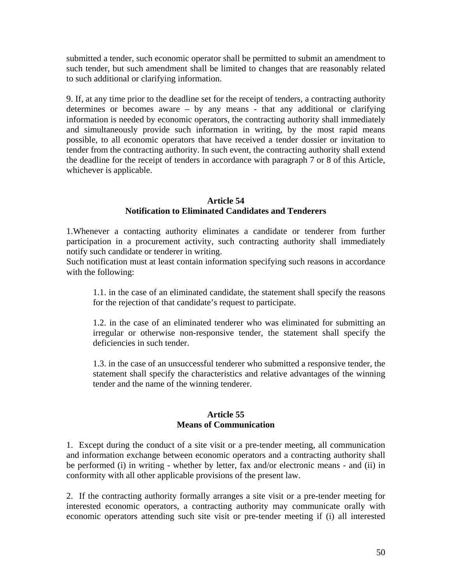submitted a tender, such economic operator shall be permitted to submit an amendment to such tender, but such amendment shall be limited to changes that are reasonably related to such additional or clarifying information.

9. If, at any time prior to the deadline set for the receipt of tenders, a contracting authority determines or becomes aware – by any means - that any additional or clarifying information is needed by economic operators, the contracting authority shall immediately and simultaneously provide such information in writing, by the most rapid means possible, to all economic operators that have received a tender dossier or invitation to tender from the contracting authority. In such event, the contracting authority shall extend the deadline for the receipt of tenders in accordance with paragraph 7 or 8 of this Article, whichever is applicable.

## **Article 54 Notification to Eliminated Candidates and Tenderers**

1.Whenever a contacting authority eliminates a candidate or tenderer from further participation in a procurement activity, such contracting authority shall immediately notify such candidate or tenderer in writing.

Such notification must at least contain information specifying such reasons in accordance with the following:

1.1. in the case of an eliminated candidate, the statement shall specify the reasons for the rejection of that candidate's request to participate.

1.2. in the case of an eliminated tenderer who was eliminated for submitting an irregular or otherwise non-responsive tender, the statement shall specify the deficiencies in such tender.

1.3. in the case of an unsuccessful tenderer who submitted a responsive tender, the statement shall specify the characteristics and relative advantages of the winning tender and the name of the winning tenderer.

#### **Article 55 Means of Communication**

1. Except during the conduct of a site visit or a pre-tender meeting, all communication and information exchange between economic operators and a contracting authority shall be performed (i) in writing - whether by letter, fax and/or electronic means - and (ii) in conformity with all other applicable provisions of the present law.

2. If the contracting authority formally arranges a site visit or a pre-tender meeting for interested economic operators, a contracting authority may communicate orally with economic operators attending such site visit or pre-tender meeting if (i) all interested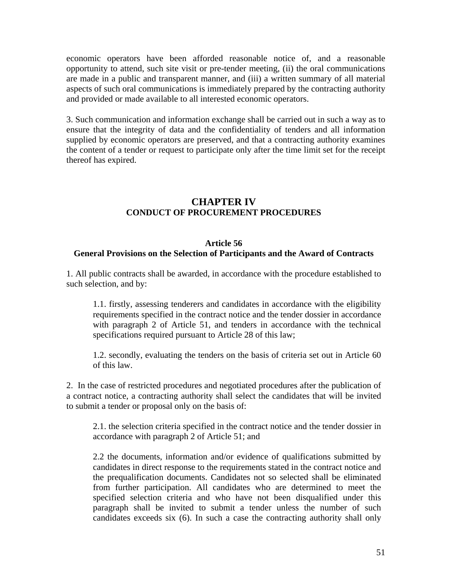economic operators have been afforded reasonable notice of, and a reasonable opportunity to attend, such site visit or pre-tender meeting, (ii) the oral communications are made in a public and transparent manner, and (iii) a written summary of all material aspects of such oral communications is immediately prepared by the contracting authority and provided or made available to all interested economic operators.

3. Such communication and information exchange shall be carried out in such a way as to ensure that the integrity of data and the confidentiality of tenders and all information supplied by economic operators are preserved, and that a contracting authority examines the content of a tender or request to participate only after the time limit set for the receipt thereof has expired.

## **CHAPTER IV CONDUCT OF PROCUREMENT PROCEDURES**

#### **Article 56**

#### **General Provisions on the Selection of Participants and the Award of Contracts**

1. All public contracts shall be awarded, in accordance with the procedure established to such selection, and by:

1.1. firstly, assessing tenderers and candidates in accordance with the eligibility requirements specified in the contract notice and the tender dossier in accordance with paragraph 2 of Article 51, and tenders in accordance with the technical specifications required pursuant to Article 28 of this law;

1.2. secondly, evaluating the tenders on the basis of criteria set out in Article 60 of this law.

2. In the case of restricted procedures and negotiated procedures after the publication of a contract notice, a contracting authority shall select the candidates that will be invited to submit a tender or proposal only on the basis of:

2.1. the selection criteria specified in the contract notice and the tender dossier in accordance with paragraph 2 of Article 51; and

2.2 the documents, information and/or evidence of qualifications submitted by candidates in direct response to the requirements stated in the contract notice and the prequalification documents. Candidates not so selected shall be eliminated from further participation. All candidates who are determined to meet the specified selection criteria and who have not been disqualified under this paragraph shall be invited to submit a tender unless the number of such candidates exceeds six (6). In such a case the contracting authority shall only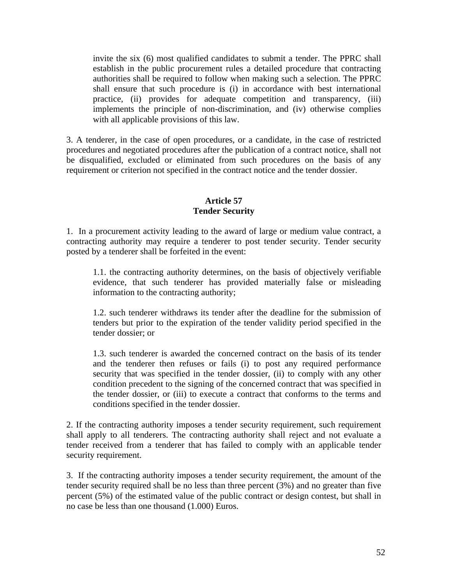invite the six (6) most qualified candidates to submit a tender. The PPRC shall establish in the public procurement rules a detailed procedure that contracting authorities shall be required to follow when making such a selection. The PPRC shall ensure that such procedure is (i) in accordance with best international practice, (ii) provides for adequate competition and transparency, (iii) implements the principle of non-discrimination, and (iv) otherwise complies with all applicable provisions of this law.

3. A tenderer, in the case of open procedures, or a candidate, in the case of restricted procedures and negotiated procedures after the publication of a contract notice, shall not be disqualified, excluded or eliminated from such procedures on the basis of any requirement or criterion not specified in the contract notice and the tender dossier.

## **Article 57 Tender Security**

1. In a procurement activity leading to the award of large or medium value contract, a contracting authority may require a tenderer to post tender security. Tender security posted by a tenderer shall be forfeited in the event:

1.1. the contracting authority determines, on the basis of objectively verifiable evidence, that such tenderer has provided materially false or misleading information to the contracting authority;

1.2. such tenderer withdraws its tender after the deadline for the submission of tenders but prior to the expiration of the tender validity period specified in the tender dossier; or

1.3. such tenderer is awarded the concerned contract on the basis of its tender and the tenderer then refuses or fails (i) to post any required performance security that was specified in the tender dossier, (ii) to comply with any other condition precedent to the signing of the concerned contract that was specified in the tender dossier, or (iii) to execute a contract that conforms to the terms and conditions specified in the tender dossier.

2. If the contracting authority imposes a tender security requirement, such requirement shall apply to all tenderers. The contracting authority shall reject and not evaluate a tender received from a tenderer that has failed to comply with an applicable tender security requirement.

3. If the contracting authority imposes a tender security requirement, the amount of the tender security required shall be no less than three percent (3%) and no greater than five percent (5%) of the estimated value of the public contract or design contest, but shall in no case be less than one thousand (1.000) Euros.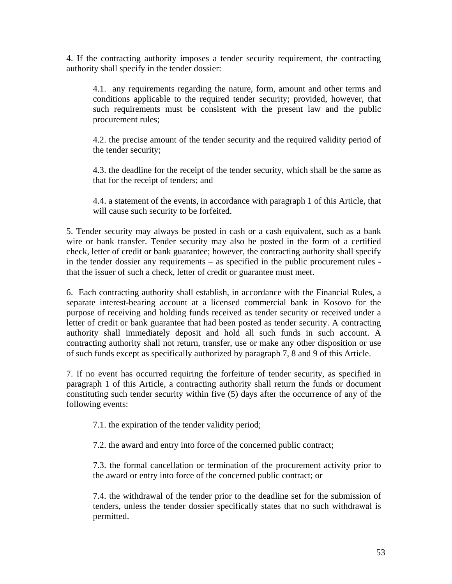4. If the contracting authority imposes a tender security requirement, the contracting authority shall specify in the tender dossier:

4.1. any requirements regarding the nature, form, amount and other terms and conditions applicable to the required tender security; provided, however, that such requirements must be consistent with the present law and the public procurement rules;

4.2. the precise amount of the tender security and the required validity period of the tender security;

4.3. the deadline for the receipt of the tender security, which shall be the same as that for the receipt of tenders; and

4.4. a statement of the events, in accordance with paragraph 1 of this Article, that will cause such security to be forfeited.

5. Tender security may always be posted in cash or a cash equivalent, such as a bank wire or bank transfer. Tender security may also be posted in the form of a certified check, letter of credit or bank guarantee; however, the contracting authority shall specify in the tender dossier any requirements – as specified in the public procurement rules that the issuer of such a check, letter of credit or guarantee must meet.

6. Each contracting authority shall establish, in accordance with the Financial Rules, a separate interest-bearing account at a licensed commercial bank in Kosovo for the purpose of receiving and holding funds received as tender security or received under a letter of credit or bank guarantee that had been posted as tender security. A contracting authority shall immediately deposit and hold all such funds in such account. A contracting authority shall not return, transfer, use or make any other disposition or use of such funds except as specifically authorized by paragraph 7, 8 and 9 of this Article.

7. If no event has occurred requiring the forfeiture of tender security, as specified in paragraph 1 of this Article, a contracting authority shall return the funds or document constituting such tender security within five (5) days after the occurrence of any of the following events:

7.1. the expiration of the tender validity period;

7.2. the award and entry into force of the concerned public contract;

7.3. the formal cancellation or termination of the procurement activity prior to the award or entry into force of the concerned public contract; or

7.4. the withdrawal of the tender prior to the deadline set for the submission of tenders, unless the tender dossier specifically states that no such withdrawal is permitted.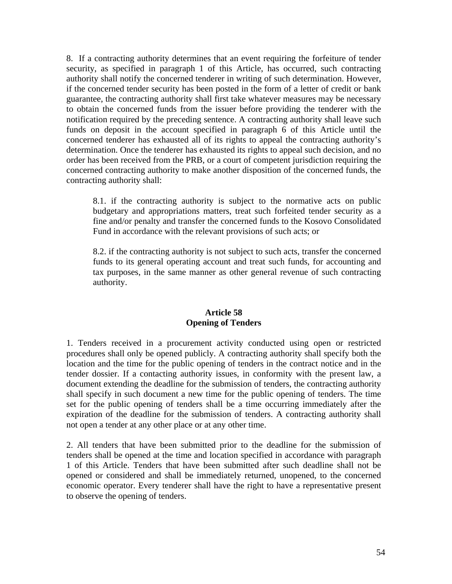8. If a contracting authority determines that an event requiring the forfeiture of tender security, as specified in paragraph 1 of this Article, has occurred, such contracting authority shall notify the concerned tenderer in writing of such determination. However, if the concerned tender security has been posted in the form of a letter of credit or bank guarantee, the contracting authority shall first take whatever measures may be necessary to obtain the concerned funds from the issuer before providing the tenderer with the notification required by the preceding sentence. A contracting authority shall leave such funds on deposit in the account specified in paragraph 6 of this Article until the concerned tenderer has exhausted all of its rights to appeal the contracting authority's determination. Once the tenderer has exhausted its rights to appeal such decision, and no order has been received from the PRB, or a court of competent jurisdiction requiring the concerned contracting authority to make another disposition of the concerned funds, the contracting authority shall:

8.1. if the contracting authority is subject to the normative acts on public budgetary and appropriations matters, treat such forfeited tender security as a fine and/or penalty and transfer the concerned funds to the Kosovo Consolidated Fund in accordance with the relevant provisions of such acts; or

8.2. if the contracting authority is not subject to such acts, transfer the concerned funds to its general operating account and treat such funds, for accounting and tax purposes, in the same manner as other general revenue of such contracting authority.

#### **Article 58 Opening of Tenders**

1. Tenders received in a procurement activity conducted using open or restricted procedures shall only be opened publicly. A contracting authority shall specify both the location and the time for the public opening of tenders in the contract notice and in the tender dossier. If a contacting authority issues, in conformity with the present law, a document extending the deadline for the submission of tenders, the contracting authority shall specify in such document a new time for the public opening of tenders. The time set for the public opening of tenders shall be a time occurring immediately after the expiration of the deadline for the submission of tenders. A contracting authority shall not open a tender at any other place or at any other time.

2. All tenders that have been submitted prior to the deadline for the submission of tenders shall be opened at the time and location specified in accordance with paragraph 1 of this Article. Tenders that have been submitted after such deadline shall not be opened or considered and shall be immediately returned, unopened, to the concerned economic operator. Every tenderer shall have the right to have a representative present to observe the opening of tenders.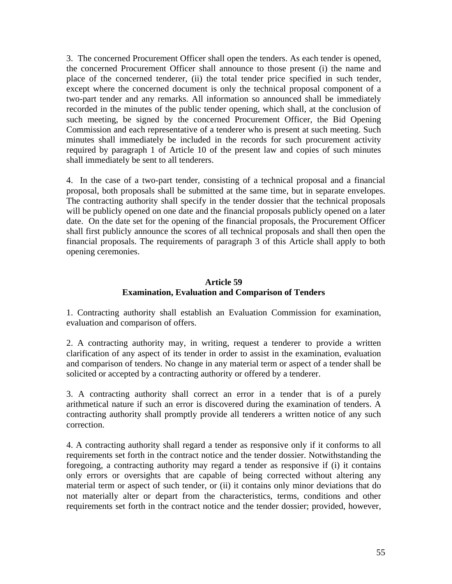3. The concerned Procurement Officer shall open the tenders. As each tender is opened, the concerned Procurement Officer shall announce to those present (i) the name and place of the concerned tenderer, (ii) the total tender price specified in such tender, except where the concerned document is only the technical proposal component of a two-part tender and any remarks. All information so announced shall be immediately recorded in the minutes of the public tender opening, which shall, at the conclusion of such meeting, be signed by the concerned Procurement Officer, the Bid Opening Commission and each representative of a tenderer who is present at such meeting. Such minutes shall immediately be included in the records for such procurement activity required by paragraph 1 of Article 10 of the present law and copies of such minutes shall immediately be sent to all tenderers.

4. In the case of a two-part tender, consisting of a technical proposal and a financial proposal, both proposals shall be submitted at the same time, but in separate envelopes. The contracting authority shall specify in the tender dossier that the technical proposals will be publicly opened on one date and the financial proposals publicly opened on a later date. On the date set for the opening of the financial proposals, the Procurement Officer shall first publicly announce the scores of all technical proposals and shall then open the financial proposals. The requirements of paragraph 3 of this Article shall apply to both opening ceremonies.

## **Article 59 Examination, Evaluation and Comparison of Tenders**

1. Contracting authority shall establish an Evaluation Commission for examination, evaluation and comparison of offers.

2. A contracting authority may, in writing, request a tenderer to provide a written clarification of any aspect of its tender in order to assist in the examination, evaluation and comparison of tenders. No change in any material term or aspect of a tender shall be solicited or accepted by a contracting authority or offered by a tenderer.

3. A contracting authority shall correct an error in a tender that is of a purely arithmetical nature if such an error is discovered during the examination of tenders. A contracting authority shall promptly provide all tenderers a written notice of any such correction.

4. A contracting authority shall regard a tender as responsive only if it conforms to all requirements set forth in the contract notice and the tender dossier. Notwithstanding the foregoing, a contracting authority may regard a tender as responsive if (i) it contains only errors or oversights that are capable of being corrected without altering any material term or aspect of such tender, or (ii) it contains only minor deviations that do not materially alter or depart from the characteristics, terms, conditions and other requirements set forth in the contract notice and the tender dossier; provided, however,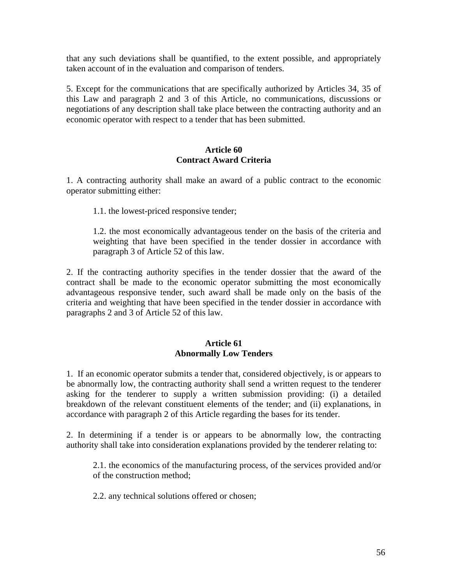that any such deviations shall be quantified, to the extent possible, and appropriately taken account of in the evaluation and comparison of tenders.

5. Except for the communications that are specifically authorized by Articles 34, 35 of this Law and paragraph 2 and 3 of this Article, no communications, discussions or negotiations of any description shall take place between the contracting authority and an economic operator with respect to a tender that has been submitted.

## **Article 60 Contract Award Criteria**

1. A contracting authority shall make an award of a public contract to the economic operator submitting either:

1.1. the lowest-priced responsive tender;

1.2. the most economically advantageous tender on the basis of the criteria and weighting that have been specified in the tender dossier in accordance with paragraph 3 of Article 52 of this law.

2. If the contracting authority specifies in the tender dossier that the award of the contract shall be made to the economic operator submitting the most economically advantageous responsive tender, such award shall be made only on the basis of the criteria and weighting that have been specified in the tender dossier in accordance with paragraphs 2 and 3 of Article 52 of this law.

#### **Article 61 Abnormally Low Tenders**

1. If an economic operator submits a tender that, considered objectively, is or appears to be abnormally low, the contracting authority shall send a written request to the tenderer asking for the tenderer to supply a written submission providing: (i) a detailed breakdown of the relevant constituent elements of the tender; and (ii) explanations, in accordance with paragraph 2 of this Article regarding the bases for its tender.

2. In determining if a tender is or appears to be abnormally low, the contracting authority shall take into consideration explanations provided by the tenderer relating to:

2.1. the economics of the manufacturing process, of the services provided and/or of the construction method;

2.2. any technical solutions offered or chosen;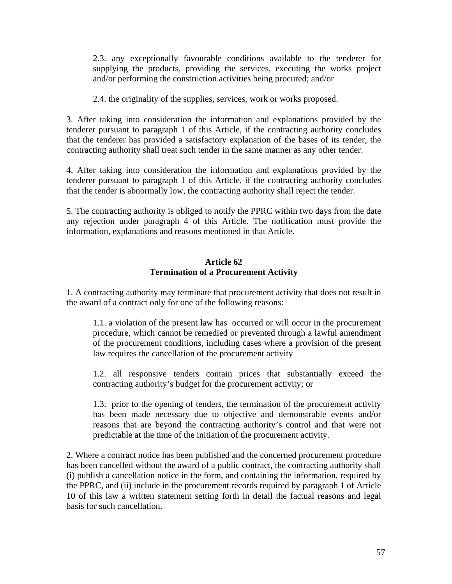2.3. any exceptionally favourable conditions available to the tenderer for supplying the products, providing the services, executing the works project and/or performing the construction activities being procured; and/or

2.4. the originality of the supplies, services, work or works proposed.

3. After taking into consideration the information and explanations provided by the tenderer pursuant to paragraph 1 of this Article, if the contracting authority concludes that the tenderer has provided a satisfactory explanation of the bases of its tender, the contracting authority shall treat such tender in the same manner as any other tender.

4. After taking into consideration the information and explanations provided by the tenderer pursuant to paragraph 1 of this Article, if the contracting authority concludes that the tender is abnormally low, the contracting authority shall reject the tender.

5. The contracting authority is obliged to notify the PPRC within two days from the date any rejection under paragraph 4 of this Article. The notification must provide the information, explanations and reasons mentioned in that Article.

#### **Article 62 Termination of a Procurement Activity**

1. A contracting authority may terminate that procurement activity that does not result in the award of a contract only for one of the following reasons:

1.1. a violation of the present law has occurred or will occur in the procurement procedure, which cannot be remedied or prevented through a lawful amendment of the procurement conditions, including cases where a provision of the present law requires the cancellation of the procurement activity

1.2. all responsive tenders contain prices that substantially exceed the contracting authority's budget for the procurement activity; or

1.3. prior to the opening of tenders, the termination of the procurement activity has been made necessary due to objective and demonstrable events and/or reasons that are beyond the contracting authority's control and that were not predictable at the time of the initiation of the procurement activity.

2. Where a contract notice has been published and the concerned procurement procedure has been cancelled without the award of a public contract, the contracting authority shall (i) publish a cancellation notice in the form, and containing the information, required by the PPRC, and (ii) include in the procurement records required by paragraph 1 of Article 10 of this law a written statement setting forth in detail the factual reasons and legal basis for such cancellation.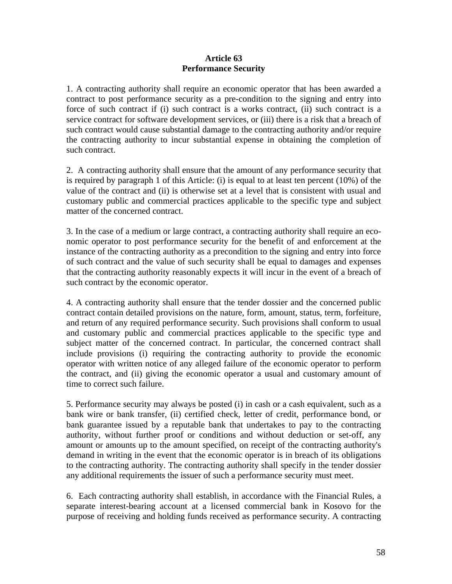#### **Article 63 Performance Security**

1. A contracting authority shall require an economic operator that has been awarded a contract to post performance security as a pre-condition to the signing and entry into force of such contract if (i) such contract is a works contract, (ii) such contract is a service contract for software development services, or (iii) there is a risk that a breach of such contract would cause substantial damage to the contracting authority and/or require the contracting authority to incur substantial expense in obtaining the completion of such contract.

2. A contracting authority shall ensure that the amount of any performance security that is required by paragraph 1 of this Article: (i) is equal to at least ten percent (10%) of the value of the contract and (ii) is otherwise set at a level that is consistent with usual and customary public and commercial practices applicable to the specific type and subject matter of the concerned contract.

3. In the case of a medium or large contract, a contracting authority shall require an economic operator to post performance security for the benefit of and enforcement at the instance of the contracting authority as a precondition to the signing and entry into force of such contract and the value of such security shall be equal to damages and expenses that the contracting authority reasonably expects it will incur in the event of a breach of such contract by the economic operator.

4. A contracting authority shall ensure that the tender dossier and the concerned public contract contain detailed provisions on the nature, form, amount, status, term, forfeiture, and return of any required performance security. Such provisions shall conform to usual and customary public and commercial practices applicable to the specific type and subject matter of the concerned contract. In particular, the concerned contract shall include provisions (i) requiring the contracting authority to provide the economic operator with written notice of any alleged failure of the economic operator to perform the contract, and (ii) giving the economic operator a usual and customary amount of time to correct such failure.

5. Performance security may always be posted (i) in cash or a cash equivalent, such as a bank wire or bank transfer, (ii) certified check, letter of credit, performance bond, or bank guarantee issued by a reputable bank that undertakes to pay to the contracting authority, without further proof or conditions and without deduction or set-off, any amount or amounts up to the amount specified, on receipt of the contracting authority's demand in writing in the event that the economic operator is in breach of its obligations to the contracting authority. The contracting authority shall specify in the tender dossier any additional requirements the issuer of such a performance security must meet.

6. Each contracting authority shall establish, in accordance with the Financial Rules, a separate interest-bearing account at a licensed commercial bank in Kosovo for the purpose of receiving and holding funds received as performance security. A contracting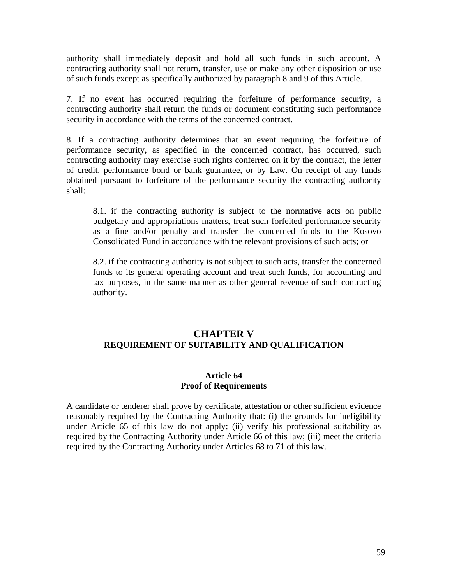authority shall immediately deposit and hold all such funds in such account. A contracting authority shall not return, transfer, use or make any other disposition or use of such funds except as specifically authorized by paragraph 8 and 9 of this Article.

7. If no event has occurred requiring the forfeiture of performance security, a contracting authority shall return the funds or document constituting such performance security in accordance with the terms of the concerned contract.

8. If a contracting authority determines that an event requiring the forfeiture of performance security, as specified in the concerned contract, has occurred, such contracting authority may exercise such rights conferred on it by the contract, the letter of credit, performance bond or bank guarantee, or by Law. On receipt of any funds obtained pursuant to forfeiture of the performance security the contracting authority shall:

8.1. if the contracting authority is subject to the normative acts on public budgetary and appropriations matters, treat such forfeited performance security as a fine and/or penalty and transfer the concerned funds to the Kosovo Consolidated Fund in accordance with the relevant provisions of such acts; or

8.2. if the contracting authority is not subject to such acts, transfer the concerned funds to its general operating account and treat such funds, for accounting and tax purposes, in the same manner as other general revenue of such contracting authority.

# **CHAPTER V REQUIREMENT OF SUITABILITY AND QUALIFICATION**

#### **Article 64 Proof of Requirements**

A candidate or tenderer shall prove by certificate, attestation or other sufficient evidence reasonably required by the Contracting Authority that: (i) the grounds for ineligibility under Article 65 of this law do not apply; (ii) verify his professional suitability as required by the Contracting Authority under Article 66 of this law; (iii) meet the criteria required by the Contracting Authority under Articles 68 to 71 of this law.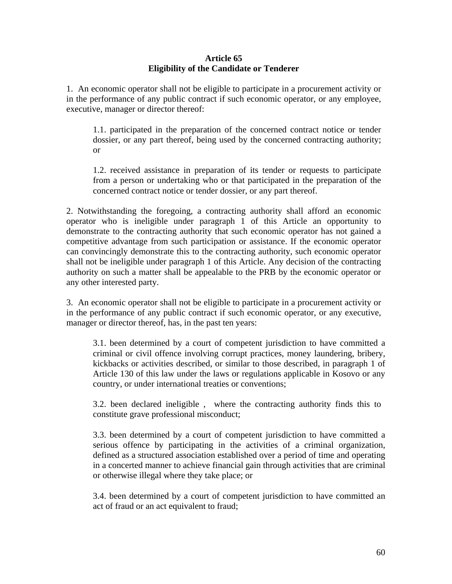#### **Article 65 Eligibility of the Candidate or Tenderer**

1. An economic operator shall not be eligible to participate in a procurement activity or in the performance of any public contract if such economic operator, or any employee, executive, manager or director thereof:

1.1. participated in the preparation of the concerned contract notice or tender dossier, or any part thereof, being used by the concerned contracting authority; or

1.2. received assistance in preparation of its tender or requests to participate from a person or undertaking who or that participated in the preparation of the concerned contract notice or tender dossier, or any part thereof.

2. Notwithstanding the foregoing, a contracting authority shall afford an economic operator who is ineligible under paragraph 1 of this Article an opportunity to demonstrate to the contracting authority that such economic operator has not gained a competitive advantage from such participation or assistance. If the economic operator can convincingly demonstrate this to the contracting authority, such economic operator shall not be ineligible under paragraph 1 of this Article. Any decision of the contracting authority on such a matter shall be appealable to the PRB by the economic operator or any other interested party.

3. An economic operator shall not be eligible to participate in a procurement activity or in the performance of any public contract if such economic operator, or any executive, manager or director thereof, has, in the past ten years:

3.1. been determined by a court of competent jurisdiction to have committed a criminal or civil offence involving corrupt practices, money laundering, bribery, kickbacks or activities described, or similar to those described, in paragraph 1 of Article 130 of this law under the laws or regulations applicable in Kosovo or any country, or under international treaties or conventions;

3.2. been declared ineligible , where the contracting authority finds this to constitute grave professional misconduct;

3.3. been determined by a court of competent jurisdiction to have committed a serious offence by participating in the activities of a criminal organization, defined as a structured association established over a period of time and operating in a concerted manner to achieve financial gain through activities that are criminal or otherwise illegal where they take place; or

3.4. been determined by a court of competent jurisdiction to have committed an act of fraud or an act equivalent to fraud;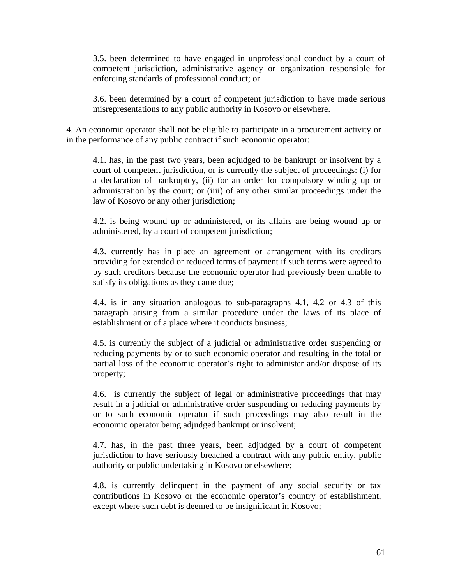3.5. been determined to have engaged in unprofessional conduct by a court of competent jurisdiction, administrative agency or organization responsible for enforcing standards of professional conduct; or

3.6. been determined by a court of competent jurisdiction to have made serious misrepresentations to any public authority in Kosovo or elsewhere.

4. An economic operator shall not be eligible to participate in a procurement activity or in the performance of any public contract if such economic operator:

4.1. has, in the past two years, been adjudged to be bankrupt or insolvent by a court of competent jurisdiction, or is currently the subject of proceedings: (i) for a declaration of bankruptcy, (ii) for an order for compulsory winding up or administration by the court; or (iiii) of any other similar proceedings under the law of Kosovo or any other jurisdiction;

4.2. is being wound up or administered, or its affairs are being wound up or administered, by a court of competent jurisdiction;

4.3. currently has in place an agreement or arrangement with its creditors providing for extended or reduced terms of payment if such terms were agreed to by such creditors because the economic operator had previously been unable to satisfy its obligations as they came due;

4.4. is in any situation analogous to sub-paragraphs 4.1, 4.2 or 4.3 of this paragraph arising from a similar procedure under the laws of its place of establishment or of a place where it conducts business;

4.5. is currently the subject of a judicial or administrative order suspending or reducing payments by or to such economic operator and resulting in the total or partial loss of the economic operator's right to administer and/or dispose of its property;

4.6. is currently the subject of legal or administrative proceedings that may result in a judicial or administrative order suspending or reducing payments by or to such economic operator if such proceedings may also result in the economic operator being adjudged bankrupt or insolvent;

4.7. has, in the past three years, been adjudged by a court of competent jurisdiction to have seriously breached a contract with any public entity, public authority or public undertaking in Kosovo or elsewhere;

4.8. is currently delinquent in the payment of any social security or tax contributions in Kosovo or the economic operator's country of establishment, except where such debt is deemed to be insignificant in Kosovo;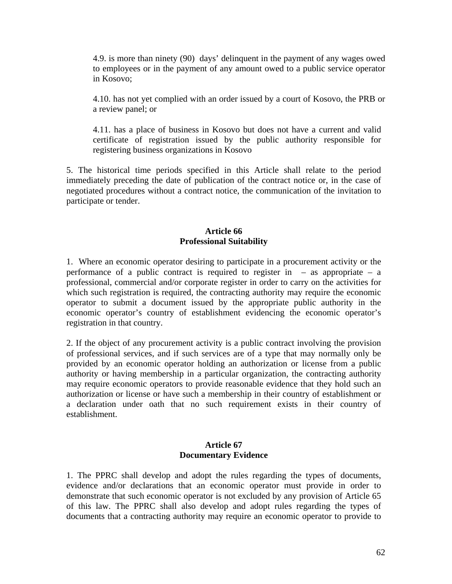4.9. is more than ninety (90) days' delinquent in the payment of any wages owed to employees or in the payment of any amount owed to a public service operator in Kosovo;

4.10. has not yet complied with an order issued by a court of Kosovo, the PRB or a review panel; or

4.11. has a place of business in Kosovo but does not have a current and valid certificate of registration issued by the public authority responsible for registering business organizations in Kosovo

5. The historical time periods specified in this Article shall relate to the period immediately preceding the date of publication of the contract notice or, in the case of negotiated procedures without a contract notice, the communication of the invitation to participate or tender.

## **Article 66 Professional Suitability**

1. Where an economic operator desiring to participate in a procurement activity or the performance of a public contract is required to register in  $-$  as appropriate  $-$  a professional, commercial and/or corporate register in order to carry on the activities for which such registration is required, the contracting authority may require the economic operator to submit a document issued by the appropriate public authority in the economic operator's country of establishment evidencing the economic operator's registration in that country.

2. If the object of any procurement activity is a public contract involving the provision of professional services, and if such services are of a type that may normally only be provided by an economic operator holding an authorization or license from a public authority or having membership in a particular organization, the contracting authority may require economic operators to provide reasonable evidence that they hold such an authorization or license or have such a membership in their country of establishment or a declaration under oath that no such requirement exists in their country of establishment.

#### **Article 67 Documentary Evidence**

1. The PPRC shall develop and adopt the rules regarding the types of documents, evidence and/or declarations that an economic operator must provide in order to demonstrate that such economic operator is not excluded by any provision of Article 65 of this law. The PPRC shall also develop and adopt rules regarding the types of documents that a contracting authority may require an economic operator to provide to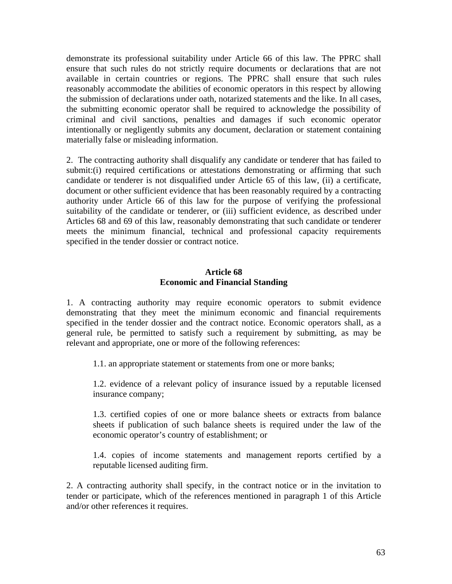demonstrate its professional suitability under Article 66 of this law. The PPRC shall ensure that such rules do not strictly require documents or declarations that are not available in certain countries or regions. The PPRC shall ensure that such rules reasonably accommodate the abilities of economic operators in this respect by allowing the submission of declarations under oath, notarized statements and the like. In all cases, the submitting economic operator shall be required to acknowledge the possibility of criminal and civil sanctions, penalties and damages if such economic operator intentionally or negligently submits any document, declaration or statement containing materially false or misleading information.

2. The contracting authority shall disqualify any candidate or tenderer that has failed to submit:(i) required certifications or attestations demonstrating or affirming that such candidate or tenderer is not disqualified under Article 65 of this law, (ii) a certificate, document or other sufficient evidence that has been reasonably required by a contracting authority under Article 66 of this law for the purpose of verifying the professional suitability of the candidate or tenderer, or (iii) sufficient evidence, as described under Articles 68 and 69 of this law, reasonably demonstrating that such candidate or tenderer meets the minimum financial, technical and professional capacity requirements specified in the tender dossier or contract notice.

#### **Article 68 Economic and Financial Standing**

1. A contracting authority may require economic operators to submit evidence demonstrating that they meet the minimum economic and financial requirements specified in the tender dossier and the contract notice. Economic operators shall, as a general rule, be permitted to satisfy such a requirement by submitting, as may be relevant and appropriate, one or more of the following references:

1.1. an appropriate statement or statements from one or more banks;

1.2. evidence of a relevant policy of insurance issued by a reputable licensed insurance company;

1.3. certified copies of one or more balance sheets or extracts from balance sheets if publication of such balance sheets is required under the law of the economic operator's country of establishment; or

1.4. copies of income statements and management reports certified by a reputable licensed auditing firm.

2. A contracting authority shall specify, in the contract notice or in the invitation to tender or participate, which of the references mentioned in paragraph 1 of this Article and/or other references it requires.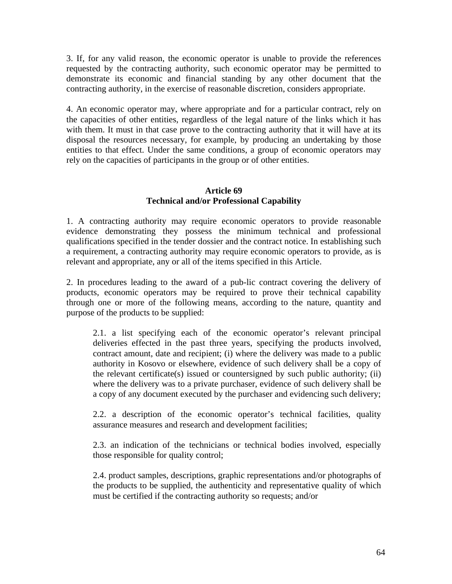3. If, for any valid reason, the economic operator is unable to provide the references requested by the contracting authority, such economic operator may be permitted to demonstrate its economic and financial standing by any other document that the contracting authority, in the exercise of reasonable discretion, considers appropriate.

4. An economic operator may, where appropriate and for a particular contract, rely on the capacities of other entities, regardless of the legal nature of the links which it has with them. It must in that case prove to the contracting authority that it will have at its disposal the resources necessary, for example, by producing an undertaking by those entities to that effect. Under the same conditions, a group of economic operators may rely on the capacities of participants in the group or of other entities.

## **Article 69 Technical and/or Professional Capability**

1. A contracting authority may require economic operators to provide reasonable evidence demonstrating they possess the minimum technical and professional qualifications specified in the tender dossier and the contract notice. In establishing such a requirement, a contracting authority may require economic operators to provide, as is relevant and appropriate, any or all of the items specified in this Article.

2. In procedures leading to the award of a pub-lic contract covering the delivery of products, economic operators may be required to prove their technical capability through one or more of the following means, according to the nature, quantity and purpose of the products to be supplied:

2.1. a list specifying each of the economic operator's relevant principal deliveries effected in the past three years, specifying the products involved, contract amount, date and recipient; (i) where the delivery was made to a public authority in Kosovo or elsewhere, evidence of such delivery shall be a copy of the relevant certificate(s) issued or countersigned by such public authority; (ii) where the delivery was to a private purchaser, evidence of such delivery shall be a copy of any document executed by the purchaser and evidencing such delivery;

2.2. a description of the economic operator's technical facilities, quality assurance measures and research and development facilities;

2.3. an indication of the technicians or technical bodies involved, especially those responsible for quality control;

2.4. product samples, descriptions, graphic representations and/or photographs of the products to be supplied, the authenticity and representative quality of which must be certified if the contracting authority so requests; and/or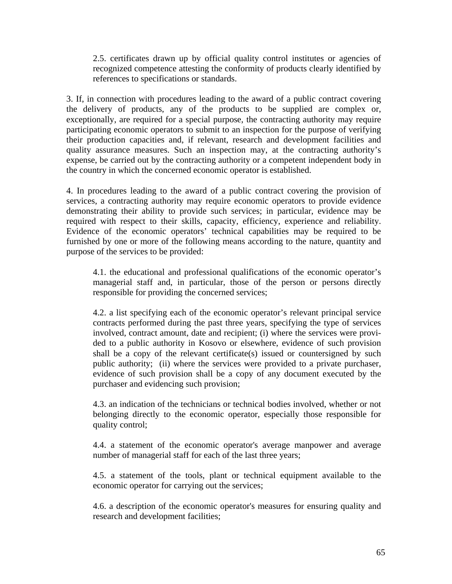2.5. certificates drawn up by official quality control institutes or agencies of recognized competence attesting the conformity of products clearly identified by references to specifications or standards.

3. If, in connection with procedures leading to the award of a public contract covering the delivery of products, any of the products to be supplied are complex or, exceptionally, are required for a special purpose, the contracting authority may require participating economic operators to submit to an inspection for the purpose of verifying their production capacities and, if relevant, research and development facilities and quality assurance measures. Such an inspection may, at the contracting authority's expense, be carried out by the contracting authority or a competent independent body in the country in which the concerned economic operator is established.

4. In procedures leading to the award of a public contract covering the provision of services, a contracting authority may require economic operators to provide evidence demonstrating their ability to provide such services; in particular, evidence may be required with respect to their skills, capacity, efficiency, experience and reliability. Evidence of the economic operators' technical capabilities may be required to be furnished by one or more of the following means according to the nature, quantity and purpose of the services to be provided:

4.1. the educational and professional qualifications of the economic operator's managerial staff and, in particular, those of the person or persons directly responsible for providing the concerned services;

4.2. a list specifying each of the economic operator's relevant principal service contracts performed during the past three years, specifying the type of services involved, contract amount, date and recipient; (i) where the services were provided to a public authority in Kosovo or elsewhere, evidence of such provision shall be a copy of the relevant certificate(s) issued or countersigned by such public authority; (ii) where the services were provided to a private purchaser, evidence of such provision shall be a copy of any document executed by the purchaser and evidencing such provision;

4.3. an indication of the technicians or technical bodies involved, whether or not belonging directly to the economic operator, especially those responsible for quality control;

4.4. a statement of the economic operator's average manpower and average number of managerial staff for each of the last three years;

4.5. a statement of the tools, plant or technical equipment available to the economic operator for carrying out the services;

4.6. a description of the economic operator's measures for ensuring quality and research and development facilities;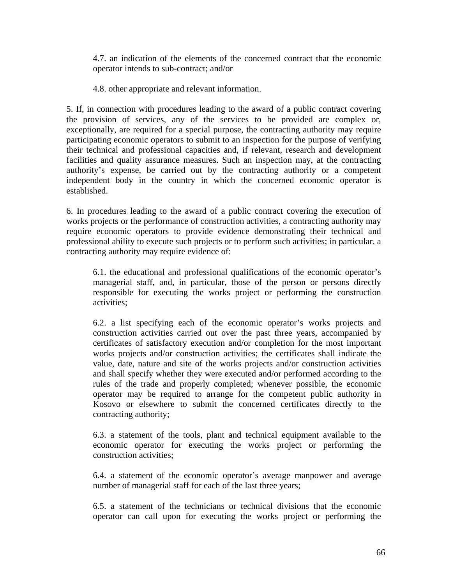4.7. an indication of the elements of the concerned contract that the economic operator intends to sub-contract; and/or

4.8. other appropriate and relevant information.

5. If, in connection with procedures leading to the award of a public contract covering the provision of services, any of the services to be provided are complex or, exceptionally, are required for a special purpose, the contracting authority may require participating economic operators to submit to an inspection for the purpose of verifying their technical and professional capacities and, if relevant, research and development facilities and quality assurance measures. Such an inspection may, at the contracting authority's expense, be carried out by the contracting authority or a competent independent body in the country in which the concerned economic operator is established.

6. In procedures leading to the award of a public contract covering the execution of works projects or the performance of construction activities, a contracting authority may require economic operators to provide evidence demonstrating their technical and professional ability to execute such projects or to perform such activities; in particular, a contracting authority may require evidence of:

6.1. the educational and professional qualifications of the economic operator's managerial staff, and, in particular, those of the person or persons directly responsible for executing the works project or performing the construction activities;

6.2. a list specifying each of the economic operator's works projects and construction activities carried out over the past three years, accompanied by certificates of satisfactory execution and/or completion for the most important works projects and/or construction activities; the certificates shall indicate the value, date, nature and site of the works projects and/or construction activities and shall specify whether they were executed and/or performed according to the rules of the trade and properly completed; whenever possible, the economic operator may be required to arrange for the competent public authority in Kosovo or elsewhere to submit the concerned certificates directly to the contracting authority;

6.3. a statement of the tools, plant and technical equipment available to the economic operator for executing the works project or performing the construction activities;

6.4. a statement of the economic operator's average manpower and average number of managerial staff for each of the last three years;

6.5. a statement of the technicians or technical divisions that the economic operator can call upon for executing the works project or performing the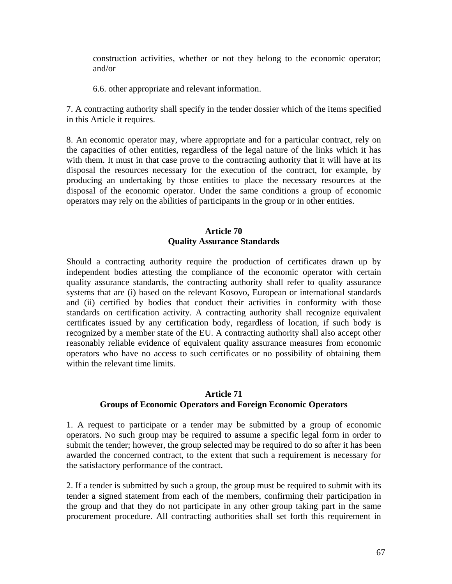construction activities, whether or not they belong to the economic operator; and/or

6.6. other appropriate and relevant information.

7. A contracting authority shall specify in the tender dossier which of the items specified in this Article it requires.

8. An economic operator may, where appropriate and for a particular contract, rely on the capacities of other entities, regardless of the legal nature of the links which it has with them. It must in that case prove to the contracting authority that it will have at its disposal the resources necessary for the execution of the contract, for example, by producing an undertaking by those entities to place the necessary resources at the disposal of the economic operator. Under the same conditions a group of economic operators may rely on the abilities of participants in the group or in other entities.

## **Article 70 Quality Assurance Standards**

Should a contracting authority require the production of certificates drawn up by independent bodies attesting the compliance of the economic operator with certain quality assurance standards, the contracting authority shall refer to quality assurance systems that are (i) based on the relevant Kosovo, European or international standards and (ii) certified by bodies that conduct their activities in conformity with those standards on certification activity. A contracting authority shall recognize equivalent certificates issued by any certification body, regardless of location, if such body is recognized by a member state of the EU. A contracting authority shall also accept other reasonably reliable evidence of equivalent quality assurance measures from economic operators who have no access to such certificates or no possibility of obtaining them within the relevant time limits.

#### **Article 71 Groups of Economic Operators and Foreign Economic Operators**

1. A request to participate or a tender may be submitted by a group of economic operators. No such group may be required to assume a specific legal form in order to submit the tender; however, the group selected may be required to do so after it has been awarded the concerned contract, to the extent that such a requirement is necessary for the satisfactory performance of the contract.

2. If a tender is submitted by such a group, the group must be required to submit with its tender a signed statement from each of the members, confirming their participation in the group and that they do not participate in any other group taking part in the same procurement procedure. All contracting authorities shall set forth this requirement in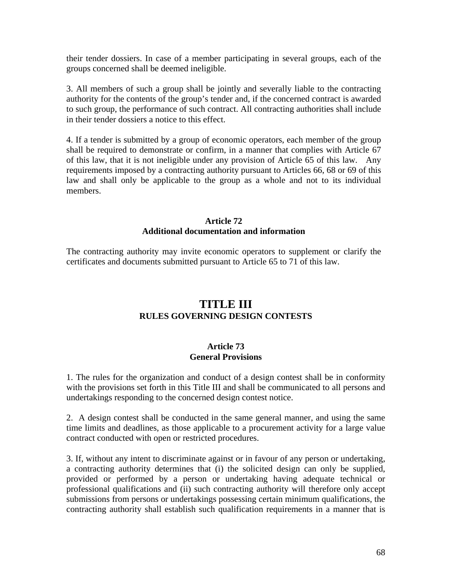their tender dossiers. In case of a member participating in several groups, each of the groups concerned shall be deemed ineligible.

3. All members of such a group shall be jointly and severally liable to the contracting authority for the contents of the group's tender and, if the concerned contract is awarded to such group, the performance of such contract. All contracting authorities shall include in their tender dossiers a notice to this effect.

4. If a tender is submitted by a group of economic operators, each member of the group shall be required to demonstrate or confirm, in a manner that complies with Article 67 of this law, that it is not ineligible under any provision of Article 65 of this law. Any requirements imposed by a contracting authority pursuant to Articles 66, 68 or 69 of this law and shall only be applicable to the group as a whole and not to its individual members.

#### **Article 72 Additional documentation and information**

The contracting authority may invite economic operators to supplement or clarify the certificates and documents submitted pursuant to Article 65 to 71 of this law.

# **TITLE III RULES GOVERNING DESIGN CONTESTS**

## **Article 73 General Provisions**

1. The rules for the organization and conduct of a design contest shall be in conformity with the provisions set forth in this Title III and shall be communicated to all persons and undertakings responding to the concerned design contest notice.

2. A design contest shall be conducted in the same general manner, and using the same time limits and deadlines, as those applicable to a procurement activity for a large value contract conducted with open or restricted procedures.

3. If, without any intent to discriminate against or in favour of any person or undertaking, a contracting authority determines that (i) the solicited design can only be supplied, provided or performed by a person or undertaking having adequate technical or professional qualifications and (ii) such contracting authority will therefore only accept submissions from persons or undertakings possessing certain minimum qualifications, the contracting authority shall establish such qualification requirements in a manner that is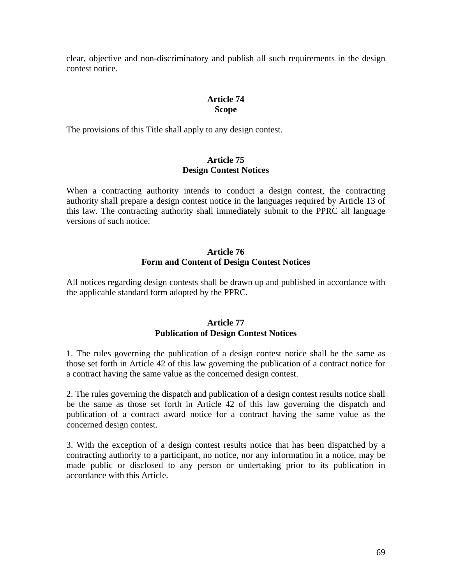clear, objective and non-discriminatory and publish all such requirements in the design contest notice.

## **Article 74 Scope**

The provisions of this Title shall apply to any design contest.

## **Article 75 Design Contest Notices**

When a contracting authority intends to conduct a design contest, the contracting authority shall prepare a design contest notice in the languages required by Article 13 of this law. The contracting authority shall immediately submit to the PPRC all language versions of such notice.

## **Article 76 Form and Content of Design Contest Notices**

All notices regarding design contests shall be drawn up and published in accordance with the applicable standard form adopted by the PPRC.

## **Article 77 Publication of Design Contest Notices**

1. The rules governing the publication of a design contest notice shall be the same as those set forth in Article 42 of this law governing the publication of a contract notice for a contract having the same value as the concerned design contest.

2. The rules governing the dispatch and publication of a design contest results notice shall be the same as those set forth in Article 42 of this law governing the dispatch and publication of a contract award notice for a contract having the same value as the concerned design contest.

3. With the exception of a design contest results notice that has been dispatched by a contracting authority to a participant, no notice, nor any information in a notice, may be made public or disclosed to any person or undertaking prior to its publication in accordance with this Article.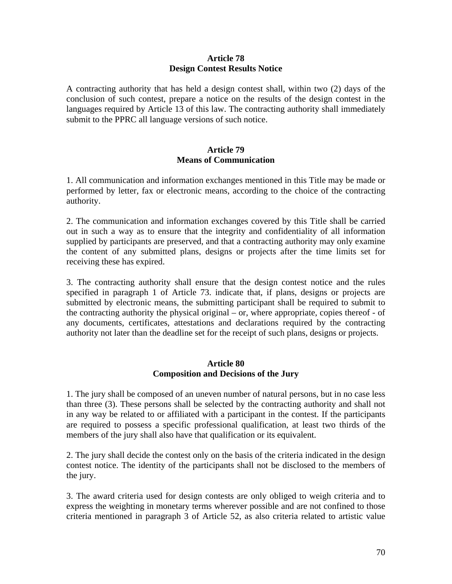#### **Article 78 Design Contest Results Notice**

A contracting authority that has held a design contest shall, within two (2) days of the conclusion of such contest, prepare a notice on the results of the design contest in the languages required by Article 13 of this law. The contracting authority shall immediately submit to the PPRC all language versions of such notice.

## **Article 79 Means of Communication**

1. All communication and information exchanges mentioned in this Title may be made or performed by letter, fax or electronic means, according to the choice of the contracting authority.

2. The communication and information exchanges covered by this Title shall be carried out in such a way as to ensure that the integrity and confidentiality of all information supplied by participants are preserved, and that a contracting authority may only examine the content of any submitted plans, designs or projects after the time limits set for receiving these has expired.

3. The contracting authority shall ensure that the design contest notice and the rules specified in paragraph 1 of Article 73. indicate that, if plans, designs or projects are submitted by electronic means, the submitting participant shall be required to submit to the contracting authority the physical original – or, where appropriate, copies thereof - of any documents, certificates, attestations and declarations required by the contracting authority not later than the deadline set for the receipt of such plans, designs or projects.

## **Article 80 Composition and Decisions of the Jury**

1. The jury shall be composed of an uneven number of natural persons, but in no case less than three (3). These persons shall be selected by the contracting authority and shall not in any way be related to or affiliated with a participant in the contest. If the participants are required to possess a specific professional qualification, at least two thirds of the members of the jury shall also have that qualification or its equivalent.

2. The jury shall decide the contest only on the basis of the criteria indicated in the design contest notice. The identity of the participants shall not be disclosed to the members of the jury.

3. The award criteria used for design contests are only obliged to weigh criteria and to express the weighting in monetary terms wherever possible and are not confined to those criteria mentioned in paragraph 3 of Article 52, as also criteria related to artistic value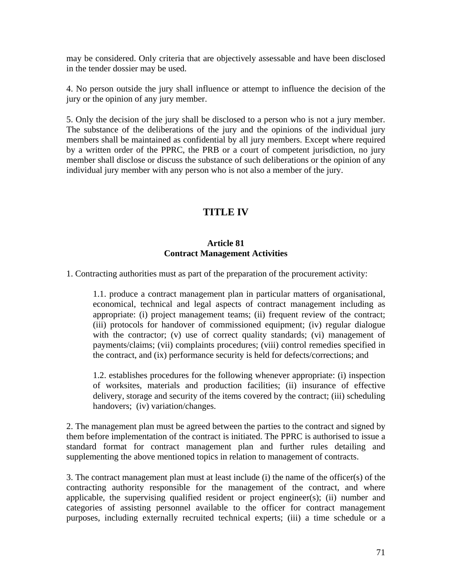may be considered. Only criteria that are objectively assessable and have been disclosed in the tender dossier may be used.

4. No person outside the jury shall influence or attempt to influence the decision of the jury or the opinion of any jury member.

5. Only the decision of the jury shall be disclosed to a person who is not a jury member. The substance of the deliberations of the jury and the opinions of the individual jury members shall be maintained as confidential by all jury members. Except where required by a written order of the PPRC, the PRB or a court of competent jurisdiction, no jury member shall disclose or discuss the substance of such deliberations or the opinion of any individual jury member with any person who is not also a member of the jury.

# **TITLE IV**

## **Article 81 Contract Management Activities**

1. Contracting authorities must as part of the preparation of the procurement activity:

1.1. produce a contract management plan in particular matters of organisational, economical, technical and legal aspects of contract management including as appropriate: (i) project management teams; (ii) frequent review of the contract; (iii) protocols for handover of commissioned equipment; (iv) regular dialogue with the contractor; (v) use of correct quality standards; (vi) management of payments/claims; (vii) complaints procedures; (viii) control remedies specified in the contract, and (ix) performance security is held for defects/corrections; and

1.2. establishes procedures for the following whenever appropriate: (i) inspection of worksites, materials and production facilities; (ii) insurance of effective delivery, storage and security of the items covered by the contract; (iii) scheduling handovers; (iv) variation/changes.

2. The management plan must be agreed between the parties to the contract and signed by them before implementation of the contract is initiated. The PPRC is authorised to issue a standard format for contract management plan and further rules detailing and supplementing the above mentioned topics in relation to management of contracts.

3. The contract management plan must at least include (i) the name of the officer(s) of the contracting authority responsible for the management of the contract, and where applicable, the supervising qualified resident or project engineer(s); (ii) number and categories of assisting personnel available to the officer for contract management purposes, including externally recruited technical experts; (iii) a time schedule or a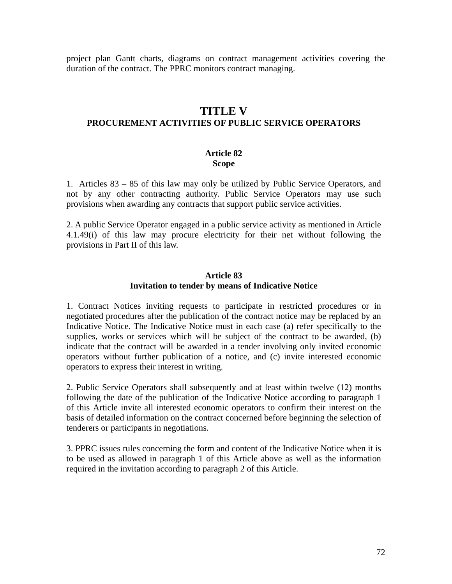project plan Gantt charts, diagrams on contract management activities covering the duration of the contract. The PPRC monitors contract managing.

# **TITLE V**

## **PROCUREMENT ACTIVITIES OF PUBLIC SERVICE OPERATORS**

#### **Article 82 Scope**

1.Articles 83 – 85 of this law may only be utilized by Public Service Operators, and not by any other contracting authority. Public Service Operators may use such provisions when awarding any contracts that support public service activities.

2. A public Service Operator engaged in a public service activity as mentioned in Article 4.1.49(i) of this law may procure electricity for their net without following the provisions in Part II of this law.

## **Article 83 Invitation to tender by means of Indicative Notice**

1. Contract Notices inviting requests to participate in restricted procedures or in negotiated procedures after the publication of the contract notice may be replaced by an Indicative Notice. The Indicative Notice must in each case (a) refer specifically to the supplies, works or services which will be subject of the contract to be awarded, (b) indicate that the contract will be awarded in a tender involving only invited economic operators without further publication of a notice, and (c) invite interested economic operators to express their interest in writing.

2. Public Service Operators shall subsequently and at least within twelve (12) months following the date of the publication of the Indicative Notice according to paragraph 1 of this Article invite all interested economic operators to confirm their interest on the basis of detailed information on the contract concerned before beginning the selection of tenderers or participants in negotiations.

3. PPRC issues rules concerning the form and content of the Indicative Notice when it is to be used as allowed in paragraph 1 of this Article above as well as the information required in the invitation according to paragraph 2 of this Article.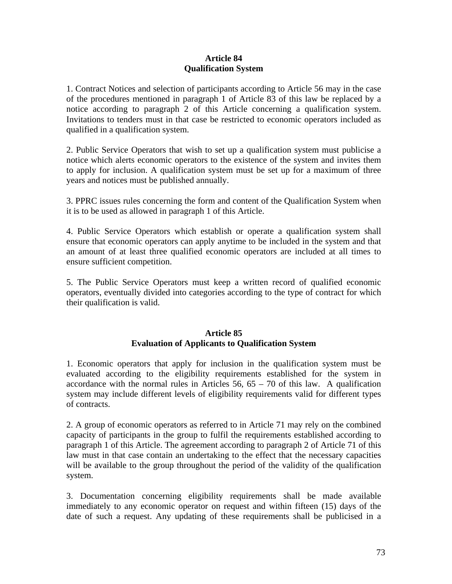## **Article 84 Qualification System**

1. Contract Notices and selection of participants according to Article 56 may in the case of the procedures mentioned in paragraph 1 of Article 83 of this law be replaced by a notice according to paragraph 2 of this Article concerning a qualification system. Invitations to tenders must in that case be restricted to economic operators included as qualified in a qualification system.

2. Public Service Operators that wish to set up a qualification system must publicise a notice which alerts economic operators to the existence of the system and invites them to apply for inclusion. A qualification system must be set up for a maximum of three years and notices must be published annually.

3. PPRC issues rules concerning the form and content of the Qualification System when it is to be used as allowed in paragraph 1 of this Article.

4. Public Service Operators which establish or operate a qualification system shall ensure that economic operators can apply anytime to be included in the system and that an amount of at least three qualified economic operators are included at all times to ensure sufficient competition.

5. The Public Service Operators must keep a written record of qualified economic operators, eventually divided into categories according to the type of contract for which their qualification is valid.

## **Article 85 Evaluation of Applicants to Qualification System**

1. Economic operators that apply for inclusion in the qualification system must be evaluated according to the eligibility requirements established for the system in accordance with the normal rules in Articles  $56$ ,  $65 - 70$  of this law. A qualification system may include different levels of eligibility requirements valid for different types of contracts.

2. A group of economic operators as referred to in Article 71 may rely on the combined capacity of participants in the group to fulfil the requirements established according to paragraph 1 of this Article. The agreement according to paragraph 2 of Article 71 of this law must in that case contain an undertaking to the effect that the necessary capacities will be available to the group throughout the period of the validity of the qualification system.

3. Documentation concerning eligibility requirements shall be made available immediately to any economic operator on request and within fifteen (15) days of the date of such a request. Any updating of these requirements shall be publicised in a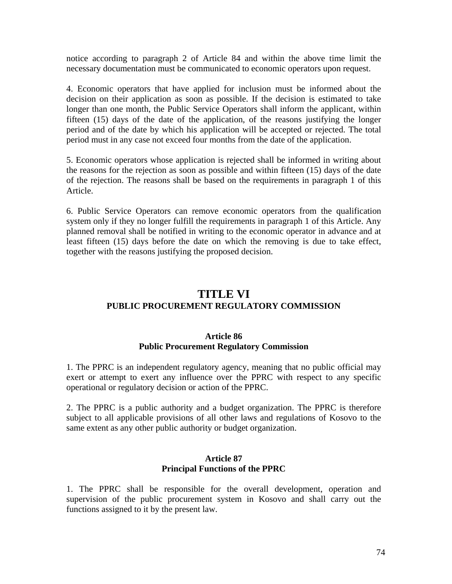notice according to paragraph 2 of Article 84 and within the above time limit the necessary documentation must be communicated to economic operators upon request.

4. Economic operators that have applied for inclusion must be informed about the decision on their application as soon as possible. If the decision is estimated to take longer than one month, the Public Service Operators shall inform the applicant, within fifteen (15) days of the date of the application, of the reasons justifying the longer period and of the date by which his application will be accepted or rejected. The total period must in any case not exceed four months from the date of the application.

5. Economic operators whose application is rejected shall be informed in writing about the reasons for the rejection as soon as possible and within fifteen (15) days of the date of the rejection. The reasons shall be based on the requirements in paragraph 1 of this Article.

6. Public Service Operators can remove economic operators from the qualification system only if they no longer fulfill the requirements in paragraph 1 of this Article. Any planned removal shall be notified in writing to the economic operator in advance and at least fifteen (15) days before the date on which the removing is due to take effect, together with the reasons justifying the proposed decision.

# **TITLE VI PUBLIC PROCUREMENT REGULATORY COMMISSION**

#### **Article 86 Public Procurement Regulatory Commission**

1. The PPRC is an independent regulatory agency, meaning that no public official may exert or attempt to exert any influence over the PPRC with respect to any specific operational or regulatory decision or action of the PPRC.

2. The PPRC is a public authority and a budget organization. The PPRC is therefore subject to all applicable provisions of all other laws and regulations of Kosovo to the same extent as any other public authority or budget organization.

#### **Article 87 Principal Functions of the PPRC**

1. The PPRC shall be responsible for the overall development, operation and supervision of the public procurement system in Kosovo and shall carry out the functions assigned to it by the present law.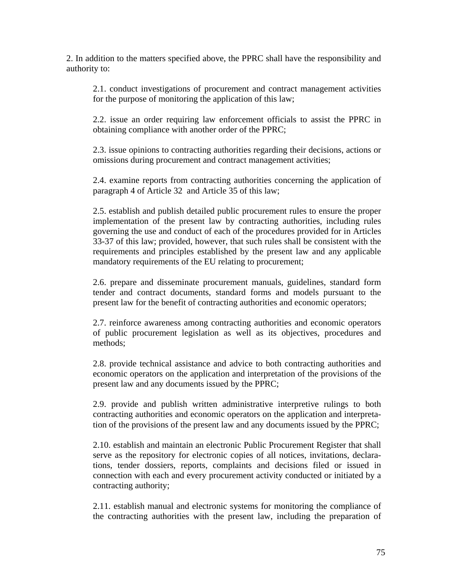2. In addition to the matters specified above, the PPRC shall have the responsibility and authority to:

2.1. conduct investigations of procurement and contract management activities for the purpose of monitoring the application of this law;

2.2. issue an order requiring law enforcement officials to assist the PPRC in obtaining compliance with another order of the PPRC;

2.3. issue opinions to contracting authorities regarding their decisions, actions or omissions during procurement and contract management activities;

2.4. examine reports from contracting authorities concerning the application of paragraph 4 of Article 32 and Article 35 of this law;

2.5. establish and publish detailed public procurement rules to ensure the proper implementation of the present law by contracting authorities, including rules governing the use and conduct of each of the procedures provided for in Articles 33-37 of this law; provided, however, that such rules shall be consistent with the requirements and principles established by the present law and any applicable mandatory requirements of the EU relating to procurement;

2.6. prepare and disseminate procurement manuals, guidelines, standard form tender and contract documents, standard forms and models pursuant to the present law for the benefit of contracting authorities and economic operators;

2.7. reinforce awareness among contracting authorities and economic operators of public procurement legislation as well as its objectives, procedures and methods;

2.8. provide technical assistance and advice to both contracting authorities and economic operators on the application and interpretation of the provisions of the present law and any documents issued by the PPRC;

2.9. provide and publish written administrative interpretive rulings to both contracting authorities and economic operators on the application and interpretation of the provisions of the present law and any documents issued by the PPRC;

2.10. establish and maintain an electronic Public Procurement Register that shall serve as the repository for electronic copies of all notices, invitations, declarations, tender dossiers, reports, complaints and decisions filed or issued in connection with each and every procurement activity conducted or initiated by a contracting authority;

2.11. establish manual and electronic systems for monitoring the compliance of the contracting authorities with the present law, including the preparation of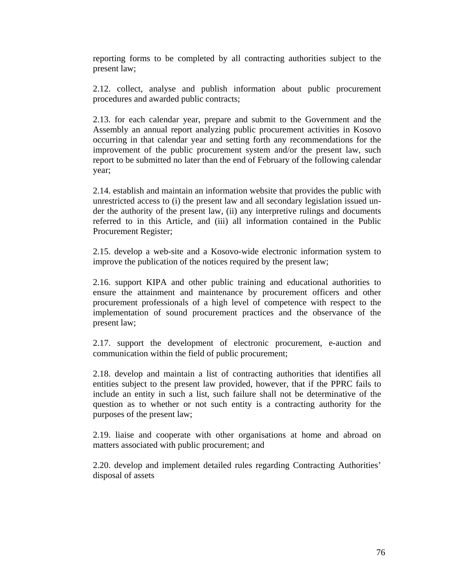reporting forms to be completed by all contracting authorities subject to the present law;

2.12. collect, analyse and publish information about public procurement procedures and awarded public contracts;

2.13. for each calendar year, prepare and submit to the Government and the Assembly an annual report analyzing public procurement activities in Kosovo occurring in that calendar year and setting forth any recommendations for the improvement of the public procurement system and/or the present law, such report to be submitted no later than the end of February of the following calendar year;

2.14. establish and maintain an information website that provides the public with unrestricted access to (i) the present law and all secondary legislation issued under the authority of the present law, (ii) any interpretive rulings and documents referred to in this Article, and (iii) all information contained in the Public Procurement Register;

2.15. develop a web-site and a Kosovo-wide electronic information system to improve the publication of the notices required by the present law;

2.16. support KIPA and other public training and educational authorities to ensure the attainment and maintenance by procurement officers and other procurement professionals of a high level of competence with respect to the implementation of sound procurement practices and the observance of the present law;

2.17. support the development of electronic procurement, e-auction and communication within the field of public procurement;

2.18. develop and maintain a list of contracting authorities that identifies all entities subject to the present law provided, however, that if the PPRC fails to include an entity in such a list, such failure shall not be determinative of the question as to whether or not such entity is a contracting authority for the purposes of the present law;

2.19. liaise and cooperate with other organisations at home and abroad on matters associated with public procurement; and

2.20. develop and implement detailed rules regarding Contracting Authorities' disposal of assets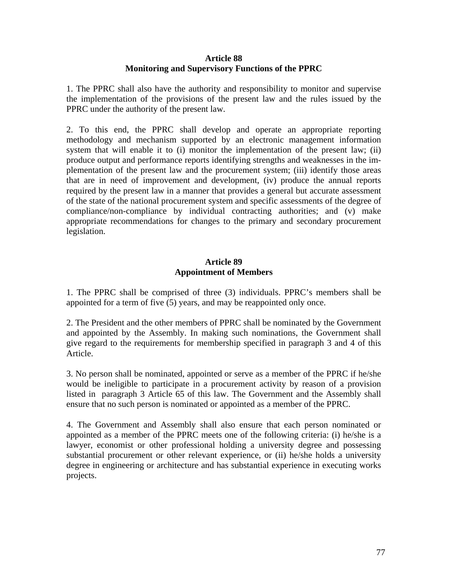### **Article 88 Monitoring and Supervisory Functions of the PPRC**

1. The PPRC shall also have the authority and responsibility to monitor and supervise the implementation of the provisions of the present law and the rules issued by the PPRC under the authority of the present law.

2. To this end, the PPRC shall develop and operate an appropriate reporting methodology and mechanism supported by an electronic management information system that will enable it to (i) monitor the implementation of the present law; (ii) produce output and performance reports identifying strengths and weaknesses in the implementation of the present law and the procurement system; (iii) identify those areas that are in need of improvement and development, (iv) produce the annual reports required by the present law in a manner that provides a general but accurate assessment of the state of the national procurement system and specific assessments of the degree of compliance/non-compliance by individual contracting authorities; and (v) make appropriate recommendations for changes to the primary and secondary procurement legislation.

## **Article 89 Appointment of Members**

1. The PPRC shall be comprised of three (3) individuals. PPRC's members shall be appointed for a term of five (5) years, and may be reappointed only once.

2. The President and the other members of PPRC shall be nominated by the Government and appointed by the Assembly. In making such nominations, the Government shall give regard to the requirements for membership specified in paragraph 3 and 4 of this Article.

3. No person shall be nominated, appointed or serve as a member of the PPRC if he/she would be ineligible to participate in a procurement activity by reason of a provision listed in paragraph 3 Article 65 of this law. The Government and the Assembly shall ensure that no such person is nominated or appointed as a member of the PPRC.

4. The Government and Assembly shall also ensure that each person nominated or appointed as a member of the PPRC meets one of the following criteria: (i) he/she is a lawyer, economist or other professional holding a university degree and possessing substantial procurement or other relevant experience, or (ii) he/she holds a university degree in engineering or architecture and has substantial experience in executing works projects.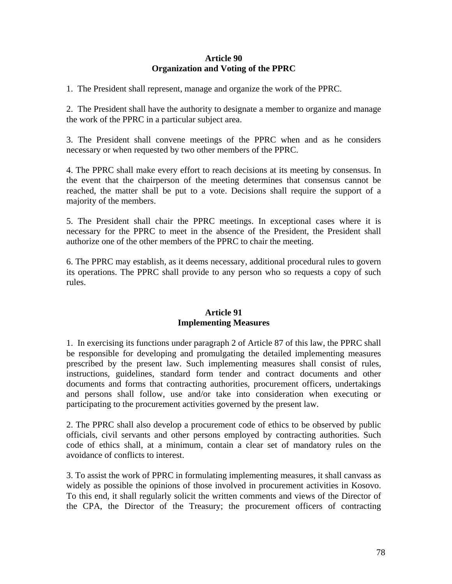## **Article 90 Organization and Voting of the PPRC**

1. The President shall represent, manage and organize the work of the PPRC.

2. The President shall have the authority to designate a member to organize and manage the work of the PPRC in a particular subject area.

3. The President shall convene meetings of the PPRC when and as he considers necessary or when requested by two other members of the PPRC.

4. The PPRC shall make every effort to reach decisions at its meeting by consensus. In the event that the chairperson of the meeting determines that consensus cannot be reached, the matter shall be put to a vote. Decisions shall require the support of a majority of the members.

5. The President shall chair the PPRC meetings. In exceptional cases where it is necessary for the PPRC to meet in the absence of the President, the President shall authorize one of the other members of the PPRC to chair the meeting.

6. The PPRC may establish, as it deems necessary, additional procedural rules to govern its operations. The PPRC shall provide to any person who so requests a copy of such rules.

## **Article 91 Implementing Measures**

1. In exercising its functions under paragraph 2 of Article 87 of this law, the PPRC shall be responsible for developing and promulgating the detailed implementing measures prescribed by the present law. Such implementing measures shall consist of rules, instructions, guidelines, standard form tender and contract documents and other documents and forms that contracting authorities, procurement officers, undertakings and persons shall follow, use and/or take into consideration when executing or participating to the procurement activities governed by the present law.

2. The PPRC shall also develop a procurement code of ethics to be observed by public officials, civil servants and other persons employed by contracting authorities. Such code of ethics shall, at a minimum, contain a clear set of mandatory rules on the avoidance of conflicts to interest.

3. To assist the work of PPRC in formulating implementing measures, it shall canvass as widely as possible the opinions of those involved in procurement activities in Kosovo. To this end, it shall regularly solicit the written comments and views of the Director of the CPA, the Director of the Treasury; the procurement officers of contracting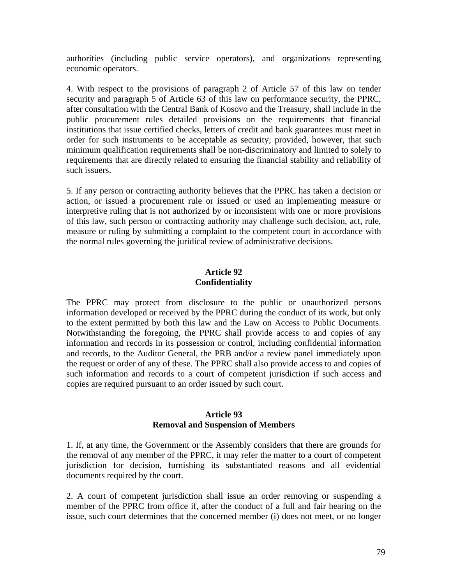authorities (including public service operators), and organizations representing economic operators.

4. With respect to the provisions of paragraph 2 of Article 57 of this law on tender security and paragraph 5 of Article 63 of this law on performance security, the PPRC, after consultation with the Central Bank of Kosovo and the Treasury, shall include in the public procurement rules detailed provisions on the requirements that financial institutions that issue certified checks, letters of credit and bank guarantees must meet in order for such instruments to be acceptable as security; provided, however, that such minimum qualification requirements shall be non-discriminatory and limited to solely to requirements that are directly related to ensuring the financial stability and reliability of such issuers.

5. If any person or contracting authority believes that the PPRC has taken a decision or action, or issued a procurement rule or issued or used an implementing measure or interpretive ruling that is not authorized by or inconsistent with one or more provisions of this law, such person or contracting authority may challenge such decision, act, rule, measure or ruling by submitting a complaint to the competent court in accordance with the normal rules governing the juridical review of administrative decisions.

## **Article 92 Confidentiality**

The PPRC may protect from disclosure to the public or unauthorized persons information developed or received by the PPRC during the conduct of its work, but only to the extent permitted by both this law and the Law on Access to Public Documents. Notwithstanding the foregoing, the PPRC shall provide access to and copies of any information and records in its possession or control, including confidential information and records, to the Auditor General, the PRB and/or a review panel immediately upon the request or order of any of these. The PPRC shall also provide access to and copies of such information and records to a court of competent jurisdiction if such access and copies are required pursuant to an order issued by such court.

#### **Article 93 Removal and Suspension of Members**

1. If, at any time, the Government or the Assembly considers that there are grounds for the removal of any member of the PPRC, it may refer the matter to a court of competent jurisdiction for decision, furnishing its substantiated reasons and all evidential documents required by the court.

2. A court of competent jurisdiction shall issue an order removing or suspending a member of the PPRC from office if, after the conduct of a full and fair hearing on the issue, such court determines that the concerned member (i) does not meet, or no longer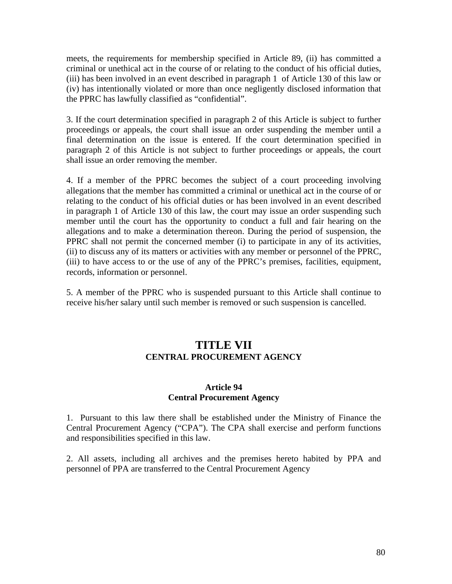meets, the requirements for membership specified in Article 89, (ii) has committed a criminal or unethical act in the course of or relating to the conduct of his official duties, (iii) has been involved in an event described in paragraph 1 of Article 130 of this law or (iv) has intentionally violated or more than once negligently disclosed information that the PPRC has lawfully classified as "confidential".

3. If the court determination specified in paragraph 2 of this Article is subject to further proceedings or appeals, the court shall issue an order suspending the member until a final determination on the issue is entered. If the court determination specified in paragraph 2 of this Article is not subject to further proceedings or appeals, the court shall issue an order removing the member.

4. If a member of the PPRC becomes the subject of a court proceeding involving allegations that the member has committed a criminal or unethical act in the course of or relating to the conduct of his official duties or has been involved in an event described in paragraph 1 of Article 130 of this law, the court may issue an order suspending such member until the court has the opportunity to conduct a full and fair hearing on the allegations and to make a determination thereon. During the period of suspension, the PPRC shall not permit the concerned member (i) to participate in any of its activities, (ii) to discuss any of its matters or activities with any member or personnel of the PPRC, (iii) to have access to or the use of any of the PPRC's premises, facilities, equipment, records, information or personnel.

5. A member of the PPRC who is suspended pursuant to this Article shall continue to receive his/her salary until such member is removed or such suspension is cancelled.

# **TITLE VII CENTRAL PROCUREMENT AGENCY**

#### **Article 94 Central Procurement Agency**

1. Pursuant to this law there shall be established under the Ministry of Finance the Central Procurement Agency ("CPA"). The CPA shall exercise and perform functions and responsibilities specified in this law.

2. All assets, including all archives and the premises hereto habited by PPA and personnel of PPA are transferred to the Central Procurement Agency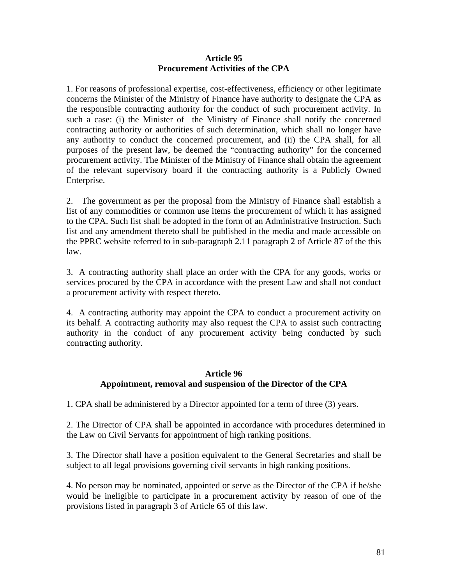## **Article 95 Procurement Activities of the CPA**

1. For reasons of professional expertise, cost-effectiveness, efficiency or other legitimate concerns the Minister of the Ministry of Finance have authority to designate the CPA as the responsible contracting authority for the conduct of such procurement activity. In such a case: (i) the Minister of the Ministry of Finance shall notify the concerned contracting authority or authorities of such determination, which shall no longer have any authority to conduct the concerned procurement, and (ii) the CPA shall, for all purposes of the present law, be deemed the "contracting authority" for the concerned procurement activity. The Minister of the Ministry of Finance shall obtain the agreement of the relevant supervisory board if the contracting authority is a Publicly Owned Enterprise.

2. The government as per the proposal from the Ministry of Finance shall establish a list of any commodities or common use items the procurement of which it has assigned to the CPA. Such list shall be adopted in the form of an Administrative Instruction. Such list and any amendment thereto shall be published in the media and made accessible on the PPRC website referred to in sub-paragraph 2.11 paragraph 2 of Article 87 of the this law.

3. A contracting authority shall place an order with the CPA for any goods, works or services procured by the CPA in accordance with the present Law and shall not conduct a procurement activity with respect thereto.

4. A contracting authority may appoint the CPA to conduct a procurement activity on its behalf. A contracting authority may also request the CPA to assist such contracting authority in the conduct of any procurement activity being conducted by such contracting authority.

## **Article 96 Appointment, removal and suspension of the Director of the CPA**

1. CPA shall be administered by a Director appointed for a term of three (3) years.

2. The Director of CPA shall be appointed in accordance with procedures determined in the Law on Civil Servants for appointment of high ranking positions.

3. The Director shall have a position equivalent to the General Secretaries and shall be subject to all legal provisions governing civil servants in high ranking positions.

4. No person may be nominated, appointed or serve as the Director of the CPA if he/she would be ineligible to participate in a procurement activity by reason of one of the provisions listed in paragraph 3 of Article 65 of this law.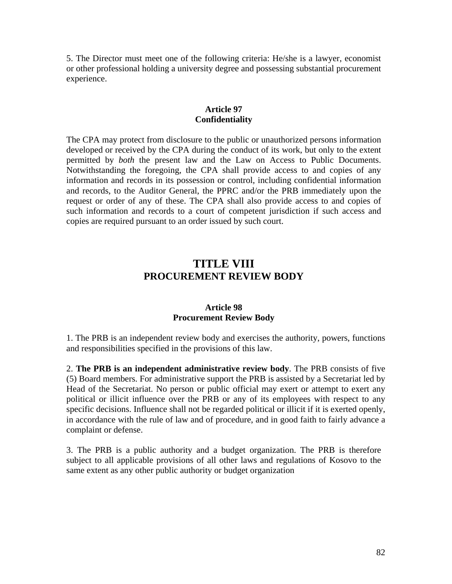5. The Director must meet one of the following criteria: He/she is a lawyer, economist or other professional holding a university degree and possessing substantial procurement experience.

#### **Article 97 Confidentiality**

The CPA may protect from disclosure to the public or unauthorized persons information developed or received by the CPA during the conduct of its work, but only to the extent permitted by *both* the present law and the Law on Access to Public Documents. Notwithstanding the foregoing, the CPA shall provide access to and copies of any information and records in its possession or control, including confidential information and records, to the Auditor General, the PPRC and/or the PRB immediately upon the request or order of any of these. The CPA shall also provide access to and copies of such information and records to a court of competent jurisdiction if such access and copies are required pursuant to an order issued by such court.

# **TITLE VIII PROCUREMENT REVIEW BODY**

#### **Article 98 Procurement Review Body**

1. The PRB is an independent review body and exercises the authority, powers, functions and responsibilities specified in the provisions of this law.

2. **The PRB is an independent administrative review body**. The PRB consists of five (5) Board members. For administrative support the PRB is assisted by a Secretariat led by Head of the Secretariat. No person or public official may exert or attempt to exert any political or illicit influence over the PRB or any of its employees with respect to any specific decisions. Influence shall not be regarded political or illicit if it is exerted openly, in accordance with the rule of law and of procedure, and in good faith to fairly advance a complaint or defense.

3. The PRB is a public authority and a budget organization. The PRB is therefore subject to all applicable provisions of all other laws and regulations of Kosovo to the same extent as any other public authority or budget organization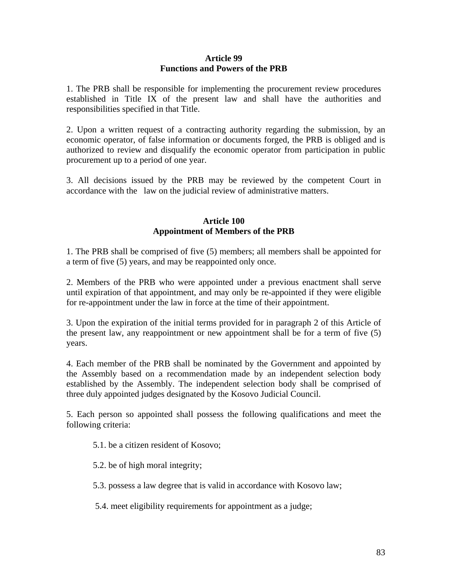### **Article 99 Functions and Powers of the PRB**

1. The PRB shall be responsible for implementing the procurement review procedures established in Title IX of the present law and shall have the authorities and responsibilities specified in that Title.

2. Upon a written request of a contracting authority regarding the submission, by an economic operator, of false information or documents forged, the PRB is obliged and is authorized to review and disqualify the economic operator from participation in public procurement up to a period of one year.

3. All decisions issued by the PRB may be reviewed by the competent Court in accordance with the law on the judicial review of administrative matters.

## **Article 100 Appointment of Members of the PRB**

1. The PRB shall be comprised of five (5) members; all members shall be appointed for a term of five (5) years, and may be reappointed only once.

2. Members of the PRB who were appointed under a previous enactment shall serve until expiration of that appointment, and may only be re-appointed if they were eligible for re-appointment under the law in force at the time of their appointment.

3. Upon the expiration of the initial terms provided for in paragraph 2 of this Article of the present law, any reappointment or new appointment shall be for a term of five (5) years.

4. Each member of the PRB shall be nominated by the Government and appointed by the Assembly based on a recommendation made by an independent selection body established by the Assembly. The independent selection body shall be comprised of three duly appointed judges designated by the Kosovo Judicial Council.

5. Each person so appointed shall possess the following qualifications and meet the following criteria:

5.1. be a citizen resident of Kosovo;

5.2. be of high moral integrity;

5.3. possess a law degree that is valid in accordance with Kosovo law;

5.4. meet eligibility requirements for appointment as a judge;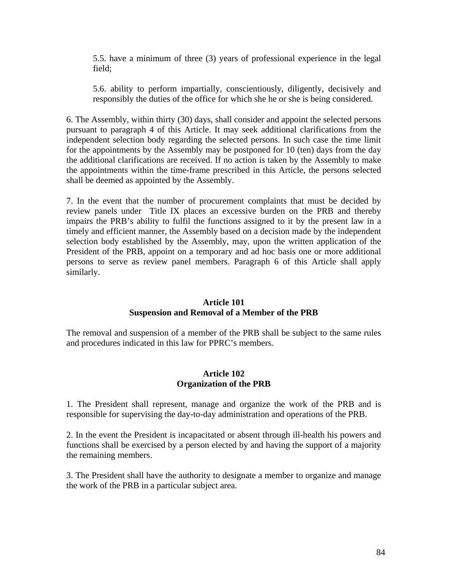5.5. have a minimum of three (3) years of professional experience in the legal field;

5.6. ability to perform impartially, conscientiously, diligently, decisively and responsibly the duties of the office for which she he or she is being considered.

6. The Assembly, within thirty (30) days, shall consider and appoint the selected persons pursuant to paragraph 4 of this Article. It may seek additional clarifications from the independent selection body regarding the selected persons. In such case the time limit for the appointments by the Assembly may be postponed for 10 (ten) days from the day the additional clarifications are received. If no action is taken by the Assembly to make the appointments within the time-frame prescribed in this Article, the persons selected shall be deemed as appointed by the Assembly.

7. In the event that the number of procurement complaints that must be decided by review panels under Title IX places an excessive burden on the PRB and thereby impairs the PRB's ability to fulfil the functions assigned to it by the present law in a timely and efficient manner, the Assembly based on a decision made by the independent selection body established by the Assembly, may, upon the written application of the President of the PRB, appoint on a temporary and ad hoc basis one or more additional persons to serve as review panel members. Paragraph 6 of this Article shall apply similarly.

## **Article 101 Suspension and Removal of a Member of the PRB**

The removal and suspension of a member of the PRB shall be subject to the same rules and procedures indicated in this law for PPRC's members.

## **Article 102 Organization of the PRB**

1. The President shall represent, manage and organize the work of the PRB and is responsible for supervising the day-to-day administration and operations of the PRB.

2. In the event the President is incapacitated or absent through ill-health his powers and functions shall be exercised by a person elected by and having the support of a majority the remaining members.

3. The President shall have the authority to designate a member to organize and manage the work of the PRB in a particular subject area.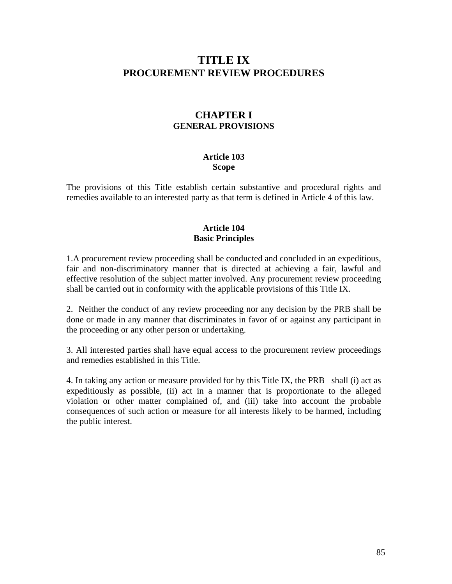# **TITLE IX PROCUREMENT REVIEW PROCEDURES**

# **CHAPTER I GENERAL PROVISIONS**

#### **Article 103 Scope**

The provisions of this Title establish certain substantive and procedural rights and remedies available to an interested party as that term is defined in Article 4 of this law.

## **Article 104 Basic Principles**

1.A procurement review proceeding shall be conducted and concluded in an expeditious, fair and non-discriminatory manner that is directed at achieving a fair, lawful and effective resolution of the subject matter involved. Any procurement review proceeding shall be carried out in conformity with the applicable provisions of this Title IX.

2. Neither the conduct of any review proceeding nor any decision by the PRB shall be done or made in any manner that discriminates in favor of or against any participant in the proceeding or any other person or undertaking.

3. All interested parties shall have equal access to the procurement review proceedings and remedies established in this Title.

4. In taking any action or measure provided for by this Title IX, the PRB shall (i) act as expeditiously as possible, (ii) act in a manner that is proportionate to the alleged violation or other matter complained of, and (iii) take into account the probable consequences of such action or measure for all interests likely to be harmed, including the public interest.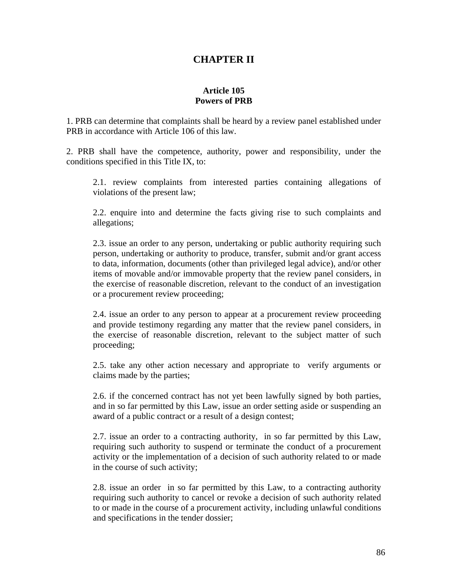# **CHAPTER II**

## **Article 105 Powers of PRB**

1. PRB can determine that complaints shall be heard by a review panel established under PRB in accordance with Article 106 of this law.

2. PRB shall have the competence, authority, power and responsibility, under the conditions specified in this Title IX, to:

2.1. review complaints from interested parties containing allegations of violations of the present law;

2.2. enquire into and determine the facts giving rise to such complaints and allegations;

2.3. issue an order to any person, undertaking or public authority requiring such person, undertaking or authority to produce, transfer, submit and/or grant access to data, information, documents (other than privileged legal advice), and/or other items of movable and/or immovable property that the review panel considers, in the exercise of reasonable discretion, relevant to the conduct of an investigation or a procurement review proceeding;

2.4. issue an order to any person to appear at a procurement review proceeding and provide testimony regarding any matter that the review panel considers, in the exercise of reasonable discretion, relevant to the subject matter of such proceeding;

2.5. take any other action necessary and appropriate to verify arguments or claims made by the parties;

2.6. if the concerned contract has not yet been lawfully signed by both parties, and in so far permitted by this Law, issue an order setting aside or suspending an award of a public contract or a result of a design contest;

2.7. issue an order to a contracting authority, in so far permitted by this Law, requiring such authority to suspend or terminate the conduct of a procurement activity or the implementation of a decision of such authority related to or made in the course of such activity;

2.8. issue an order in so far permitted by this Law, to a contracting authority requiring such authority to cancel or revoke a decision of such authority related to or made in the course of a procurement activity, including unlawful conditions and specifications in the tender dossier;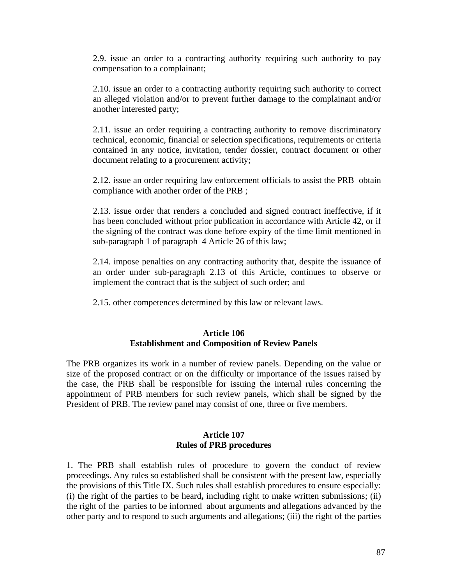2.9. issue an order to a contracting authority requiring such authority to pay compensation to a complainant;

2.10. issue an order to a contracting authority requiring such authority to correct an alleged violation and/or to prevent further damage to the complainant and/or another interested party;

2.11. issue an order requiring a contracting authority to remove discriminatory technical, economic, financial or selection specifications, requirements or criteria contained in any notice, invitation, tender dossier, contract document or other document relating to a procurement activity;

2.12. issue an order requiring law enforcement officials to assist the PRB obtain compliance with another order of the PRB ;

2.13. issue order that renders a concluded and signed contract ineffective, if it has been concluded without prior publication in accordance with Article 42, or if the signing of the contract was done before expiry of the time limit mentioned in sub-paragraph 1 of paragraph 4 Article 26 of this law;

2.14. impose penalties on any contracting authority that, despite the issuance of an order under sub-paragraph 2.13 of this Article, continues to observe or implement the contract that is the subject of such order; and

2.15. other competences determined by this law or relevant laws.

#### **Article 106 Establishment and Composition of Review Panels**

The PRB organizes its work in a number of review panels. Depending on the value or size of the proposed contract or on the difficulty or importance of the issues raised by the case, the PRB shall be responsible for issuing the internal rules concerning the appointment of PRB members for such review panels, which shall be signed by the President of PRB. The review panel may consist of one, three or five members.

#### **Article 107 Rules of PRB procedures**

1. The PRB shall establish rules of procedure to govern the conduct of review proceedings. Any rules so established shall be consistent with the present law, especially the provisions of this Title IX. Such rules shall establish procedures to ensure especially: (i) the right of the parties to be heard**,** including right to make written submissions; (ii) the right of the parties to be informed about arguments and allegations advanced by the other party and to respond to such arguments and allegations; (iii) the right of the parties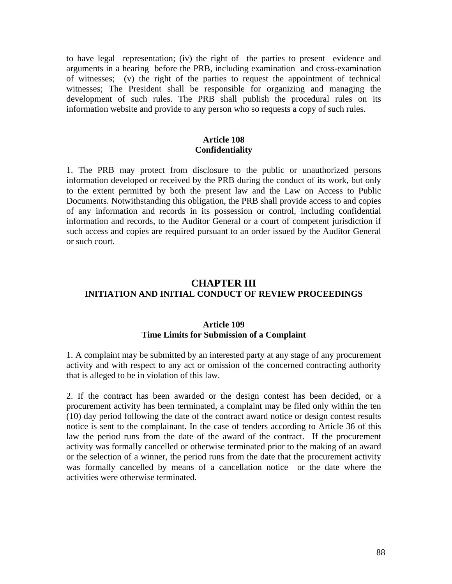to have legal representation; (iv) the right of the parties to present evidence and arguments in a hearing before the PRB, including examination and cross-examination of witnesses; (v) the right of the parties to request the appointment of technical witnesses; The President shall be responsible for organizing and managing the development of such rules. The PRB shall publish the procedural rules on its information website and provide to any person who so requests a copy of such rules.

#### **Article 108 Confidentiality**

1. The PRB may protect from disclosure to the public or unauthorized persons information developed or received by the PRB during the conduct of its work, but only to the extent permitted by both the present law and the Law on Access to Public Documents. Notwithstanding this obligation, the PRB shall provide access to and copies of any information and records in its possession or control, including confidential information and records, to the Auditor General or a court of competent jurisdiction if such access and copies are required pursuant to an order issued by the Auditor General or such court.

# **CHAPTER III INITIATION AND INITIAL CONDUCT OF REVIEW PROCEEDINGS**

## **Article 109 Time Limits for Submission of a Complaint**

1. A complaint may be submitted by an interested party at any stage of any procurement activity and with respect to any act or omission of the concerned contracting authority that is alleged to be in violation of this law.

2. If the contract has been awarded or the design contest has been decided, or a procurement activity has been terminated, a complaint may be filed only within the ten (10) day period following the date of the contract award notice or design contest results notice is sent to the complainant. In the case of tenders according to Article 36 of this law the period runs from the date of the award of the contract. If the procurement activity was formally cancelled or otherwise terminated prior to the making of an award or the selection of a winner, the period runs from the date that the procurement activity was formally cancelled by means of a cancellation notice or the date where the activities were otherwise terminated.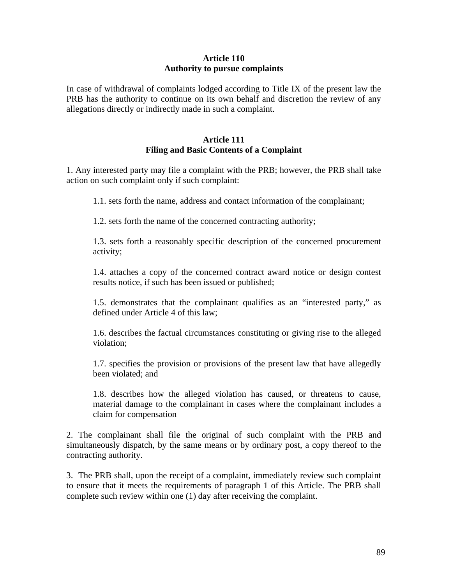## **Article 110 Authority to pursue complaints**

In case of withdrawal of complaints lodged according to Title IX of the present law the PRB has the authority to continue on its own behalf and discretion the review of any allegations directly or indirectly made in such a complaint.

## **Article 111 Filing and Basic Contents of a Complaint**

1. Any interested party may file a complaint with the PRB; however, the PRB shall take action on such complaint only if such complaint:

1.1. sets forth the name, address and contact information of the complainant;

1.2. sets forth the name of the concerned contracting authority;

1.3. sets forth a reasonably specific description of the concerned procurement activity;

1.4. attaches a copy of the concerned contract award notice or design contest results notice, if such has been issued or published;

1.5. demonstrates that the complainant qualifies as an "interested party," as defined under Article 4 of this law;

1.6. describes the factual circumstances constituting or giving rise to the alleged violation;

1.7. specifies the provision or provisions of the present law that have allegedly been violated; and

1.8. describes how the alleged violation has caused, or threatens to cause, material damage to the complainant in cases where the complainant includes a claim for compensation

2. The complainant shall file the original of such complaint with the PRB and simultaneously dispatch, by the same means or by ordinary post, a copy thereof to the contracting authority.

3. The PRB shall, upon the receipt of a complaint, immediately review such complaint to ensure that it meets the requirements of paragraph 1 of this Article. The PRB shall complete such review within one (1) day after receiving the complaint.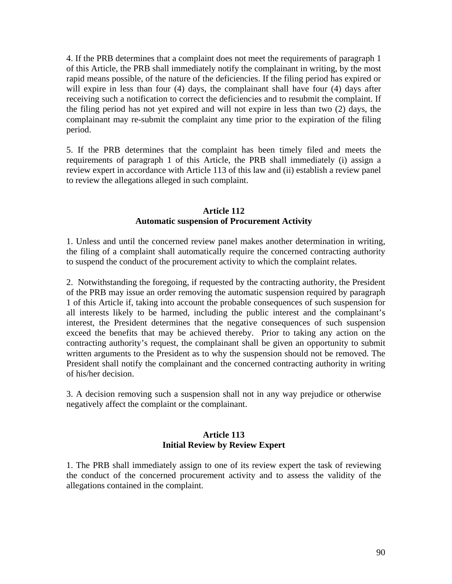4. If the PRB determines that a complaint does not meet the requirements of paragraph 1 of this Article, the PRB shall immediately notify the complainant in writing, by the most rapid means possible, of the nature of the deficiencies. If the filing period has expired or will expire in less than four (4) days, the complainant shall have four (4) days after receiving such a notification to correct the deficiencies and to resubmit the complaint. If the filing period has not yet expired and will not expire in less than two (2) days, the complainant may re-submit the complaint any time prior to the expiration of the filing period.

5. If the PRB determines that the complaint has been timely filed and meets the requirements of paragraph 1 of this Article, the PRB shall immediately (i) assign a review expert in accordance with Article 113 of this law and (ii) establish a review panel to review the allegations alleged in such complaint.

### **Article 112 Automatic suspension of Procurement Activity**

1. Unless and until the concerned review panel makes another determination in writing, the filing of a complaint shall automatically require the concerned contracting authority to suspend the conduct of the procurement activity to which the complaint relates.

2. Notwithstanding the foregoing, if requested by the contracting authority, the President of the PRB may issue an order removing the automatic suspension required by paragraph 1 of this Article if, taking into account the probable consequences of such suspension for all interests likely to be harmed, including the public interest and the complainant's interest, the President determines that the negative consequences of such suspension exceed the benefits that may be achieved thereby. Prior to taking any action on the contracting authority's request, the complainant shall be given an opportunity to submit written arguments to the President as to why the suspension should not be removed. The President shall notify the complainant and the concerned contracting authority in writing of his/her decision.

3. A decision removing such a suspension shall not in any way prejudice or otherwise negatively affect the complaint or the complainant.

## **Article 113 Initial Review by Review Expert**

1. The PRB shall immediately assign to one of its review expert the task of reviewing the conduct of the concerned procurement activity and to assess the validity of the allegations contained in the complaint.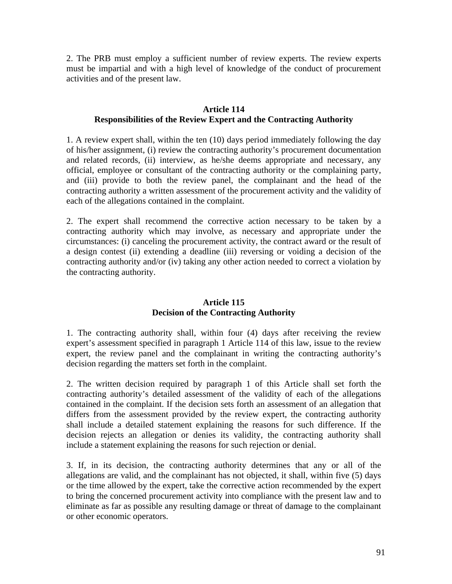2. The PRB must employ a sufficient number of review experts. The review experts must be impartial and with a high level of knowledge of the conduct of procurement activities and of the present law.

## **Article 114 Responsibilities of the Review Expert and the Contracting Authority**

1. A review expert shall, within the ten (10) days period immediately following the day of his/her assignment, (i) review the contracting authority's procurement documentation and related records, (ii) interview, as he/she deems appropriate and necessary, any official, employee or consultant of the contracting authority or the complaining party, and (iii) provide to both the review panel, the complainant and the head of the contracting authority a written assessment of the procurement activity and the validity of each of the allegations contained in the complaint.

2. The expert shall recommend the corrective action necessary to be taken by a contracting authority which may involve, as necessary and appropriate under the circumstances: (i) canceling the procurement activity, the contract award or the result of a design contest (ii) extending a deadline (iii) reversing or voiding a decision of the contracting authority and/or (iv) taking any other action needed to correct a violation by the contracting authority.

## **Article 115 Decision of the Contracting Authority**

1. The contracting authority shall, within four (4) days after receiving the review expert's assessment specified in paragraph 1 Article 114 of this law, issue to the review expert, the review panel and the complainant in writing the contracting authority's decision regarding the matters set forth in the complaint.

2. The written decision required by paragraph 1 of this Article shall set forth the contracting authority's detailed assessment of the validity of each of the allegations contained in the complaint. If the decision sets forth an assessment of an allegation that differs from the assessment provided by the review expert, the contracting authority shall include a detailed statement explaining the reasons for such difference. If the decision rejects an allegation or denies its validity, the contracting authority shall include a statement explaining the reasons for such rejection or denial.

3. If, in its decision, the contracting authority determines that any or all of the allegations are valid, and the complainant has not objected, it shall, within five (5) days or the time allowed by the expert, take the corrective action recommended by the expert to bring the concerned procurement activity into compliance with the present law and to eliminate as far as possible any resulting damage or threat of damage to the complainant or other economic operators.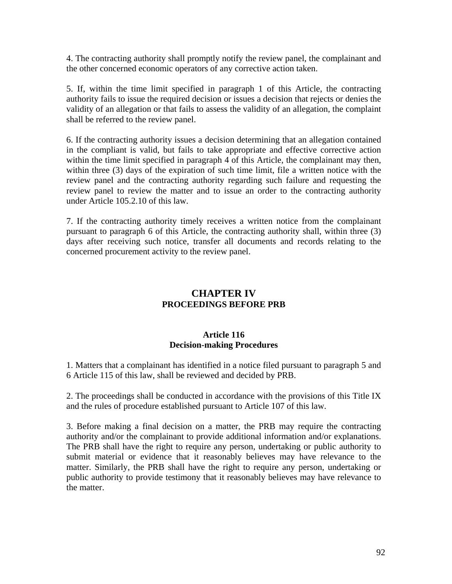4. The contracting authority shall promptly notify the review panel, the complainant and the other concerned economic operators of any corrective action taken.

5. If, within the time limit specified in paragraph 1 of this Article, the contracting authority fails to issue the required decision or issues a decision that rejects or denies the validity of an allegation or that fails to assess the validity of an allegation, the complaint shall be referred to the review panel.

6. If the contracting authority issues a decision determining that an allegation contained in the compliant is valid, but fails to take appropriate and effective corrective action within the time limit specified in paragraph 4 of this Article, the complainant may then, within three (3) days of the expiration of such time limit, file a written notice with the review panel and the contracting authority regarding such failure and requesting the review panel to review the matter and to issue an order to the contracting authority under Article 105.2.10 of this law.

7. If the contracting authority timely receives a written notice from the complainant pursuant to paragraph 6 of this Article, the contracting authority shall, within three (3) days after receiving such notice, transfer all documents and records relating to the concerned procurement activity to the review panel.

# **CHAPTER IV PROCEEDINGS BEFORE PRB**

## **Article 116 Decision-making Procedures**

1. Matters that a complainant has identified in a notice filed pursuant to paragraph 5 and 6 Article 115 of this law, shall be reviewed and decided by PRB.

2. The proceedings shall be conducted in accordance with the provisions of this Title IX and the rules of procedure established pursuant to Article 107 of this law.

3. Before making a final decision on a matter, the PRB may require the contracting authority and/or the complainant to provide additional information and/or explanations. The PRB shall have the right to require any person, undertaking or public authority to submit material or evidence that it reasonably believes may have relevance to the matter. Similarly, the PRB shall have the right to require any person, undertaking or public authority to provide testimony that it reasonably believes may have relevance to the matter.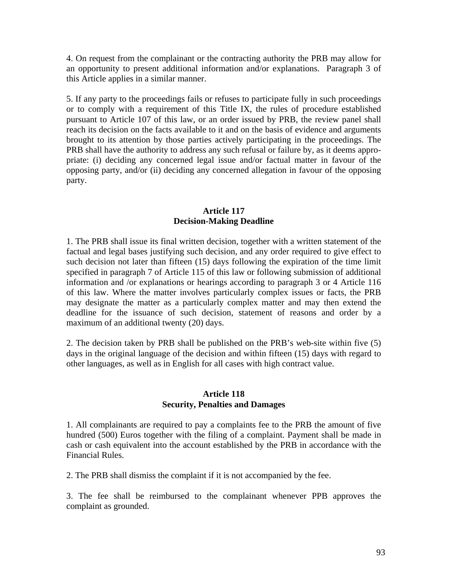4. On request from the complainant or the contracting authority the PRB may allow for an opportunity to present additional information and/or explanations. Paragraph 3 of this Article applies in a similar manner.

5. If any party to the proceedings fails or refuses to participate fully in such proceedings or to comply with a requirement of this Title IX, the rules of procedure established pursuant to Article 107 of this law, or an order issued by PRB, the review panel shall reach its decision on the facts available to it and on the basis of evidence and arguments brought to its attention by those parties actively participating in the proceedings. The PRB shall have the authority to address any such refusal or failure by, as it deems appropriate: (i) deciding any concerned legal issue and/or factual matter in favour of the opposing party, and/or (ii) deciding any concerned allegation in favour of the opposing party.

### **Article 117 Decision-Making Deadline**

1. The PRB shall issue its final written decision, together with a written statement of the factual and legal bases justifying such decision, and any order required to give effect to such decision not later than fifteen (15) days following the expiration of the time limit specified in paragraph 7 of Article 115 of this law or following submission of additional information and /or explanations or hearings according to paragraph 3 or 4 Article 116 of this law. Where the matter involves particularly complex issues or facts, the PRB may designate the matter as a particularly complex matter and may then extend the deadline for the issuance of such decision, statement of reasons and order by a maximum of an additional twenty (20) days.

2. The decision taken by PRB shall be published on the PRB's web-site within five (5) days in the original language of the decision and within fifteen (15) days with regard to other languages, as well as in English for all cases with high contract value.

#### **Article 118 Security, Penalties and Damages**

1. All complainants are required to pay a complaints fee to the PRB the amount of five hundred (500) Euros together with the filing of a complaint. Payment shall be made in cash or cash equivalent into the account established by the PRB in accordance with the Financial Rules.

2. The PRB shall dismiss the complaint if it is not accompanied by the fee.

3. The fee shall be reimbursed to the complainant whenever PPB approves the complaint as grounded.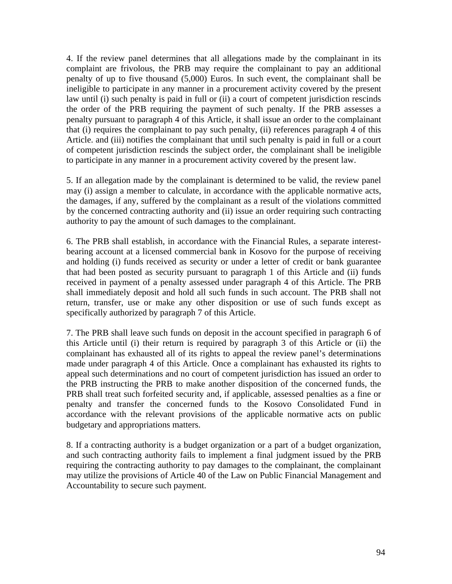4. If the review panel determines that all allegations made by the complainant in its complaint are frivolous, the PRB may require the complainant to pay an additional penalty of up to five thousand (5,000) Euros. In such event, the complainant shall be ineligible to participate in any manner in a procurement activity covered by the present law until (i) such penalty is paid in full or (ii) a court of competent jurisdiction rescinds the order of the PRB requiring the payment of such penalty. If the PRB assesses a penalty pursuant to paragraph 4 of this Article, it shall issue an order to the complainant that (i) requires the complainant to pay such penalty, (ii) references paragraph 4 of this Article. and (iii) notifies the complainant that until such penalty is paid in full or a court of competent jurisdiction rescinds the subject order, the complainant shall be ineligible to participate in any manner in a procurement activity covered by the present law.

5. If an allegation made by the complainant is determined to be valid, the review panel may (i) assign a member to calculate, in accordance with the applicable normative acts, the damages, if any, suffered by the complainant as a result of the violations committed by the concerned contracting authority and (ii) issue an order requiring such contracting authority to pay the amount of such damages to the complainant.

6. The PRB shall establish, in accordance with the Financial Rules, a separate interestbearing account at a licensed commercial bank in Kosovo for the purpose of receiving and holding (i) funds received as security or under a letter of credit or bank guarantee that had been posted as security pursuant to paragraph 1 of this Article and (ii) funds received in payment of a penalty assessed under paragraph 4 of this Article. The PRB shall immediately deposit and hold all such funds in such account. The PRB shall not return, transfer, use or make any other disposition or use of such funds except as specifically authorized by paragraph 7 of this Article.

7. The PRB shall leave such funds on deposit in the account specified in paragraph 6 of this Article until (i) their return is required by paragraph 3 of this Article or (ii) the complainant has exhausted all of its rights to appeal the review panel's determinations made under paragraph 4 of this Article. Once a complainant has exhausted its rights to appeal such determinations and no court of competent jurisdiction has issued an order to the PRB instructing the PRB to make another disposition of the concerned funds, the PRB shall treat such forfeited security and, if applicable, assessed penalties as a fine or penalty and transfer the concerned funds to the Kosovo Consolidated Fund in accordance with the relevant provisions of the applicable normative acts on public budgetary and appropriations matters.

8. If a contracting authority is a budget organization or a part of a budget organization, and such contracting authority fails to implement a final judgment issued by the PRB requiring the contracting authority to pay damages to the complainant, the complainant may utilize the provisions of Article 40 of the Law on Public Financial Management and Accountability to secure such payment.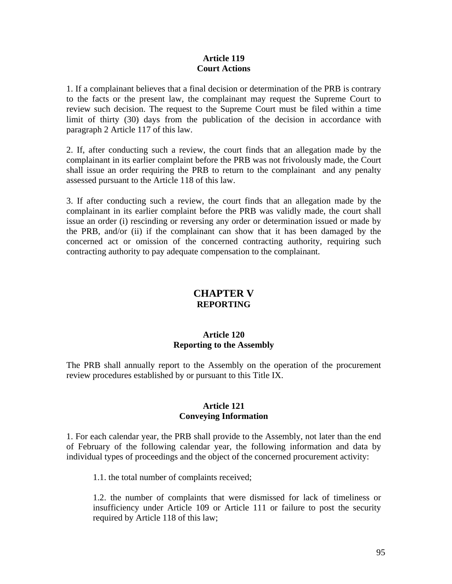### **Article 119 Court Actions**

1. If a complainant believes that a final decision or determination of the PRB is contrary to the facts or the present law, the complainant may request the Supreme Court to review such decision. The request to the Supreme Court must be filed within a time limit of thirty (30) days from the publication of the decision in accordance with paragraph 2 Article 117 of this law.

2. If, after conducting such a review, the court finds that an allegation made by the complainant in its earlier complaint before the PRB was not frivolously made, the Court shall issue an order requiring the PRB to return to the complainant and any penalty assessed pursuant to the Article 118 of this law.

3. If after conducting such a review, the court finds that an allegation made by the complainant in its earlier complaint before the PRB was validly made, the court shall issue an order (i) rescinding or reversing any order or determination issued or made by the PRB, and/or (ii) if the complainant can show that it has been damaged by the concerned act or omission of the concerned contracting authority, requiring such contracting authority to pay adequate compensation to the complainant.

# **CHAPTER V REPORTING**

## **Article 120 Reporting to the Assembly**

The PRB shall annually report to the Assembly on the operation of the procurement review procedures established by or pursuant to this Title IX.

## **Article 121 Conveying Information**

1. For each calendar year, the PRB shall provide to the Assembly, not later than the end of February of the following calendar year, the following information and data by individual types of proceedings and the object of the concerned procurement activity:

1.1. the total number of complaints received;

1.2. the number of complaints that were dismissed for lack of timeliness or insufficiency under Article 109 or Article 111 or failure to post the security required by Article 118 of this law;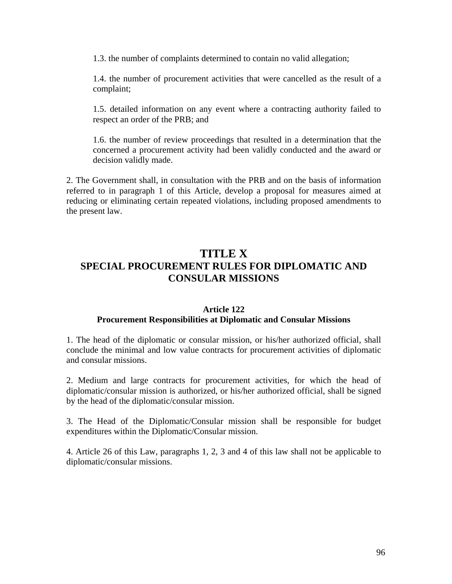1.3. the number of complaints determined to contain no valid allegation;

1.4. the number of procurement activities that were cancelled as the result of a complaint;

1.5. detailed information on any event where a contracting authority failed to respect an order of the PRB; and

1.6. the number of review proceedings that resulted in a determination that the concerned a procurement activity had been validly conducted and the award or decision validly made.

2. The Government shall, in consultation with the PRB and on the basis of information referred to in paragraph 1 of this Article, develop a proposal for measures aimed at reducing or eliminating certain repeated violations, including proposed amendments to the present law.

# **TITLE X SPECIAL PROCUREMENT RULES FOR DIPLOMATIC AND CONSULAR MISSIONS**

#### **Article 122 Procurement Responsibilities at Diplomatic and Consular Missions**

1. The head of the diplomatic or consular mission, or his/her authorized official, shall conclude the minimal and low value contracts for procurement activities of diplomatic and consular missions.

2. Medium and large contracts for procurement activities, for which the head of diplomatic/consular mission is authorized, or his/her authorized official, shall be signed by the head of the diplomatic/consular mission.

3. The Head of the Diplomatic/Consular mission shall be responsible for budget expenditures within the Diplomatic/Consular mission.

4. Article 26 of this Law, paragraphs 1, 2, 3 and 4 of this law shall not be applicable to diplomatic/consular missions.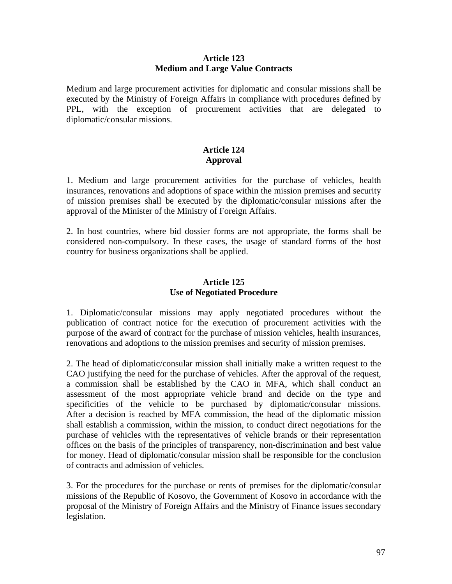## **Article 123 Medium and Large Value Contracts**

Medium and large procurement activities for diplomatic and consular missions shall be executed by the Ministry of Foreign Affairs in compliance with procedures defined by PPL, with the exception of procurement activities that are delegated to diplomatic/consular missions.

## **Article 124 Approval**

1. Medium and large procurement activities for the purchase of vehicles, health insurances, renovations and adoptions of space within the mission premises and security of mission premises shall be executed by the diplomatic/consular missions after the approval of the Minister of the Ministry of Foreign Affairs.

2. In host countries, where bid dossier forms are not appropriate, the forms shall be considered non-compulsory. In these cases, the usage of standard forms of the host country for business organizations shall be applied.

## **Article 125 Use of Negotiated Procedure**

1. Diplomatic/consular missions may apply negotiated procedures without the publication of contract notice for the execution of procurement activities with the purpose of the award of contract for the purchase of mission vehicles, health insurances, renovations and adoptions to the mission premises and security of mission premises.

2. The head of diplomatic/consular mission shall initially make a written request to the CAO justifying the need for the purchase of vehicles. After the approval of the request, a commission shall be established by the CAO in MFA, which shall conduct an assessment of the most appropriate vehicle brand and decide on the type and specificities of the vehicle to be purchased by diplomatic/consular missions. After a decision is reached by MFA commission, the head of the diplomatic mission shall establish a commission, within the mission, to conduct direct negotiations for the purchase of vehicles with the representatives of vehicle brands or their representation offices on the basis of the principles of transparency, non-discrimination and best value for money. Head of diplomatic/consular mission shall be responsible for the conclusion of contracts and admission of vehicles.

3. For the procedures for the purchase or rents of premises for the diplomatic/consular missions of the Republic of Kosovo, the Government of Kosovo in accordance with the proposal of the Ministry of Foreign Affairs and the Ministry of Finance issues secondary legislation.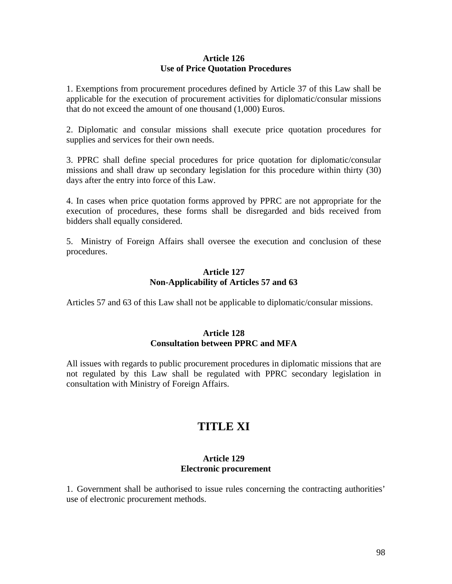#### **Article 126 Use of Price Quotation Procedures**

1. Exemptions from procurement procedures defined by Article 37 of this Law shall be applicable for the execution of procurement activities for diplomatic/consular missions that do not exceed the amount of one thousand (1,000) Euros.

2. Diplomatic and consular missions shall execute price quotation procedures for supplies and services for their own needs.

3. PPRC shall define special procedures for price quotation for diplomatic/consular missions and shall draw up secondary legislation for this procedure within thirty (30) days after the entry into force of this Law.

4. In cases when price quotation forms approved by PPRC are not appropriate for the execution of procedures, these forms shall be disregarded and bids received from bidders shall equally considered.

5. Ministry of Foreign Affairs shall oversee the execution and conclusion of these procedures.

## **Article 127 Non-Applicability of Articles 57 and 63**

Articles 57 and 63 of this Law shall not be applicable to diplomatic/consular missions.

#### **Article 128 Consultation between PPRC and MFA**

All issues with regards to public procurement procedures in diplomatic missions that are not regulated by this Law shall be regulated with PPRC secondary legislation in consultation with Ministry of Foreign Affairs.

# **TITLE XI**

## **Article 129 Electronic procurement**

1. Government shall be authorised to issue rules concerning the contracting authorities' use of electronic procurement methods.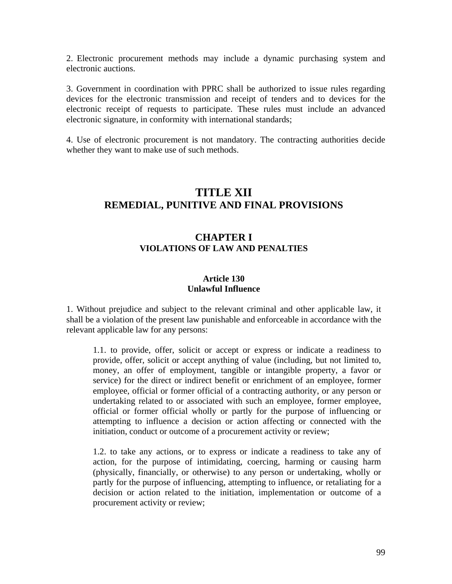2. Electronic procurement methods may include a dynamic purchasing system and electronic auctions.

3. Government in coordination with PPRC shall be authorized to issue rules regarding devices for the electronic transmission and receipt of tenders and to devices for the electronic receipt of requests to participate. These rules must include an advanced electronic signature, in conformity with international standards;

4. Use of electronic procurement is not mandatory. The contracting authorities decide whether they want to make use of such methods.

# **TITLE XII REMEDIAL, PUNITIVE AND FINAL PROVISIONS**

# **CHAPTER I VIOLATIONS OF LAW AND PENALTIES**

#### **Article 130 Unlawful Influence**

1. Without prejudice and subject to the relevant criminal and other applicable law, it shall be a violation of the present law punishable and enforceable in accordance with the relevant applicable law for any persons:

1.1. to provide, offer, solicit or accept or express or indicate a readiness to provide, offer, solicit or accept anything of value (including, but not limited to, money, an offer of employment, tangible or intangible property, a favor or service) for the direct or indirect benefit or enrichment of an employee, former employee, official or former official of a contracting authority, or any person or undertaking related to or associated with such an employee, former employee, official or former official wholly or partly for the purpose of influencing or attempting to influence a decision or action affecting or connected with the initiation, conduct or outcome of a procurement activity or review;

1.2. to take any actions, or to express or indicate a readiness to take any of action, for the purpose of intimidating, coercing, harming or causing harm (physically, financially, or otherwise) to any person or undertaking, wholly or partly for the purpose of influencing, attempting to influence, or retaliating for a decision or action related to the initiation, implementation or outcome of a procurement activity or review;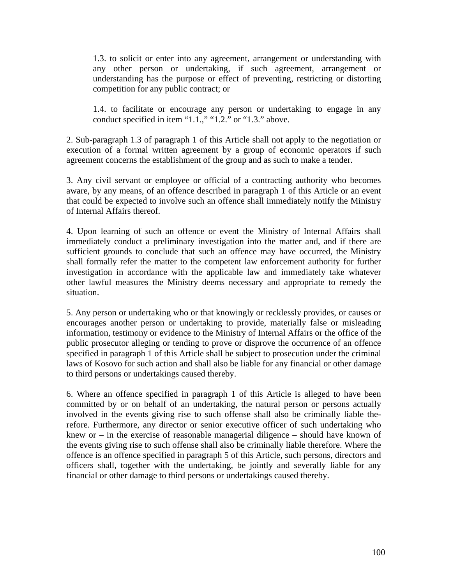1.3. to solicit or enter into any agreement, arrangement or understanding with any other person or undertaking, if such agreement, arrangement or understanding has the purpose or effect of preventing, restricting or distorting competition for any public contract; or

1.4. to facilitate or encourage any person or undertaking to engage in any conduct specified in item "1.1.," "1.2." or "1.3." above.

2. Sub-paragraph 1.3 of paragraph 1 of this Article shall not apply to the negotiation or execution of a formal written agreement by a group of economic operators if such agreement concerns the establishment of the group and as such to make a tender.

3. Any civil servant or employee or official of a contracting authority who becomes aware, by any means, of an offence described in paragraph 1 of this Article or an event that could be expected to involve such an offence shall immediately notify the Ministry of Internal Affairs thereof.

4. Upon learning of such an offence or event the Ministry of Internal Affairs shall immediately conduct a preliminary investigation into the matter and, and if there are sufficient grounds to conclude that such an offence may have occurred, the Ministry shall formally refer the matter to the competent law enforcement authority for further investigation in accordance with the applicable law and immediately take whatever other lawful measures the Ministry deems necessary and appropriate to remedy the situation.

5. Any person or undertaking who or that knowingly or recklessly provides, or causes or encourages another person or undertaking to provide, materially false or misleading information, testimony or evidence to the Ministry of Internal Affairs or the office of the public prosecutor alleging or tending to prove or disprove the occurrence of an offence specified in paragraph 1 of this Article shall be subject to prosecution under the criminal laws of Kosovo for such action and shall also be liable for any financial or other damage to third persons or undertakings caused thereby.

6. Where an offence specified in paragraph 1 of this Article is alleged to have been committed by or on behalf of an undertaking, the natural person or persons actually involved in the events giving rise to such offense shall also be criminally liable therefore. Furthermore, any director or senior executive officer of such undertaking who knew or  $-$  in the exercise of reasonable managerial diligence  $-$  should have known of the events giving rise to such offense shall also be criminally liable therefore. Where the offence is an offence specified in paragraph 5 of this Article, such persons, directors and officers shall, together with the undertaking, be jointly and severally liable for any financial or other damage to third persons or undertakings caused thereby.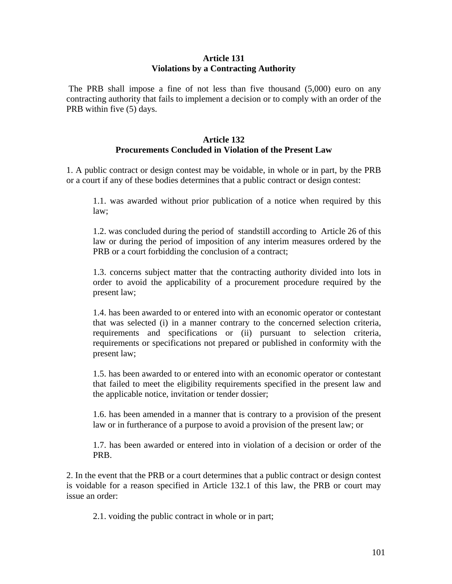#### **Article 131 Violations by a Contracting Authority**

 The PRB shall impose a fine of not less than five thousand (5,000) euro on any contracting authority that fails to implement a decision or to comply with an order of the PRB within five (5) days.

## **Article 132 Procurements Concluded in Violation of the Present Law**

1. A public contract or design contest may be voidable, in whole or in part, by the PRB or a court if any of these bodies determines that a public contract or design contest:

1.1. was awarded without prior publication of a notice when required by this law;

1.2. was concluded during the period of standstill according to Article 26 of this law or during the period of imposition of any interim measures ordered by the PRB or a court forbidding the conclusion of a contract;

1.3. concerns subject matter that the contracting authority divided into lots in order to avoid the applicability of a procurement procedure required by the present law;

1.4. has been awarded to or entered into with an economic operator or contestant that was selected (i) in a manner contrary to the concerned selection criteria, requirements and specifications or (ii) pursuant to selection criteria, requirements or specifications not prepared or published in conformity with the present law;

1.5. has been awarded to or entered into with an economic operator or contestant that failed to meet the eligibility requirements specified in the present law and the applicable notice, invitation or tender dossier;

1.6. has been amended in a manner that is contrary to a provision of the present law or in furtherance of a purpose to avoid a provision of the present law; or

1.7. has been awarded or entered into in violation of a decision or order of the PRB.

2. In the event that the PRB or a court determines that a public contract or design contest is voidable for a reason specified in Article 132.1 of this law, the PRB or court may issue an order:

2.1. voiding the public contract in whole or in part;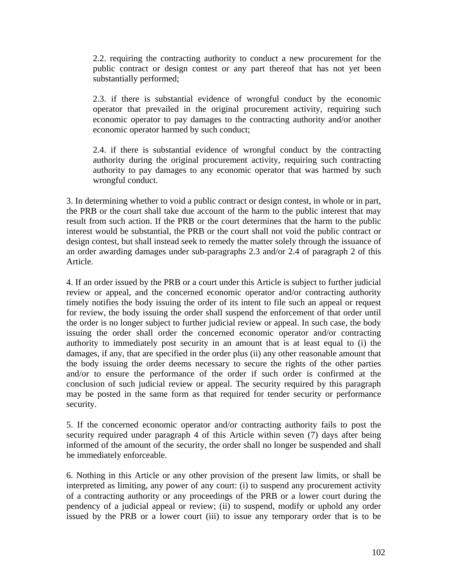2.2. requiring the contracting authority to conduct a new procurement for the public contract or design contest or any part thereof that has not yet been substantially performed;

2.3. if there is substantial evidence of wrongful conduct by the economic operator that prevailed in the original procurement activity, requiring such economic operator to pay damages to the contracting authority and/or another economic operator harmed by such conduct;

2.4. if there is substantial evidence of wrongful conduct by the contracting authority during the original procurement activity, requiring such contracting authority to pay damages to any economic operator that was harmed by such wrongful conduct.

3. In determining whether to void a public contract or design contest, in whole or in part, the PRB or the court shall take due account of the harm to the public interest that may result from such action. If the PRB or the court determines that the harm to the public interest would be substantial, the PRB or the court shall not void the public contract or design contest, but shall instead seek to remedy the matter solely through the issuance of an order awarding damages under sub-paragraphs 2.3 and/or 2.4 of paragraph 2 of this Article.

4. If an order issued by the PRB or a court under this Article is subject to further judicial review or appeal, and the concerned economic operator and/or contracting authority timely notifies the body issuing the order of its intent to file such an appeal or request for review, the body issuing the order shall suspend the enforcement of that order until the order is no longer subject to further judicial review or appeal. In such case, the body issuing the order shall order the concerned economic operator and/or contracting authority to immediately post security in an amount that is at least equal to (i) the damages, if any, that are specified in the order plus (ii) any other reasonable amount that the body issuing the order deems necessary to secure the rights of the other parties and/or to ensure the performance of the order if such order is confirmed at the conclusion of such judicial review or appeal. The security required by this paragraph may be posted in the same form as that required for tender security or performance security.

5. If the concerned economic operator and/or contracting authority fails to post the security required under paragraph 4 of this Article within seven (7) days after being informed of the amount of the security, the order shall no longer be suspended and shall be immediately enforceable.

6. Nothing in this Article or any other provision of the present law limits, or shall be interpreted as limiting, any power of any court: (i) to suspend any procurement activity of a contracting authority or any proceedings of the PRB or a lower court during the pendency of a judicial appeal or review; (ii) to suspend, modify or uphold any order issued by the PRB or a lower court (iii) to issue any temporary order that is to be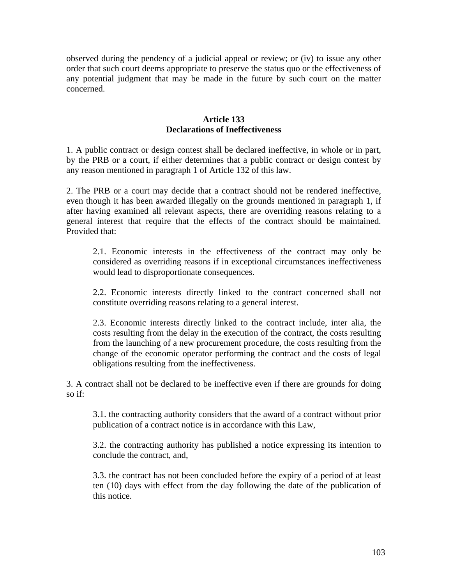observed during the pendency of a judicial appeal or review; or (iv) to issue any other order that such court deems appropriate to preserve the status quo or the effectiveness of any potential judgment that may be made in the future by such court on the matter concerned.

## **Article 133 Declarations of Ineffectiveness**

1. A public contract or design contest shall be declared ineffective, in whole or in part, by the PRB or a court, if either determines that a public contract or design contest by any reason mentioned in paragraph 1 of Article 132 of this law.

2. The PRB or a court may decide that a contract should not be rendered ineffective, even though it has been awarded illegally on the grounds mentioned in paragraph 1, if after having examined all relevant aspects, there are overriding reasons relating to a general interest that require that the effects of the contract should be maintained. Provided that:

2.1. Economic interests in the effectiveness of the contract may only be considered as overriding reasons if in exceptional circumstances ineffectiveness would lead to disproportionate consequences.

2.2. Economic interests directly linked to the contract concerned shall not constitute overriding reasons relating to a general interest.

2.3. Economic interests directly linked to the contract include, inter alia, the costs resulting from the delay in the execution of the contract, the costs resulting from the launching of a new procurement procedure, the costs resulting from the change of the economic operator performing the contract and the costs of legal obligations resulting from the ineffectiveness.

3. A contract shall not be declared to be ineffective even if there are grounds for doing so if:

3.1. the contracting authority considers that the award of a contract without prior publication of a contract notice is in accordance with this Law,

3.2. the contracting authority has published a notice expressing its intention to conclude the contract, and,

3.3. the contract has not been concluded before the expiry of a period of at least ten (10) days with effect from the day following the date of the publication of this notice.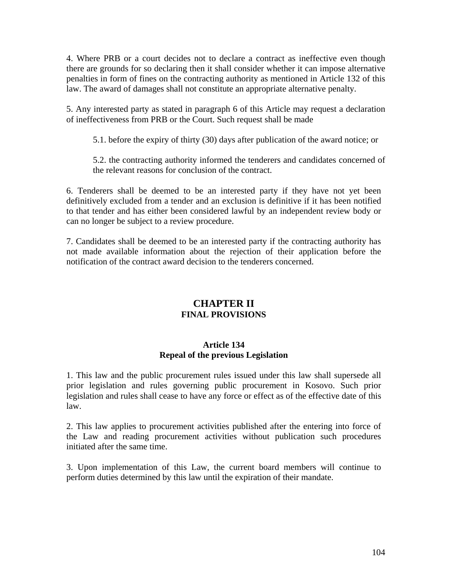4. Where PRB or a court decides not to declare a contract as ineffective even though there are grounds for so declaring then it shall consider whether it can impose alternative penalties in form of fines on the contracting authority as mentioned in Article 132 of this law. The award of damages shall not constitute an appropriate alternative penalty.

5. Any interested party as stated in paragraph 6 of this Article may request a declaration of ineffectiveness from PRB or the Court. Such request shall be made

5.1. before the expiry of thirty (30) days after publication of the award notice; or

5.2. the contracting authority informed the tenderers and candidates concerned of the relevant reasons for conclusion of the contract.

6. Tenderers shall be deemed to be an interested party if they have not yet been definitively excluded from a tender and an exclusion is definitive if it has been notified to that tender and has either been considered lawful by an independent review body or can no longer be subject to a review procedure.

7. Candidates shall be deemed to be an interested party if the contracting authority has not made available information about the rejection of their application before the notification of the contract award decision to the tenderers concerned.

# **CHAPTER II FINAL PROVISIONS**

# **Article 134 Repeal of the previous Legislation**

1. This law and the public procurement rules issued under this law shall supersede all prior legislation and rules governing public procurement in Kosovo. Such prior legislation and rules shall cease to have any force or effect as of the effective date of this law.

2. This law applies to procurement activities published after the entering into force of the Law and reading procurement activities without publication such procedures initiated after the same time.

3. Upon implementation of this Law, the current board members will continue to perform duties determined by this law until the expiration of their mandate.